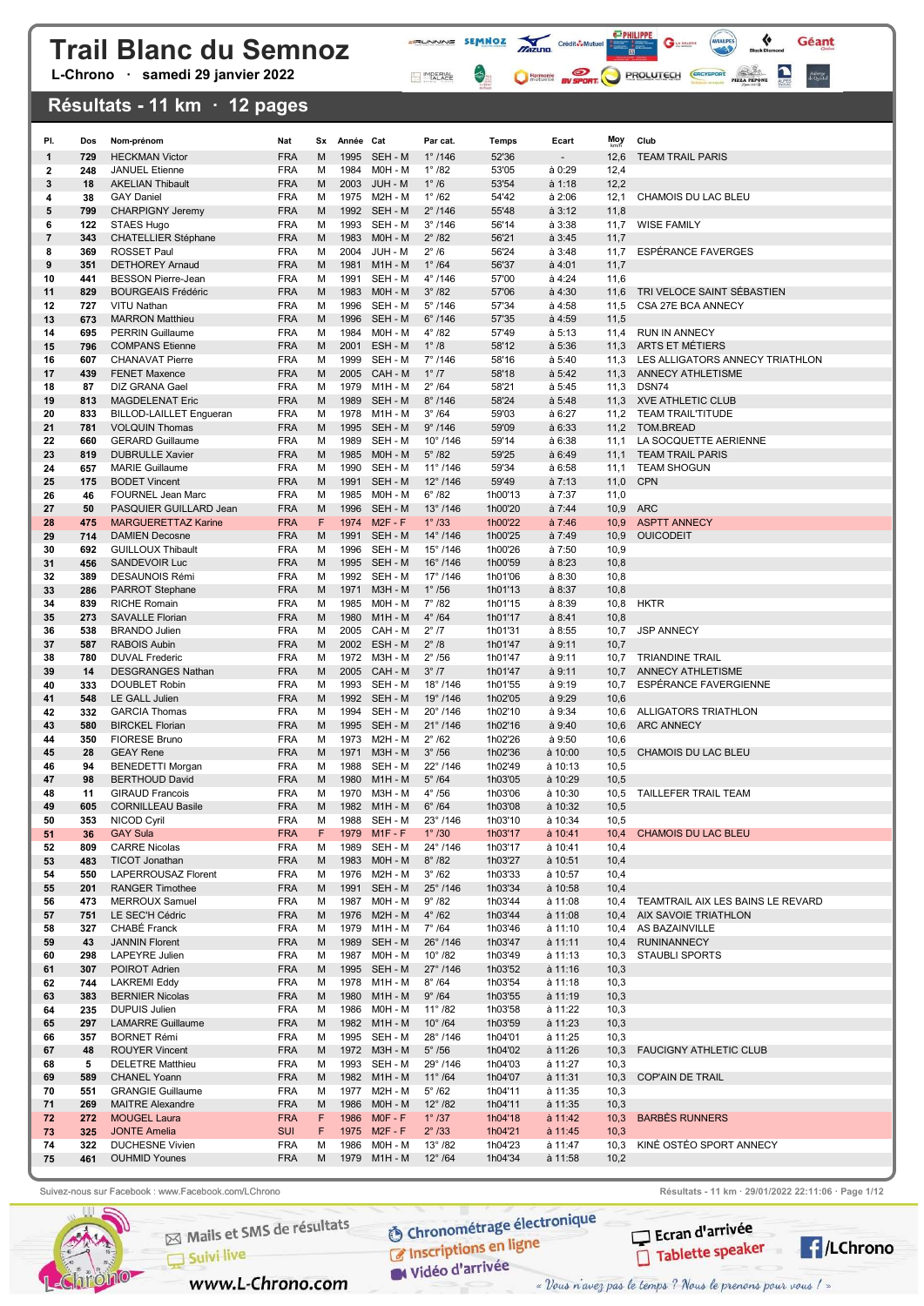L-Chrono · samedi 29 janvier 2022

### Résultats - 11 km · 12 pages

| PI.      | Dos        | Nom-prénom                                           | Nat                      |        | Sx Année Cat |                              | Par cat.                              | Temps              | Ecart              | Moy          | Club                                        |
|----------|------------|------------------------------------------------------|--------------------------|--------|--------------|------------------------------|---------------------------------------|--------------------|--------------------|--------------|---------------------------------------------|
| 1        | 729        | <b>HECKMAN Victor</b>                                | <b>FRA</b>               | M      | 1995         | SEH - M                      | $1^{\circ}$ /146                      | 52'36              |                    | 12,6         | <b>TEAM TRAIL PARIS</b>                     |
| 2        | 248        | <b>JANUEL Etienne</b>                                | <b>FRA</b>               | м      | 1984         | M0H - M                      | $1^{\circ}$ /82                       | 53'05              | à 0:29             | 12,4         |                                             |
| 3        | 18         | <b>AKELIAN Thibault</b>                              | <b>FRA</b>               | M      |              | 2003 JUH - M                 | $1^\circ/6$                           | 53'54              | a 1:18             | 12,2         |                                             |
| 4        | 38         | <b>GAY Daniel</b>                                    | <b>FRA</b>               | м      |              | 1975 M2H - M                 | $1^{\circ}$ /62                       | 54'42              | a 2:06             | 12,1         | CHAMOIS DU LAC BLEU                         |
| 5        | 799        | <b>CHARPIGNY Jeremy</b>                              | <b>FRA</b>               | M      |              | 1992 SEH - M                 | $2^{\circ}$ /146                      | 55'48              | a 3:12             | 11,8         |                                             |
| 6        | 122        | STAES Hugo                                           | <b>FRA</b>               | м      |              | 1993 SEH - M                 | $3^{\circ}$ /146                      | 56'14              | a 3:38             | 11,7         | <b>WISE FAMILY</b>                          |
| 7        | 343        | <b>CHATELLIER Stéphane</b>                           | <b>FRA</b>               | M      | 1983         | $MOH - M$                    | $2^{\circ}$ /82                       | 56'21              | a 3:45             | 11,7         |                                             |
| 8        | 369<br>351 | <b>ROSSET Paul</b><br><b>DETHOREY Arnaud</b>         | <b>FRA</b><br><b>FRA</b> | м<br>M | 2004<br>1981 | JUH - M<br>$M1H - M$         | $2^{\circ}/6$<br>$1^\circ$ /64        | 56'24<br>56'37     | a 3:48<br>$a$ 4:01 | 11,7<br>11,7 | ESPÉRANCE FAVERGES                          |
| 9<br>10  | 441        | <b>BESSON Pierre-Jean</b>                            | <b>FRA</b>               | м      | 1991         | SEH - M                      | $4^{\circ}$ /146                      | 57'00              | à 4:24             | 11,6         |                                             |
| 11       | 829        | <b>BOURGEAIS Frédéric</b>                            | <b>FRA</b>               | M      | 1983         | M0H - M                      | $3^\circ$ /82                         | 57'06              | à 4:30             | 11,6         | TRI VELOCE SAINT SÉBASTIEN                  |
| 12       | 727        | VITU Nathan                                          | <b>FRA</b>               | м      |              | 1996 SEH - M                 | $5^{\circ}$ /146                      | 57'34              | à 4:58             | 11,5         | CSA 27E BCA ANNECY                          |
| 13       | 673        | <b>MARRON Matthieu</b>                               | <b>FRA</b>               | M      |              | 1996 SEH - M                 | $6^\circ$ /146                        | 57'35              | à 4:59             | 11,5         |                                             |
| 14       | 695        | <b>PERRIN Guillaume</b>                              | <b>FRA</b>               | м      | 1984         | M0H - M                      | $4^{\circ}$ /82                       | 57'49              | a 5:13             | 11,4         | <b>RUN IN ANNECY</b>                        |
| 15       | 796        | <b>COMPANS Etienne</b>                               | <b>FRA</b>               | M      | 2001         | ESH - M                      | $1^\circ$ /8                          | 58'12              | à 5:36             | 11,3         | ARTS ET MÉTIERS                             |
| 16       | 607        | <b>CHANAVAT Pierre</b>                               | <b>FRA</b>               | м      |              | 1999 SEH - M                 | $7^{\circ}$ /146                      | 58'16              | à 5:40             | 11,3         | LES ALLIGATORS ANNECY TRIATHLON             |
| 17       | 439        | <b>FENET Maxence</b>                                 | <b>FRA</b>               | M      |              | 2005 CAH - M                 | $1^\circ$ /7                          | 58'18              | a 5:42             | 11,3         | ANNECY ATHLETISME                           |
| 18<br>19 | 87<br>813  | DIZ GRANA Gael<br><b>MAGDELENAT Eric</b>             | <b>FRA</b><br><b>FRA</b> | м<br>M | 1989         | 1979 M1H - M<br>SEH - M      | $2^{\circ}$ /64<br>$8^{\circ}$ /146   | 58'21<br>58'24     | à 5:45<br>a 5:48   | 11,3<br>11,3 | DSN74<br><b>XVE ATHLETIC CLUB</b>           |
| 20       | 833        | <b>BILLOD-LAILLET Engueran</b>                       | <b>FRA</b>               | м      |              | 1978 M1H - M                 | $3^\circ$ /64                         | 59'03              | à 6:27             | 11,2         | <b>TEAM TRAIL'TITUDE</b>                    |
| 21       | 781        | <b>VOLQUIN Thomas</b>                                | <b>FRA</b>               | M      | 1995         | SEH - M                      | 9°/146                                | 59'09              | à 6:33             | 11,2         | TOM.BREAD                                   |
| 22       | 660        | <b>GERARD Guillaume</b>                              | <b>FRA</b>               | м      |              | 1989 SEH - M                 | $10^{\circ}$ /146                     | 59'14              | à 6:38             | 11,1         | LA SOCQUETTE AERIENNE                       |
| 23       | 819        | <b>DUBRULLE Xavier</b>                               | <b>FRA</b>               | M      |              | 1985 M0H - M                 | $5^\circ$ /82                         | 59'25              | a 6:49             | 11,1         | <b>TEAM TRAIL PARIS</b>                     |
| 24       | 657        | <b>MARIE Guillaume</b>                               | <b>FRA</b>               | м      |              | 1990 SEH - M                 | $11^{\circ}$ /146                     | 59'34              | à 6:58             | 11,1         | <b>TEAM SHOGUN</b>                          |
| 25       | 175        | <b>BODET Vincent</b>                                 | <b>FRA</b>               | M      | 1991         | SEH - M                      | $12^{\circ}$ /146                     | 59'49              | a 7:13             | 11,0         | <b>CPN</b>                                  |
| 26       | 46         | <b>FOURNEL Jean Marc</b>                             | <b>FRA</b>               | м      |              | 1985 M0H - M                 | $6^{\circ}$ /82                       | 1h00'13            | à 7:37             | 11,0         |                                             |
| 27<br>28 | 50<br>475  | PASQUIER GUILLARD Jean<br><b>MARGUERETTAZ Karine</b> | <b>FRA</b><br><b>FRA</b> | M<br>F | 1974         | 1996 SEH - M<br>$M2F - F$    | $13^{\circ}$ /146<br>$1^{\circ}$ /33  | 1h00'20<br>1h00'22 | a 7:44<br>a 7:46   | 10,9<br>10,9 | <b>ARC</b><br><b>ASPTT ANNECY</b>           |
| 29       | 714        | <b>DAMIEN Decosne</b>                                | <b>FRA</b>               | M      | 1991         | SEH - M                      | $14^{\circ}$ /146                     | 1h00'25            | a 7:49             | 10,9         | <b>OUICODEIT</b>                            |
| 30       | 692        | <b>GUILLOUX Thibault</b>                             | <b>FRA</b>               | м      | 1996         | SEH - M                      | $15^{\circ}$ /146                     | 1h00'26            | à 7:50             | 10,9         |                                             |
| 31       | 456        | <b>SANDEVOIR Luc</b>                                 | <b>FRA</b>               | M      | 1995         | SEH - M                      | $16^{\circ}$ /146                     | 1h00'59            | a 8:23             | 10,8         |                                             |
| 32       | 389        | <b>DESAUNOIS Rémi</b>                                | <b>FRA</b>               | м      |              | 1992 SEH - M                 | 17°/146                               | 1h01'06            | a 8:30             | 10,8         |                                             |
| 33       | 286        | <b>PARROT Stephane</b>                               | <b>FRA</b>               | M      | 1971         | M3H - M                      | $1^\circ$ /56                         | 1h01'13            | a 8:37             | 10,8         |                                             |
| 34       | 839        | <b>RICHE Romain</b>                                  | <b>FRA</b>               | м      |              | 1985 M0H - M                 | $7^\circ$ /82                         | 1h01'15            | à 8:39             | 10,8         | <b>HKTR</b>                                 |
| 35       | 273<br>538 | <b>SAVALLE Florian</b>                               | <b>FRA</b><br><b>FRA</b> | M<br>м | 1980         | $M1H - M$<br>2005 CAH - M    | $4^\circ$ /64<br>$2^{\circ}$ /7       | 1h01'17            | a 8:41             | 10,8         | <b>JSP ANNECY</b>                           |
| 36<br>37 | 587        | <b>BRANDO Julien</b><br><b>RABOIS Aubin</b>          | <b>FRA</b>               | M      |              | 2002 ESH-M                   | $2^{\circ}$ /8                        | 1h01'31<br>1h01'47 | à 8:55<br>a 9:11   | 10,7<br>10,7 |                                             |
| 38       | 780        | <b>DUVAL Frederic</b>                                | <b>FRA</b>               | м      |              | 1972 M3H - M                 | $2^{\circ}$ /56                       | 1h01'47            | à 9:11             | 10,7         | <b>TRIANDINE TRAIL</b>                      |
| 39       | 14         | <b>DESGRANGES Nathan</b>                             | <b>FRA</b>               | M      |              | 2005 CAH - M                 | 3°/7                                  | 1h01'47            | à 9:11             | 10,7         | <b>ANNECY ATHLETISME</b>                    |
| 40       | 333        | <b>DOUBLET Robin</b>                                 | <b>FRA</b>               | м      |              | 1993 SEH - M                 | $18^{\circ}$ /146                     | 1h01'55            | à 9:19             | 10,7         | ESPERANCE FAVERGIENNE                       |
| 41       | 548        | LE GALL Julien                                       | <b>FRA</b>               | M      | 1992         | SEH - M                      | 19°/146                               | 1h02'05            | à 9:29             | 10,6         |                                             |
| 42       | 332        | <b>GARCIA Thomas</b>                                 | <b>FRA</b>               | м      | 1994         | SEH - M                      | $20^{\circ}$ /146                     | 1h02'10            | à 9:34             | 10,6         | ALLIGATORS TRIATHLON                        |
| 43<br>44 | 580<br>350 | <b>BIRCKEL Florian</b><br><b>FIORESE Bruno</b>       | <b>FRA</b><br><b>FRA</b> | M<br>м | 1995         | SEH - M<br>1973 M2H - M      | $21^{\circ}$ /146<br>$2^{\circ}$ /62  | 1h02'16<br>1h02'26 | à 9:40<br>à 9:50   | 10,6<br>10,6 | <b>ARC ANNECY</b>                           |
| 45       | 28         | <b>GEAY Rene</b>                                     | <b>FRA</b>               | M      | 1971         | M3H - M                      | $3^{\circ}$ /56                       | 1h02'36            | à 10:00            | 10,5         | CHAMOIS DU LAC BLEU                         |
| 46       | 94         | <b>BENEDETTI Morgan</b>                              | <b>FRA</b>               | м      |              | 1988 SEH - M                 | $22^{\circ}$ /146                     | 1h02'49            | à 10:13            | 10,5         |                                             |
| 47       | 98         | <b>BERTHOUD David</b>                                | <b>FRA</b>               | M      | 1980         | M1H - M                      | $5^\circ$ /64                         | 1h03'05            | à 10:29            | 10,5         |                                             |
| 48       | 11         | <b>GIRAUD Francois</b>                               | <b>FRA</b>               | м      |              | 1970 M3H - M                 | $4^{\circ}$ /56                       | 1h03'06            | à 10:30            | 10,5         | TAILLEFER TRAIL TEAM                        |
| 49       | 605        | <b>CORNILLEAU Basile</b>                             | <b>FRA</b>               | M      |              | 1982 M1H - M                 | $6^\circ$ /64                         | 1h03'08            | à 10:32            | 10,5         |                                             |
| 50       | 353        | NICOD Cyril                                          | FRA                      | м      | 1988         | SEH - M                      | $23^{\circ}$ /146                     | 1h0310             | a 10:34            | 10,5         |                                             |
| 51       | 36         | <b>GAY Sula</b>                                      | <b>FRA</b>               | F      |              | 1979 M1F-F                   | $1^{\circ}$ /30                       | 1h03'17            | $a$ 10:41          | 10,4         | <b>CHAMOIS DU LAC BLEU</b>                  |
| 52<br>53 | 809<br>483 | <b>CARRE Nicolas</b><br><b>TICOT Jonathan</b>        | <b>FRA</b><br><b>FRA</b> | М<br>M |              | 1989 SEH - M<br>1983 M0H - M | 24°/146<br>$8^\circ$ /82              | 1h03'17<br>1h03'27 | à 10:41<br>à 10:51 | 10,4<br>10,4 |                                             |
| 54       | 550        | LAPERROUSAZ Florent                                  | <b>FRA</b>               | м      |              | 1976 M2H - M                 | $3^\circ$ /62                         | 1h03'33            | à 10:57            | 10,4         |                                             |
| 55       | 201        | <b>RANGER Timothee</b>                               | <b>FRA</b>               | M      |              | 1991 SEH - M                 | $25^{\circ}$ /146                     | 1h03'34            | à 10:58            | 10,4         |                                             |
| 56       | 473        | <b>MERROUX Samuel</b>                                | <b>FRA</b>               | м      |              | 1987 M0H - M                 | $9^{\circ}$ /82                       | 1h03'44            | à 11:08            | 10,4         | TEAMTRAIL AIX LES BAINS LE REVARD           |
| 57       | 751        | LE SEC'H Cédric                                      | <b>FRA</b>               | M      |              | 1976 M2H - M                 | $4^{\circ}$ /62                       | 1h03'44            | à 11:08            |              | 10,4 AIX SAVOIE TRIATHLON                   |
| 58       | 327        | CHABE Franck                                         | <b>FRA</b>               | м      |              | 1979 M1H-M                   | $7^\circ$ /64                         | 1h03'46            | à 11:10            |              | 10,4 AS BAZAINVILLE                         |
| 59       | 43<br>298  | <b>JANNIN Florent</b><br><b>LAPEYRE Julien</b>       | <b>FRA</b><br><b>FRA</b> | M      |              | 1989 SEH-M<br>1987 M0H - M   | $26^{\circ}$ /146<br>$10^{\circ}$ /82 | 1h03'47<br>1h03'49 | à 11:11<br>à 11:13 | 10,4<br>10,3 | <b>RUNINANNECY</b><br><b>STAUBLI SPORTS</b> |
| 60<br>61 | 307        | POIROT Adrien                                        | <b>FRA</b>               | м<br>M |              | 1995 SEH - M                 | 27°/146                               | 1h03'52            | $a$ 11:16          | 10,3         |                                             |
| 62       | 744        | <b>LAKREMI Eddy</b>                                  | <b>FRA</b>               | M      |              | 1978 M1H - M                 | $8^\circ$ /64                         | 1h03'54            | à 11:18            | 10,3         |                                             |
| 63       | 383        | <b>BERNIER Nicolas</b>                               | <b>FRA</b>               | M      |              | 1980 M1H - M                 | $9^\circ$ /64                         | 1h03'55            | à 11:19            | 10,3         |                                             |
| 64       | 235        | <b>DUPUIS Julien</b>                                 | <b>FRA</b>               | м      |              | 1986 M0H - M                 | $11^{\circ}$ /82                      | 1h03'58            | à 11:22            | 10,3         |                                             |
| 65       | 297        | <b>LAMARRE Guillaume</b>                             | <b>FRA</b>               | M      |              | 1982 M1H-M                   | $10^{\circ}$ /64                      | 1h03'59            | à 11:23            | 10,3         |                                             |
| 66       | 357        | <b>BORNET Rémi</b>                                   | <b>FRA</b>               | м      |              | 1995 SEH - M                 | $28^{\circ}$ /146                     | 1h04'01            | à 11:25            | 10,3         |                                             |
| 67       | 48         | <b>ROUYER Vincent</b>                                | <b>FRA</b>               | M      |              | 1972 M3H - M                 | $5^{\circ}$ /56                       | 1h04'02            | à 11:26            | 10,3         | <b>FAUCIGNY ATHLETIC CLUB</b>               |
| 68<br>69 | 5<br>589   | <b>DELETRE Matthieu</b><br><b>CHANEL Yoann</b>       | <b>FRA</b><br><b>FRA</b> | м<br>M |              | 1993 SEH - M<br>1982 M1H - M | $29^{\circ}$ /146<br>$11^{\circ}$ /64 | 1h04'03<br>1h04'07 | à 11:27<br>à 11:31 | 10,3<br>10,3 | <b>COP'AIN DE TRAIL</b>                     |
| 70       | 551        | <b>GRANGIE Guillaume</b>                             | <b>FRA</b>               | м      |              | 1977 M2H - M                 | $5^{\circ}$ /62                       | 1h04'11            | à 11:35            | 10,3         |                                             |
| 71       | 269        | <b>MAITRE Alexandre</b>                              | <b>FRA</b>               | M      |              | 1986 M0H - M                 | $12^{\circ}$ /82                      | 1h04'11            | à 11:35            | 10,3         |                                             |
| 72       | 272        | <b>MOUGEL Laura</b>                                  | <b>FRA</b>               | F      |              | 1986 MOF-F                   | $1^{\circ}$ /37                       | 1h04'18            | à 11:42            |              | 10,3 BARBÈS RUNNERS                         |
| 73       | 325        | <b>JONTE Amelia</b>                                  | <b>SUI</b>               | F.     |              | 1975 M2F-F                   | $2^{\circ}$ /33                       | 1h04'21            | à 11:45            | 10,3         |                                             |
| 74       | 322        | <b>DUCHESNE Vivien</b>                               | <b>FRA</b>               | М      |              | 1986 M0H - M                 | $13^{\circ}$ /82                      | 1h04'23            | à 11:47            | 10,3         | KINE OSTEO SPORT ANNECY                     |
| 75       | 461        | <b>OUHMID Younes</b>                                 | <b>FRA</b>               | М      |              | 1979 M1H - M                 | $12^{\circ}$ /64                      | 1h04'34            | à 11:58            | 10,2         |                                             |

**FRUNNING SEMMOZ MIZURO** Crédit**ô-Multier de la Caracteria de la Caracteria de la Caracteria de la Caracteria de la Caracteria de la Caracteria de la Caracteria de la Caracteria de la Caracteria de la Caracteria de la Cara** 

MPERIAL

 $\leftrightarrow$ 

 $G$ 

C Harmonic By SPORT PROLUTECH CRO'SPORT PIZZ PROM

 $\bullet$ 

Géant

Auberge<br>de Quintal



Mails et SMS de résultats

www.L-Chrono.com

 $\Box$  Suivi live

**O Chronométrage électronique** C Inscriptions en ligne

W Vidéo d'arrivée

Suivez-nous sur Facebook : www.Facebook.com/LChrono Resultation Resultats - 11 km · 29/01/2022 22:11:06 · Page 1/12



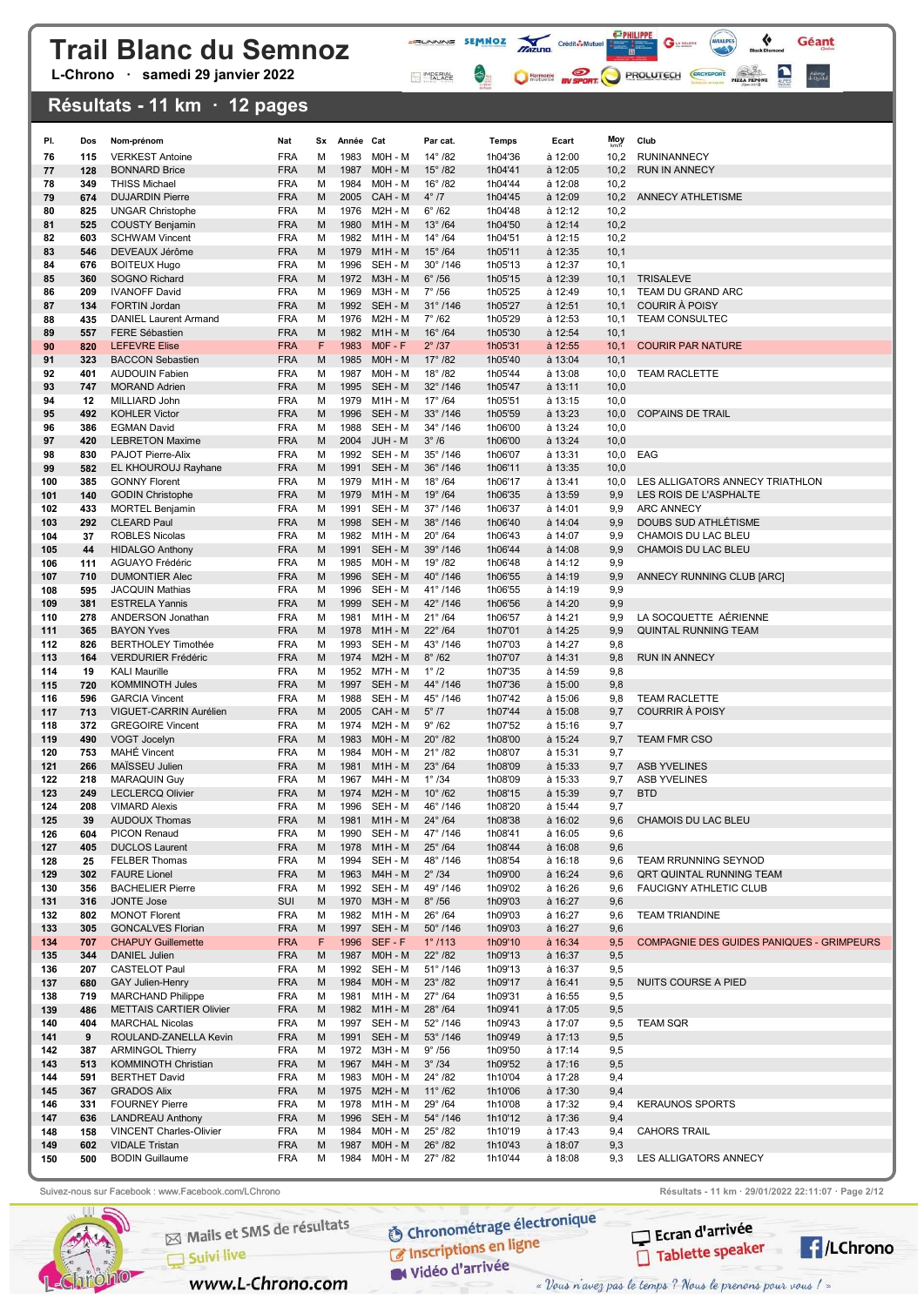L-Chrono · samedi 29 janvier 2022

### Résultats - 11 km · 12 pages

| PI.        | Dos        | Nom-prénom                                             | Nat                      | Sx     | Année Cat    |                              | Par cat.                              | <b>Temps</b>       | Ecart              | Moy          | Club                                             |
|------------|------------|--------------------------------------------------------|--------------------------|--------|--------------|------------------------------|---------------------------------------|--------------------|--------------------|--------------|--------------------------------------------------|
| 76         | 115        | <b>VERKEST Antoine</b>                                 | <b>FRA</b>               | M      | 1983         | MOH - M                      | $14^{\circ}$ /82                      | 1h04'36            | à 12:00            | 10,2         | <b>RUNINANNECY</b>                               |
| 77         | 128        | <b>BONNARD Brice</b>                                   | <b>FRA</b>               | M      | 1987         | MOH - M                      | $15^{\circ}$ /82                      | 1h04'41            | à 12:05            | 10,2         | <b>RUN IN ANNECY</b>                             |
| 78         | 349        | <b>THISS Michael</b>                                   | <b>FRA</b>               | М      | 1984         | MOH - M                      | $16^{\circ}$ /82                      | 1h04'44            | à 12:08            | 10,2         |                                                  |
| 79         | 674        | <b>DUJARDIN Pierre</b>                                 | <b>FRA</b>               | M      | 2005         | CAH - M                      | $4^{\circ}$ /7                        | 1h04'45            | à 12:09            | 10,2         | ANNECY ATHLETISME                                |
| 80         | 825        | <b>UNGAR Christophe</b>                                | <b>FRA</b>               | M      | 1976         | M2H - M                      | $6^{\circ}$ /62                       | 1h04'48            | à 12:12            | 10,2         |                                                  |
| 81         | 525        | <b>COUSTY Benjamin</b>                                 | <b>FRA</b>               | M      | 1980         | $M1H - M$                    | $13^\circ$ /64                        | 1h04'50            | à 12:14            | 10,2         |                                                  |
| 82         | 603        | <b>SCHWAM Vincent</b>                                  | <b>FRA</b>               | M      | 1982         | M1H - M                      | $14^{\circ}$ /64                      | 1h04'51            | à 12:15            | 10,2         |                                                  |
| 83         | 546        | DEVEAUX Jérôme                                         | <b>FRA</b><br><b>FRA</b> | M      | 1979<br>1996 | $M1H - M$<br>SEH - M         | $15^{\circ}$ /64<br>$30^{\circ}$ /146 | 1h05'11            | à 12:35<br>à 12:37 | 10,1<br>10,1 |                                                  |
| 84<br>85   | 676<br>360 | <b>BOITEUX Hugo</b><br><b>SOGNO Richard</b>            | <b>FRA</b>               | м<br>M |              | 1972 M3H - M                 | $6^\circ$ /56                         | 1h05'13<br>1h05'15 | à 12:39            | 10,1         | <b>TRISALEVE</b>                                 |
| 86         | 209        | <b>IVANOFF David</b>                                   | <b>FRA</b>               | м      | 1969         | <b>M3H - M</b>               | $7^\circ$ /56                         | 1h05'25            | à 12:49            | 10,1         | TEAM DU GRAND ARC                                |
| 87         | 134        | <b>FORTIN Jordan</b>                                   | <b>FRA</b>               | M      | 1992         | SEH - M                      | $31^{\circ}$ /146                     | 1h05'27            | à 12:51            | 10,1         | <b>COURIR À POISY</b>                            |
| 88         | 435        | DANIEL Laurent Armand                                  | <b>FRA</b>               | М      | 1976         | M2H - M                      | $7^\circ$ /62                         | 1h05'29            | à 12:53            | 10,1         | <b>TEAM CONSULTEC</b>                            |
| 89         | 557        | <b>FERE Sébastien</b>                                  | <b>FRA</b>               | M      | 1982         | $M1H - M$                    | $16^\circ$ /64                        | 1h05'30            | à 12:54            | 10,1         |                                                  |
| 90         | 820        | <b>LEFEVRE Elise</b>                                   | <b>FRA</b>               | F      | 1983         | $MOF - F$                    | $2^\circ$ /37                         | 1h05'31            | à 12:55            | 10,1         | <b>COURIR PAR NATURE</b>                         |
| 91         | 323        | <b>BACCON Sebastien</b>                                | <b>FRA</b>               | M      | 1985         | M0H - M                      | $17^{\circ}$ /82                      | 1h05'40            | $\hat{a}$ 13:04    | 10,1         |                                                  |
| 92         | 401        | <b>AUDOUIN Fabien</b>                                  | <b>FRA</b>               | М      | 1987         | M0H - M                      | $18^{\circ}$ /82                      | 1h05'44            | à 13:08            | 10,0         | <b>TEAM RACLETTE</b>                             |
| 93<br>94   | 747<br>12  | <b>MORAND Adrien</b><br>MILLIARD John                  | <b>FRA</b><br><b>FRA</b> | M<br>M | 1995<br>1979 | SEH - M<br>M1H - M           | 32°/146<br>$17^{\circ}$ /64           | 1h05'47<br>1h05'51 | à 13:11<br>à 13:15 | 10,0<br>10,0 |                                                  |
| 95         | 492        | <b>KOHLER Victor</b>                                   | <b>FRA</b>               | M      | 1996         | SEH - M                      | $33^{\circ}$ /146                     | 1h05'59            | à 13:23            | 10,0         | <b>COP'AINS DE TRAIL</b>                         |
| 96         | 386        | <b>EGMAN David</b>                                     | <b>FRA</b>               | M      | 1988         | SEH - M                      | 34°/146                               | 1h06'00            | à 13:24            | 10,0         |                                                  |
| 97         | 420        | <b>LEBRETON Maxime</b>                                 | <b>FRA</b>               | M      | 2004         | JUH - M                      | $3^\circ/6$                           | 1h06'00            | à 13:24            | 10,0         |                                                  |
| 98         | 830        | PAJOT Pierre-Alix                                      | <b>FRA</b>               | M      | 1992         | SEH - M                      | $35^{\circ}$ /146                     | 1h06'07            | à 13:31            | 10,0         | EAG                                              |
| 99         | 582        | EL KHOUROUJ Rayhane                                    | <b>FRA</b>               | M      | 1991         | SEH - M                      | $36^{\circ}$ /146                     | 1h06'11            | à 13:35            | 10,0         |                                                  |
| 100        | 385        | <b>GONNY Florent</b>                                   | <b>FRA</b>               | M      | 1979         | M1H - M                      | $18^{\circ}$ /64                      | 1h06'17            | à 13:41            | 10,0         | LES ALLIGATORS ANNECY TRIATHLON                  |
| 101        | 140        | <b>GODIN Christophe</b>                                | <b>FRA</b>               | M      | 1979         | $M1H - M$                    | $19^{\circ}$ /64                      | 1h06'35            | à 13:59            | 9,9          | LES ROIS DE L'ASPHALTE                           |
| 102        | 433        | <b>MORTEL Benjamin</b>                                 | <b>FRA</b>               | M      | 1991         | SEH - M                      | $37^{\circ}$ /146                     | 1h06'37            | à 14:01            | 9,9          | <b>ARC ANNECY</b><br><b>DOUBS SUD ATHLÉTISME</b> |
| 103<br>104 | 292<br>37  | <b>CLEARD Paul</b><br><b>ROBLES Nicolas</b>            | <b>FRA</b><br><b>FRA</b> | M<br>M | 1998<br>1982 | SEH - M<br>$M1H - M$         | 38°/146<br>$20^\circ$ /64             | 1h06'40<br>1h06'43 | à 14:04<br>à 14:07 | 9,9<br>9,9   | CHAMOIS DU LAC BLEU                              |
| 105        | 44         | <b>HIDALGO Anthony</b>                                 | <b>FRA</b>               | M      | 1991         | SEH - M                      | $39^{\circ}$ /146                     | 1h06'44            | à 14:08            | 9,9          | CHAMOIS DU LAC BLEU                              |
| 106        | 111        | <b>AGUAYO Frédéric</b>                                 | <b>FRA</b>               | м      | 1985         | MOH - M                      | $19^{\circ}$ /82                      | 1h06'48            | à 14:12            | 9,9          |                                                  |
| 107        | 710        | <b>DUMONTIER Alec</b>                                  | <b>FRA</b>               | M      | 1996         | SEH - M                      | 40°/146                               | 1h06'55            | à 14:19            | 9,9          | ANNECY RUNNING CLUB [ARC]                        |
| 108        | 595        | <b>JACQUIN Mathias</b>                                 | <b>FRA</b>               | М      | 1996         | SEH - M                      | 41°/146                               | 1h06'55            | à 14:19            | 9,9          |                                                  |
| 109        | 381        | <b>ESTRELA Yannis</b>                                  | <b>FRA</b>               | M      | 1999         | SEH - M                      | 42°/146                               | 1h06'56            | à 14:20            | 9,9          |                                                  |
| 110        | 278        | ANDERSON Jonathan                                      | <b>FRA</b>               | м      | 1981         | $M1H - M$                    | $21^{\circ}$ /64                      | 1h06'57            | à 14:21            | 9,9          | LA SOCQUETTE AÉRIENNE                            |
| 111<br>112 | 365<br>826 | <b>BAYON Yves</b>                                      | <b>FRA</b>               | M      | 1978<br>1993 | $M1H - M$<br>SEH - M         | $22^{\circ}$ /64<br>43°/146           | 1h07'01            | à 14:25            | 9,9          | QUINTAL RUNNING TEAM                             |
| 113        | 164        | <b>BERTHOLEY Timothée</b><br><b>VERDURIER Frédéric</b> | <b>FRA</b><br><b>FRA</b> | М<br>M | 1974         | $M2H - M$                    | $8^\circ$ /62                         | 1h07'03<br>1h07'07 | à 14:27<br>à 14:31 | 9,8<br>9,8   | <b>RUN IN ANNECY</b>                             |
| 114        | 19         | <b>KALI Maurille</b>                                   | <b>FRA</b>               | M      | 1952         | M7H - M                      | $1^\circ$ /2                          | 1h07'35            | à 14:59            | 9,8          |                                                  |
| 115        | 720        | <b>KOMMINOTH Jules</b>                                 | <b>FRA</b>               | M      | 1997         | SEH - M                      | 44°/146                               | 1h07'36            | à 15:00            | 9,8          |                                                  |
| 116        | 596        | <b>GARCIA Vincent</b>                                  | <b>FRA</b>               | M      | 1988         | SEH - M                      | 45°/146                               | 1h07'42            | à 15:06            | 9,8          | <b>TEAM RACLETTE</b>                             |
| 117        | 713        | VIGUET-CARRIN Aurélien                                 | <b>FRA</b>               | M      | 2005         | CAH - M                      | $5^\circ$ /7                          | 1h07'44            | à 15:08            | 9,7          | <b>COURRIR À POISY</b>                           |
| 118        | 372        | <b>GREGOIRE Vincent</b>                                | <b>FRA</b>               | M      | 1974         | M2H - M                      | $9^{\circ}$ /62                       | 1h07'52            | à 15:16            | 9,7          |                                                  |
| 119        | 490        | VOGT Jocelyn<br><b>MAHÉ Vincent</b>                    | <b>FRA</b>               | M      | 1983         | M0H - M                      | $20^\circ$ /82<br>$21^{\circ}$ /82    | 1h08'00            | à 15:24            | 9,7          | <b>TEAM FMR CSO</b>                              |
| 120<br>121 | 753<br>266 | MAÏSSEU Julien                                         | <b>FRA</b><br><b>FRA</b> | М<br>M | 1984<br>1981 | M0H - M<br>$M1H - M$         | $23^\circ$ /64                        | 1h08'07<br>1h08'09 | à 15:31<br>à 15:33 | 9,7<br>9,7   | <b>ASB YVELINES</b>                              |
| 122        | 218        | MARAQUIN Guy                                           | <b>FRA</b>               | М      | 1967         | M4H - M                      | $1^{\circ}$ /34                       | 1h08'09            | à 15:33            | 9,7          | <b>ASB YVELINES</b>                              |
| 123        | 249        | <b>LECLERCQ Olivier</b>                                | <b>FRA</b>               | M      | 1974         | $M2H - M$                    | $10^{\circ}$ /62                      | 1h08'15            | à 15:39            | 9,7          | <b>BTD</b>                                       |
| 124        | 208        | <b>VIMARD Alexis</b>                                   | <b>FRA</b>               | M      | 1996         | SEH - M                      | 46°/146                               | 1h08'20            | à 15:44            | 9,7          |                                                  |
| 125        | 39         | AUDOUX Thomas                                          | FRA                      | M      | 1981         | M1H - M                      | $24^{\circ}$ /64                      | 1h08'38            | $\hat{a}$ 16:02    | 9,6          | CHAMOIS DU LAC BLEU                              |
| 126        | 604        | PICON Renaud                                           | <b>FRA</b>               | М      | 1990         | SEH - M                      | 47°/146                               | 1h08'41            | à 16:05            | 9,6          |                                                  |
| 127        | 405        | <b>DUCLOS Laurent</b>                                  | <b>FRA</b>               | M      | 1978         | $M1H - M$                    | $25^\circ$ /64                        | 1h08'44            | à 16:08            | 9,6          |                                                  |
| 128<br>129 | 25<br>302  | <b>FELBER Thomas</b><br><b>FAURE Lionel</b>            | <b>FRA</b><br><b>FRA</b> | м<br>M |              | 1994 SEH - M<br>1963 M4H - M | 48°/146<br>$2^\circ$ /34              | 1h08'54<br>1h09'00 | à 16:18<br>à 16:24 | 9,6<br>9,6   | TEAM RRUNNING SEYNOD<br>QRT QUINTAL RUNNING TEAM |
| 130        | 356        | <b>BACHELIER Pierre</b>                                | <b>FRA</b>               | м      |              | 1992 SEH - M                 | 49°/146                               | 1h09'02            | à 16:26            | 9,6          | <b>FAUCIGNY ATHLETIC CLUB</b>                    |
| 131        | 316        | <b>JONTE Jose</b>                                      | SUI                      | M      |              | 1970 M3H - M                 | $8^\circ$ /56                         | 1h09'03            | à 16:27            | 9,6          |                                                  |
| 132        | 802        | <b>MONOT Florent</b>                                   | <b>FRA</b>               | м      |              | 1982 M1H - M                 | $26^\circ$ /64                        | 1h09'03            | à 16:27            | 9,6          | <b>TEAM TRIANDINE</b>                            |
| 133        | 305        | <b>GONCALVES Florian</b>                               | <b>FRA</b>               | M      | 1997         | SEH - M                      | $50^{\circ}$ /146                     | 1h09'03            | à 16:27            | 9,6          |                                                  |
| 134        | 707        | <b>CHAPUY Guillemette</b>                              | <b>FRA</b>               | F      | 1996         | SEF-F                        | $1^{\circ}$ /113                      | 1h09'10            | à 16:34            | 9,5          | COMPAGNIE DES GUIDES PANIQUES - GRIMPEURS        |
| 135        | 344        | <b>DANIEL Julien</b>                                   | <b>FRA</b>               | M      |              | 1987 M0H - M                 | $22^{\circ}$ /82                      | 1h09'13            | à 16:37            | 9,5          |                                                  |
| 136<br>137 | 207<br>680 | <b>CASTELOT Paul</b><br><b>GAY Julien-Henry</b>        | <b>FRA</b><br><b>FRA</b> | М<br>M | 1984         | 1992 SEH - M<br>$MOH - M$    | $51^{\circ}$ /146<br>$23^\circ/82$    | 1h09'13<br>1h09'17 | à 16:37<br>à 16:41 | 9,5<br>9,5   | NUITS COURSE A PIED                              |
| 138        | 719        | <b>MARCHAND Philippe</b>                               | <b>FRA</b>               | М      | 1981         | $M1H - M$                    | $27^{\circ}$ /64                      | 1h09'31            | à 16:55            | 9,5          |                                                  |
| 139        | 486        | <b>METTAIS CARTIER Olivier</b>                         | <b>FRA</b>               | M      |              | 1982 M1H-M                   | $28^\circ$ /64                        | 1h09'41            | à 17:05            | 9,5          |                                                  |
| 140        | 404        | <b>MARCHAL Nicolas</b>                                 | <b>FRA</b>               | М      |              | 1997 SEH - M                 | $52^{\circ}$ /146                     | 1h09'43            | à 17:07            | 9,5          | <b>TEAM SQR</b>                                  |
| 141        | 9          | ROULAND-ZANELLA Kevin                                  | <b>FRA</b>               | M      |              | 1991 SEH-M                   | $53^{\circ}$ /146                     | 1h09'49            | à 17:13            | 9,5          |                                                  |
| 142        | 387        | <b>ARMINGOL Thierry</b>                                | <b>FRA</b>               | М      |              | 1972 M3H - M                 | $9^{\circ}$ /56                       | 1h09'50            | à 17:14            | 9,5          |                                                  |
| 143        | 513        | <b>KOMMINOTH Christian</b>                             | <b>FRA</b>               | M      | 1967         | M4H - M                      | $3^\circ$ /34                         | 1h09'52            | à 17:16            | 9,5          |                                                  |
| 144        | 591        | <b>BERTHET David</b>                                   | <b>FRA</b>               | М      | 1983         | MOH - M                      | $24^{\circ}$ /82                      | 1h10'04            | à 17:28            | 9,4          |                                                  |
| 145<br>146 | 367<br>331 | <b>GRADOS Alix</b><br><b>FOURNEY Pierre</b>            | <b>FRA</b><br><b>FRA</b> | M<br>м | 1975<br>1978 | M2H - M<br>M1H - M           | $11^{\circ}$ /62<br>$29^\circ$ /64    | 1h10'06<br>1h10'08 | à 17:30<br>à 17:32 | 9,4<br>9,4   | <b>KERAUNOS SPORTS</b>                           |
| 147        | 636        | <b>LANDREAU Anthony</b>                                | <b>FRA</b>               | M      | 1996         | SEH - M                      | $54^{\circ}$ /146                     | 1h10'12            | à 17:36            | 9,4          |                                                  |
| 148        | 158        | <b>VINCENT Charles-Olivier</b>                         | <b>FRA</b>               | М      | 1984         | M0H - M                      | $25^\circ$ /82                        | 1h10'19            | à 17:43            | 9,4          | <b>CAHORS TRAIL</b>                              |
| 149        | 602        | <b>VIDALE Tristan</b>                                  | <b>FRA</b>               | M      | 1987         | MOH - M                      | $26^\circ$ /82                        | 1h10'43            | à 18:07            | 9,3          |                                                  |
| 150        | 500        | <b>BODIN Guillaume</b>                                 | <b>FRA</b>               | м      | 1984         | MOH - M                      | $27^{\circ}$ /82                      | 1h10'44            | à 18:08            | 9,3          | LES ALLIGATORS ANNECY                            |

**FRUNNING SEMMOZ MIZURO** Crédit**ô-Multier de la Caracteria de la Caracteria de la Caracteria de la Caracteria de la Caracteria de la Caracteria de la Caracteria de la Caracteria de la Caracteria de la Caracteria de la Cara** 

MPERIAL

 $\leftrightarrow$ 

 $\mathbf{G}$  in case of

C Harmonic By SPORT PROLUTECH CRO'SPORT PIZZ PROM

 $\leftrightarrow$ 

Géant

Auberge<br>de Quintal



Mails et SMS de résultats  $\Box$  Suivi live

www.L-Chrono.com

**O Chronométrage électronique** C Inscriptions en ligne

W Vidéo d'arrivée

Suivez-nous sur Facebook : www.Facebook.com/LChrono Resultats - 11 km · 29/01/2022 22:11:07 · Page 2/12



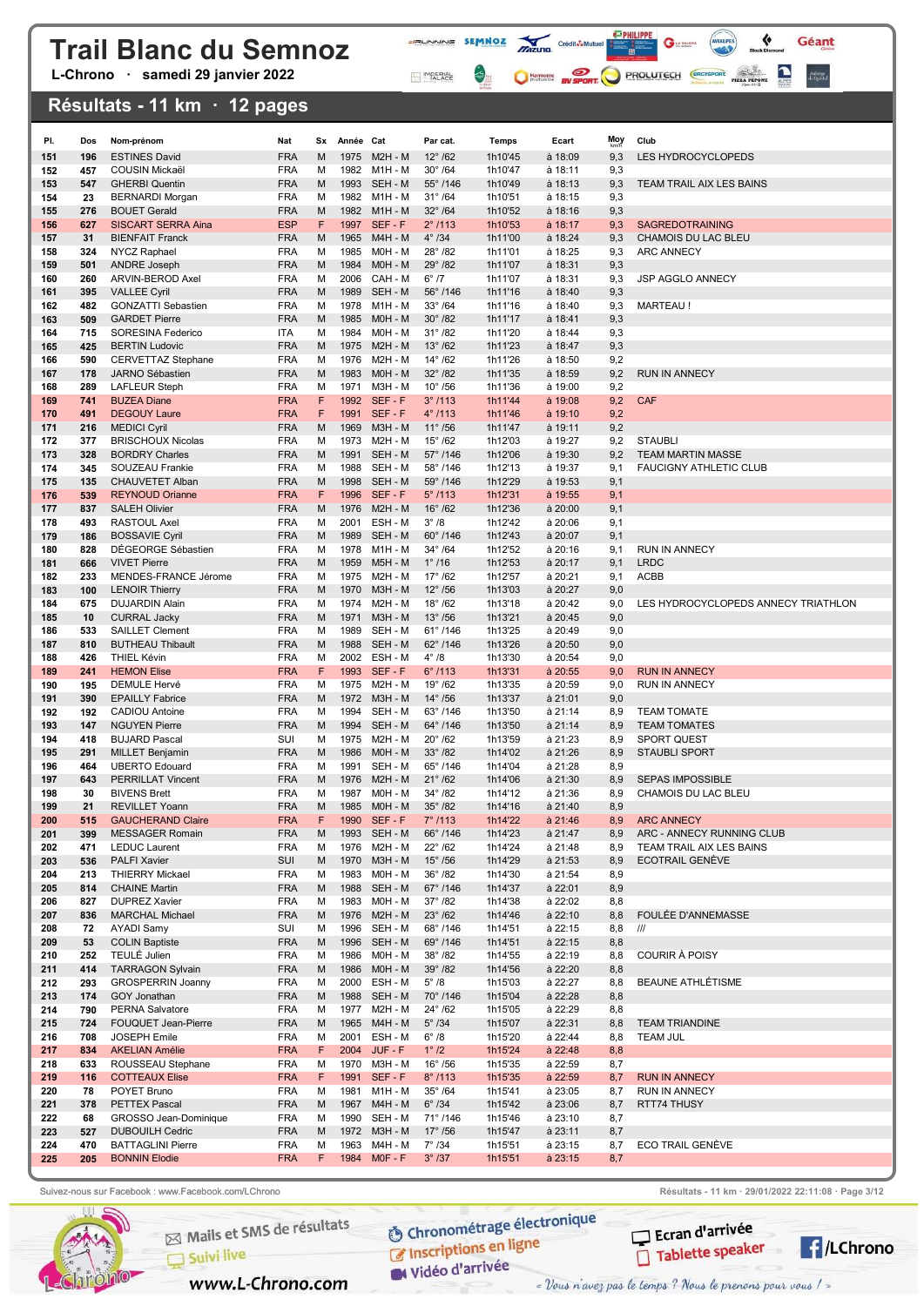L-Chrono · samedi 29 janvier 2022

### Résultats - 11 km · 12 pages

| PI.        | Dos        | Nom-prénom                                          | Nat                      | Sx     | Année Cat    |                            | Par cat.                               | Temps              | Ecart                | <b>Moy</b> | Club                                                  |
|------------|------------|-----------------------------------------------------|--------------------------|--------|--------------|----------------------------|----------------------------------------|--------------------|----------------------|------------|-------------------------------------------------------|
| 151        | 196        | <b>ESTINES David</b>                                | <b>FRA</b>               | M      | 1975         | $M2H - M$                  | $12^{\circ}$ /62                       | 1h10'45            | à 18:09              | 9,3        | LES HYDROCYCLOPEDS                                    |
| 152        | 457        | <b>COUSIN Mickaël</b>                               | <b>FRA</b>               | M      | 1982         | M1H - M                    | $30^\circ$ /64                         | 1h10'47            | à 18:11              | 9,3        |                                                       |
| 153        | 547        | <b>GHERBI Quentin</b>                               | <b>FRA</b>               | M      | 1993         | SEH - M                    | $55^{\circ}$ /146                      | 1h10'49            | à 18:13              | 9,3        | TEAM TRAIL AIX LES BAINS                              |
| 154        | 23         | <b>BERNARDI Morgan</b>                              | <b>FRA</b>               | M      | 1982         | M1H - M                    | $31^{\circ}$ /64                       | 1h10'51            | à 18:15              | 9,3        |                                                       |
| 155        | 276        | <b>BOUET Gerald</b>                                 | <b>FRA</b>               | M      | 1982         | $M1H - M$                  | $32^\circ$ /64                         | 1h10'52            | $a$ 18:16            | 9,3        |                                                       |
| 156<br>157 | 627<br>31  | <b>SISCART SERRA Aina</b><br><b>BIENFAIT Franck</b> | <b>ESP</b><br><b>FRA</b> | F<br>M | 1965         | 1997 SEF-F<br>M4H - M      | $2^{\circ}$ /113<br>$4^\circ$ /34      | 1h10'53<br>1h11'00 | à 18:17<br>à 18:24   | 9,3<br>9,3 | <b>SAGREDOTRAINING</b><br>CHAMOIS DU LAC BLEU         |
| 158        | 324        | NYCZ Raphael                                        | <b>FRA</b>               | M      | 1985         | MOH - M                    | $28^{\circ}$ /82                       | 1h11'01            | à 18:25              | 9,3        | <b>ARC ANNECY</b>                                     |
| 159        | 501        | <b>ANDRE Joseph</b>                                 | <b>FRA</b>               | M      | 1984         | MOH - M                    | 29°/82                                 | 1h11'07            | à 18:31              | 9,3        |                                                       |
| 160        | 260        | ARVIN-BEROD Axel                                    | <b>FRA</b>               | M      | 2006         | CAH - M                    | $6^{\circ}$ /7                         | 1h11'07            | à 18:31              | 9,3        | <b>JSP AGGLO ANNECY</b>                               |
| 161        | 395        | <b>VALLEE Cyril</b>                                 | <b>FRA</b>               | M      | 1989         | SEH - M                    | $56^{\circ}$ /146                      | 1h11'16            | $\hat{a}$ 18:40      | 9,3        |                                                       |
| 162        | 482        | <b>GONZATTI Sebastien</b>                           | <b>FRA</b>               | M      | 1978         | M1H - M                    | $33^\circ/64$                          | 1h11'16            | à 18:40              | 9,3        | <b>MARTEAU!</b>                                       |
| 163        | 509        | <b>GARDET Pierre</b>                                | <b>FRA</b>               | M      | 1985         | M0H - M                    | $30^\circ/82$                          | 1h11'17            | à 18:41              | 9,3        |                                                       |
| 164<br>165 | 715<br>425 | SORESINA Federico<br><b>BERTIN Ludovic</b>          | <b>ITA</b><br><b>FRA</b> | M<br>M | 1984<br>1975 | MOH - M<br>$M2H - M$       | $31^{\circ}$ /82<br>$13^{\circ}$ /62   | 1h11'20<br>1h11'23 | à 18:44<br>$a$ 18:47 | 9,3<br>9,3 |                                                       |
| 166        | 590        | <b>CERVETTAZ Stephane</b>                           | <b>FRA</b>               | M      | 1976         | M2H - M                    | $14^{\circ}$ /62                       | 1h11'26            | à 18:50              | 9,2        |                                                       |
| 167        | 178        | JARNO Sébastien                                     | <b>FRA</b>               | M      | 1983         | MOH - M                    | $32^{\circ}$ /82                       | 1h11'35            | à 18:59              | 9,2        | <b>RUN IN ANNECY</b>                                  |
| 168        | 289        | <b>LAFLEUR Steph</b>                                | <b>FRA</b>               | M      | 1971         | M3H - M                    | $10^{\circ}$ /56                       | 1h11'36            | à 19:00              | 9,2        |                                                       |
| 169        | 741        | <b>BUZEA Diane</b>                                  | <b>FRA</b>               | F      | 1992         | SEF-F                      | 3°/113                                 | 1h11'44            | à 19:08              | 9,2        | <b>CAF</b>                                            |
| 170        | 491        | <b>DEGOUY Laure</b>                                 | <b>FRA</b>               | F      | 1991         | SEF-F                      | $4^{\circ}$ /113                       | 1h11'46            | $\hat{a}$ 19:10      | 9,2        |                                                       |
| 171        | 216        | <b>MEDICI Cyril</b>                                 | <b>FRA</b>               | M      | 1969         | <b>M3H - M</b>             | $11^{\circ}$ /56                       | 1h11'47            | à 19:11              | 9,2        |                                                       |
| 172<br>173 | 377<br>328 | <b>BRISCHOUX Nicolas</b><br><b>BORDRY Charles</b>   | <b>FRA</b><br><b>FRA</b> | M<br>M | 1973<br>1991 | M2H - M<br>SEH - M         | $15^{\circ}$ /62<br>$57^{\circ}$ /146  | 1h12'03<br>1h12'06 | à 19:27<br>à 19:30   | 9,2<br>9,2 | <b>STAUBLI</b><br><b>TEAM MARTIN MASSE</b>            |
| 174        | 345        | SOUZEAU Frankie                                     | <b>FRA</b>               | M      | 1988         | SEH - M                    | 58°/146                                | 1h12'13            | à 19:37              | 9,1        | <b>FAUCIGNY ATHLETIC CLUB</b>                         |
| 175        | 135        | CHAUVETET Alban                                     | <b>FRA</b>               | M      | 1998         | SEH - M                    | $59^{\circ}$ /146                      | 1h12'29            | à 19:53              | 9,1        |                                                       |
| 176        | 539        | <b>REYNOUD Orianne</b>                              | <b>FRA</b>               | F      | 1996         | SEF-F                      | $5^{\circ}$ /113                       | 1h12'31            | à 19:55              | 9,1        |                                                       |
| 177        | 837        | <b>SALEH Olivier</b>                                | <b>FRA</b>               | M      | 1976         | M2H - M                    | $16^{\circ}$ /62                       | 1h12'36            | $a$ 20:00            | 9,1        |                                                       |
| 178        | 493        | <b>RASTOUL Axel</b>                                 | <b>FRA</b>               | M      | 2001         | ESH - M                    | $3^\circ/8$                            | 1h12'42            | à 20:06              | 9,1        |                                                       |
| 179<br>180 | 186<br>828 | <b>BOSSAVIE Cyril</b><br>DÉGEORGE Sébastien         | <b>FRA</b><br><b>FRA</b> | M<br>M | 1989<br>1978 | SEH - M<br>M1H - M         | $60^{\circ}$ /146<br>$34^{\circ}$ /64  | 1h12'43<br>1h12'52 | à 20:07<br>à 20:16   | 9,1<br>9,1 | RUN IN ANNECY                                         |
| 181        | 666        | <b>VIVET Pierre</b>                                 | <b>FRA</b>               | M      | 1959         | <b>M5H - M</b>             | $1^{\circ}$ /16                        | 1h12'53            | à 20:17              | 9,1        | <b>LRDC</b>                                           |
| 182        | 233        | MENDES-FRANCE Jérome                                | <b>FRA</b>               | M      | 1975         | <b>M2H - M</b>             | $17^{\circ}$ /62                       | 1h12'57            | à 20:21              | 9,1        | <b>ACBB</b>                                           |
| 183        | 100        | <b>LENOIR Thierry</b>                               | <b>FRA</b>               | M      | 1970         | <b>M3H - M</b>             | $12^{\circ}$ /56                       | 1h13'03            | à 20:27              | 9,0        |                                                       |
| 184        | 675        | <b>DUJARDIN Alain</b>                               | <b>FRA</b>               | M      | 1974         | M2H - M                    | $18^{\circ}$ /62                       | 1h13'18            | à 20:42              | 9,0        | LES HYDROCYCLOPEDS ANNECY TRIATHLON                   |
| 185        | 10         | <b>CURRAL Jacky</b>                                 | <b>FRA</b>               | M      | 1971         | <b>M3H - M</b>             | $13^{\circ}$ /56                       | 1h13'21            | à 20:45              | 9,0        |                                                       |
| 186<br>187 | 533<br>810 | <b>SAILLET Clement</b><br><b>BUTHEAU Thibault</b>   | <b>FRA</b><br><b>FRA</b> | M<br>M | 1989<br>1988 | SEH - M<br>SEH - M         | $61^{\circ}$ /146<br>$62^{\circ}$ /146 | 1h13'25<br>1h13'26 | à 20:49              | 9,0        |                                                       |
| 188        | 426        | <b>THIEL Kévin</b>                                  | <b>FRA</b>               | М      | 2002         | ESH - M                    | $4^\circ/8$                            | 1h13'30            | à 20:50<br>à 20:54   | 9,0<br>9,0 |                                                       |
| 189        | 241        | <b>HEMON Elise</b>                                  | <b>FRA</b>               | F      |              | 1993 SEF-F                 | $6^{\circ}$ /113                       | 1h13'31            | à 20:55              | 9,0        | <b>RUN IN ANNECY</b>                                  |
| 190        | 195        | DEMULE Hervé                                        | <b>FRA</b>               | M      | 1975         | <b>M2H - M</b>             | $19^{\circ}$ /62                       | 1h13'35            | à 20:59              | 9,0        | RUN IN ANNECY                                         |
| 191        | 390        | <b>EPAILLY Fabrice</b>                              | <b>FRA</b>               | M      | 1972         | M3H - M                    | $14^{\circ}$ /56                       | 1h13'37            | à 21:01              | 9,0        |                                                       |
| 192        | 192        | <b>CADIOU Antoine</b>                               | <b>FRA</b>               | М      | 1994         | SEH - M                    | $63^{\circ}$ /146                      | 1h13'50            | à 21:14              | 8,9        | <b>TEAM TOMATE</b>                                    |
| 193        | 147<br>418 | <b>NGUYEN Pierre</b><br><b>BUJARD Pascal</b>        | <b>FRA</b><br>SUI        | M<br>М | 1994<br>1975 | SEH - M<br>M2H - M         | 64°/146<br>$20^\circ$ /62              | 1h13'50<br>1h13'59 | à 21:14<br>à 21:23   | 8,9<br>8,9 | <b>TEAM TOMATES</b><br><b>SPORT QUEST</b>             |
| 194<br>195 | 291        | <b>MILLET Benjamin</b>                              | <b>FRA</b>               | M      | 1986         | M0H - M                    | $33^\circ/82$                          | 1h14'02            | à 21:26              | 8,9        | <b>STAUBLI SPORT</b>                                  |
| 196        | 464        | <b>UBERTO Edouard</b>                               | <b>FRA</b>               | М      | 1991         | SEH - M                    | 65°/146                                | 1h14'04            | à 21:28              | 8,9        |                                                       |
| 197        | 643        | <b>PERRILLAT Vincent</b>                            | <b>FRA</b>               | M      | 1976         | <b>M2H - M</b>             | $21^{\circ}$ /62                       | 1h14'06            | à 21:30              | 8,9        | <b>SEPAS IMPOSSIBLE</b>                               |
| 198        | 30         | <b>BIVENS Brett</b>                                 | <b>FRA</b>               | M      | 1987         | MOH - M                    | $34^{\circ}$ /82                       | 1h14'12            | à 21:36              | 8,9        | CHAMOIS DU LAC BLEU                                   |
| 199        | 21         | <b>REVILLET Yoann</b>                               | <b>FRA</b>               | M      | 1985         | MOH - M                    | $35^{\circ}$ /82                       | 1h14'16            | à 21:40              | 8,9        |                                                       |
| 200        | 515        | <b>GAUCHERAND Claire</b>                            | <b>FRA</b>               |        | 1990         | SEF-F                      | $7^{\circ}$ /113                       | 1h14'22            | à 21:46              | 8,9        | ARC ANNECY                                            |
| 201<br>202 | 399<br>471 | <b>MESSAGER Romain</b><br><b>LEDUC Laurent</b>      | <b>FRA</b><br><b>FRA</b> | M<br>M | 1976         | 1993 SEH - M<br>M2H - M    | 66°/146<br>$22^{\circ}$ /62            | 1h14'23<br>1h14'24 | à 21:47<br>à 21:48   | 8,9<br>8,9 | ARC - ANNECY RUNNING CLUB<br>TEAM TRAIL AIX LES BAINS |
| 203        | 536        | <b>PALFI Xavier</b>                                 | SUI                      | M      |              | 1970 M3H - M               | $15^{\circ}$ /56                       | 1h14'29            | à 21:53              | 8,9        | ECOTRAIL GENÈVE                                       |
| 204        | 213        | <b>THIERRY Mickael</b>                              | <b>FRA</b>               | М      |              | 1983 M0H - M               | $36^{\circ}$ /82                       | 1h14'30            | à 21:54              | 8,9        |                                                       |
| 205        | 814        | <b>CHAINE Martin</b>                                | <b>FRA</b>               | M      |              | 1988 SEH-M                 | 67°/146                                | 1h14'37            | à 22:01              | 8,9        |                                                       |
| 206        | 827        | <b>DUPREZ Xavier</b>                                | <b>FRA</b>               | М      | 1983         | MOH - M                    | $37^{\circ}$ /82                       | 1h14'38            | à 22:02              | 8,8        |                                                       |
| 207        | 836<br>72  | <b>MARCHAL Michael</b><br><b>AYADI Samy</b>         | <b>FRA</b><br>SUI        | М<br>М | 1996         | 1976 M2H - M<br>SEH - M    | $23^\circ$ /62<br>68°/146              | 1h14'46<br>1h14'51 | à 22:10<br>à 22:15   | 8,8<br>8,8 | FOULÉE D'ANNEMASSE<br>III                             |
| 208<br>209 | 53         | <b>COLIN Baptiste</b>                               | <b>FRA</b>               | М      |              | 1996 SEH - M               | 69°/146                                | 1h14'51            | à 22:15              | 8,8        |                                                       |
| 210        | 252        | TEULÉ Julien                                        | <b>FRA</b>               | М      | 1986         | MOH - M                    | $38^{\circ}$ /82                       | 1h14'55            | à 22:19              | 8,8        | COURIR À POISY                                        |
| 211        | 414        | <b>TARRAGON Sylvain</b>                             | <b>FRA</b>               | М      | 1986         | $MOH - M$                  | $39^\circ$ /82                         | 1h14'56            | à 22:20              | 8,8        |                                                       |
| 212        | 293        | <b>GROSPERRIN Joanny</b>                            | <b>FRA</b>               | м      |              | 2000 ESH-M                 | $5^\circ/8$                            | 1h15'03            | à 22:27              | 8,8        | <b>BEAUNE ATHLÉTISME</b>                              |
| 213        | 174        | GOY Jonathan                                        | <b>FRA</b>               | M      |              | 1988 SEH - M               | $70^{\circ}$ /146                      | 1h15'04            | à 22:28              | 8,8        |                                                       |
| 214        | 790        | <b>PERNA Salvatore</b>                              | <b>FRA</b>               | м      |              | 1977 M2H - M               | $24^{\circ}$ /62                       | 1h15'05            | à 22:29              | 8,8        |                                                       |
| 215<br>216 | 724<br>708 | FOUQUET Jean-Pierre<br>JOSEPH Emile                 | <b>FRA</b><br><b>FRA</b> | M<br>м |              | 1965 M4H - M<br>2001 ESH-M | $5^\circ$ /34<br>$6^{\circ}$ /8        | 1h15'07<br>1h15'20 | à 22:31<br>à 22:44   | 8,8<br>8,8 | <b>TEAM TRIANDINE</b><br><b>TEAM JUL</b>              |
| 217        | 834        | <b>AKELIAN Amélie</b>                               | <b>FRA</b>               | F      |              | 2004 JUF - F               | $1^\circ$ /2                           | 1h15'24            | $a$ 22:48            | 8,8        |                                                       |
| 218        | 633        | ROUSSEAU Stephane                                   | FRA                      | М      |              | 1970 M3H - M               | $16^{\circ}$ /56                       | 1h15'35            | à 22:59              | 8,7        |                                                       |
| 219        | 116        | <b>COTTEAUX Elise</b>                               | <b>FRA</b>               | F      |              | 1991 SEF-F                 | $8^{\circ}$ /113                       | 1h15'35            | à 22:59              | 8,7        | <b>RUN IN ANNECY</b>                                  |
| 220        | 78         | POYET Bruno                                         | FRA                      | М      | 1981         | M1H - M                    | $35^\circ$ /64                         | 1h15'41            | à 23:05              | 8,7        | RUN IN ANNECY                                         |
| 221        | 378        | <b>PETTEX Pascal</b>                                | <b>FRA</b>               | М      |              | 1967 M4H - M               | $6^\circ$ /34                          | 1h15'42            | à 23:06              | 8,7        | RTT74 THUSY                                           |
| 222        | 68         | GROSSO Jean-Dominique                               | <b>FRA</b>               | М      | 1990         | SEH - M                    | 71°/146                                | 1h15'46            | à 23:10              | 8,7        |                                                       |
| 223<br>224 | 527<br>470 | <b>DUBOUILH Cedric</b><br><b>BATTAGLINI Pierre</b>  | <b>FRA</b><br><b>FRA</b> | M<br>M | 1963         | 1972 M3H - M<br>M4H - M    | $17^{\circ}$ /56<br>$7^\circ$ /34      | 1h15'47<br>1h15'51 | à 23:11<br>à 23:15   | 8,7<br>8,7 | ECO TRAIL GENÈVE                                      |
| 225        | 205        | <b>BONNIN Elodie</b>                                | <b>FRA</b>               | F.     |              | 1984 MOF-F                 | $3^\circ$ /37                          | 1h15'51            | $a$ 23:15            | 8,7        |                                                       |
|            |            |                                                     |                          |        |              |                            |                                        |                    |                      |            |                                                       |

**FRUNNING SEMMOZ MIZURO** Crédit**ô-Multier de la Caracteria de la Caracteria de la Caracteria de la Caracteria de la Caracteria de la Caracteria de la Caracteria de la Caracteria de la Caracteria de la Caracteria de la Cara** 

MPERIAL

 $\leftrightarrow$ 

 $\mathbf{G}$  la salerie

C Harmonic By SPORT PROLUTECH CRO'SPORT

 $\leftarrow$ 

Géant

Auberge<br>de Quintal



Mails et SMS de résultats

www.L-Chrono.com

 $\Box$  Suivi live

**O Chronométrage électronique** C Inscriptions en ligne

W Vidéo d'arrivée

Suivez-nous sur Facebook : www.Facebook.com/LChrono Résultats - 11 km · 29/01/2022 22:11:08 · Page 3/12



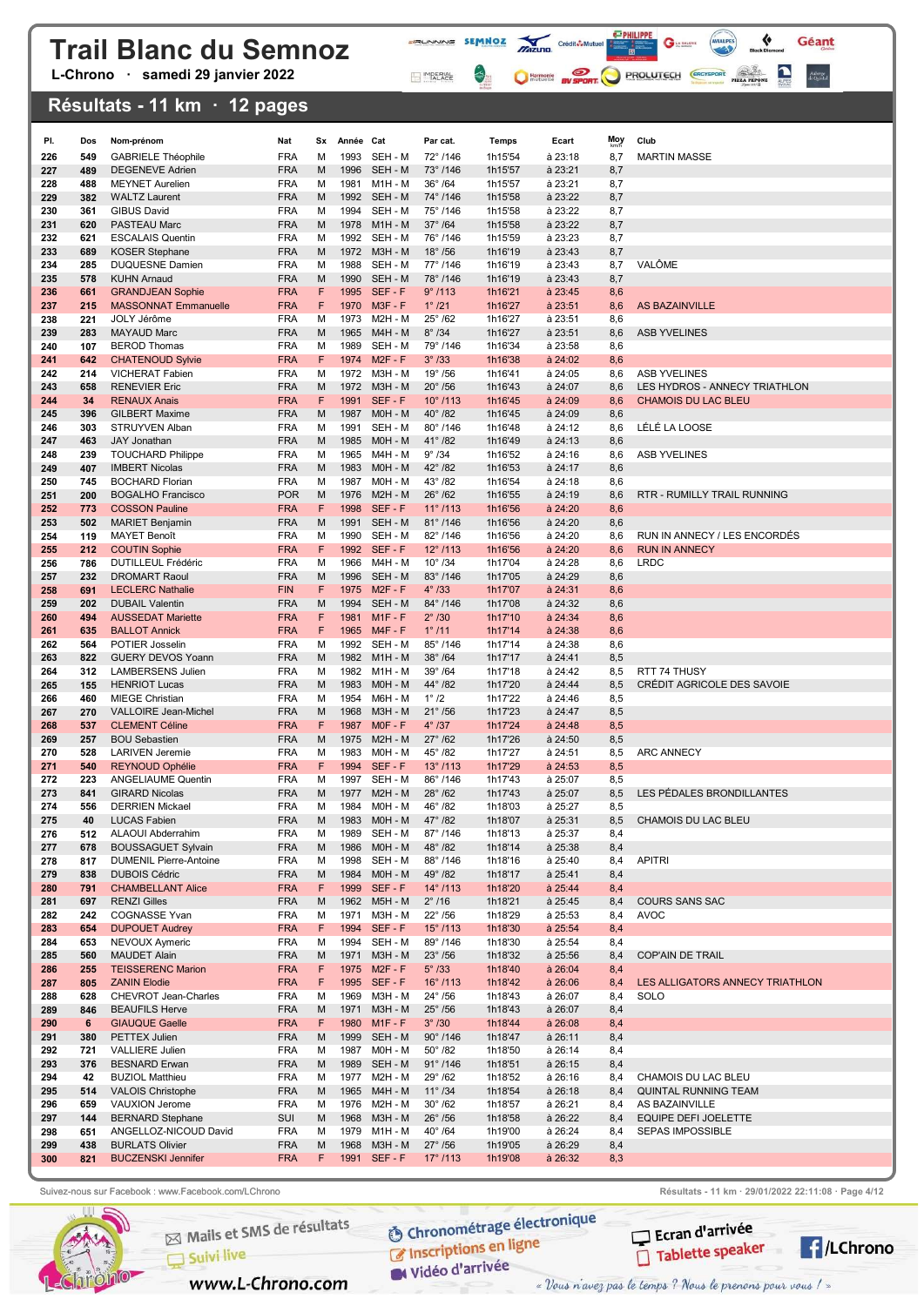L-Chrono · samedi 29 janvier 2022

### Résultats - 11 km · 12 pages

| PI.        | Dos        | Nom-prénom                                           | Nat                      | Sx      | Année Cat    |                              | Par cat.                              | Temps              | Ecart                  | Moy        | Club                            |
|------------|------------|------------------------------------------------------|--------------------------|---------|--------------|------------------------------|---------------------------------------|--------------------|------------------------|------------|---------------------------------|
| 226        | 549        | <b>GABRIELE Théophile</b>                            | <b>FRA</b>               | м       | 1993         | SEH - M                      | 72°/146                               | 1h15'54            | à 23:18                | 8,7        | <b>MARTIN MASSE</b>             |
| 227        | 489        | <b>DEGENEVE Adrien</b>                               | <b>FRA</b>               | M       | 1996         | SEH - M                      | $73^{\circ}$ /146                     | 1h15'57            | à 23:21                | 8,7        |                                 |
| 228        | 488        | <b>MEYNET Aurelien</b>                               | <b>FRA</b>               | М       | 1981         | M1H - M                      | $36^\circ$ /64                        | 1h15'57            | à 23:21                | 8,7        |                                 |
| 229        | 382        | <b>WALTZ Laurent</b>                                 | <b>FRA</b>               | M       |              | 1992 SEH - M                 | 74°/146                               | 1h15'58            | à 23:22                | 8,7        |                                 |
| 230        | 361        | <b>GIBUS David</b>                                   | <b>FRA</b>               | м       |              | 1994 SEH - M                 | 75°/146                               | 1h15'58            | à 23:22                | 8,7        |                                 |
| 231<br>232 | 620<br>621 | PASTEAU Marc                                         | <b>FRA</b><br><b>FRA</b> | M<br>м  | 1978         | $M1H - M$<br>1992 SEH - M    | $37^\circ$ /64<br>76°/146             | 1h15'58            | à 23:22                | 8,7        |                                 |
| 233        | 689        | <b>ESCALAIS Quentin</b><br><b>KOSER Stephane</b>     | <b>FRA</b>               | M       | 1972         | $M3H - M$                    | $18^\circ$ /56                        | 1h15'59<br>1h16'19 | à 23:23<br>à 23:43     | 8,7<br>8,7 |                                 |
| 234        | 285        | <b>DUQUESNE Damien</b>                               | <b>FRA</b>               | м       | 1988         | SEH - M                      | 77°/146                               | 1h16'19            | à 23:43                | 8,7        | VALÔME                          |
| 235        | 578        | <b>KUHN Arnaud</b>                                   | <b>FRA</b>               | M       | 1990         | SEH - M                      | 78°/146                               | 1h16'19            | à 23:43                | 8,7        |                                 |
| 236        | 661        | <b>GRANDJEAN Sophie</b>                              | <b>FRA</b>               | F       |              | 1995 SEF-F                   | 9°/113                                | 1h16'21            | $a$ 23:45              | 8,6        |                                 |
| 237        | 215        | <b>MASSONNAT Emmanuelle</b>                          | <b>FRA</b>               | F       | 1970         | $M3F - F$                    | $1^{\circ}$ /21                       | 1h16'27            | $a$ 23:51              | 8,6        | <b>AS BAZAINVILLE</b>           |
| 238        | 221        | JOLY Jérôme                                          | <b>FRA</b>               | М       | 1973<br>1965 | M2H - M<br><b>M4H - M</b>    | $25^\circ$ /62<br>$8^\circ$ /34       | 1h16'27            | à 23:51                | 8,6        | <b>ASB YVELINES</b>             |
| 239<br>240 | 283<br>107 | <b>MAYAUD Marc</b><br><b>BEROD Thomas</b>            | <b>FRA</b><br><b>FRA</b> | M<br>М  | 1989         | SEH - M                      | 79°/146                               | 1h16'27<br>1h16'34 | à 23:51<br>à 23:58     | 8,6<br>8,6 |                                 |
| 241        | 642        | <b>CHATENOUD Sylvie</b>                              | <b>FRA</b>               | F       | 1974         | $M2F - F$                    | $3^\circ$ /33                         | 1h16'38            | $\hat{a}$ 24:02        | 8,6        |                                 |
| 242        | 214        | VICHERAT Fabien                                      | <b>FRA</b>               | М       | 1972         | M3H - M                      | $19^{\circ}$ /56                      | 1h16'41            | à 24:05                | 8,6        | <b>ASB YVELINES</b>             |
| 243        | 658        | <b>RENEVIER Eric</b>                                 | <b>FRA</b>               | M       | 1972         | <b>M3H - M</b>               | $20^\circ$ /56                        | 1h16'43            | à 24:07                | 8,6        | LES HYDROS - ANNECY TRIATHLON   |
| 244        | 34         | <b>RENAUX Anais</b>                                  | <b>FRA</b>               | F       | 1991         | SEF-F                        | $10^{\circ}$ /113                     | 1h16'45            | $\hat{a}$ 24:09        | 8,6        | <b>CHAMOIS DU LAC BLEU</b>      |
| 245        | 396        | <b>GILBERT Maxime</b>                                | <b>FRA</b>               | M       | 1987         | MOH - M                      | $40^{\circ}$ /82                      | 1h16'45            | à 24:09                | 8,6        |                                 |
| 246<br>247 | 303<br>463 | STRUYVEN Alban<br><b>JAY Jonathan</b>                | <b>FRA</b><br><b>FRA</b> | М<br>M  | 1991<br>1985 | SEH - M<br>M0H - M           | 80°/146<br>$41^{\circ}$ /82           | 1h16'48<br>1h16'49 | à 24:12<br>à 24:13     | 8,6<br>8,6 | LÉLÉ LA LOOSE                   |
| 248        | 239        | <b>TOUCHARD Philippe</b>                             | <b>FRA</b>               | М       | 1965         | M4H - M                      | $9^\circ$ /34                         | 1h16'52            | à 24:16                | 8,6        | <b>ASB YVELINES</b>             |
| 249        | 407        | <b>IMBERT Nicolas</b>                                | <b>FRA</b>               | M       | 1983         | MOH - M                      | 42° /82                               | 1h16'53            | à 24:17                | 8,6        |                                 |
| 250        | 745        | <b>BOCHARD Florian</b>                               | <b>FRA</b>               | М       | 1987         | M0H - M                      | $43^{\circ}$ /82                      | 1h16'54            | à 24:18                | 8,6        |                                 |
| 251        | 200        | <b>BOGALHO Francisco</b>                             | <b>POR</b>               | M       | 1976         | $M2H - M$                    | $26^\circ$ /62                        | 1h16'55            | à 24:19                | 8,6        | RTR - RUMILLY TRAIL RUNNING     |
| 252        | 773        | <b>COSSON Pauline</b>                                | <b>FRA</b>               | F       |              | 1998 SEF-F                   | $11^{\circ}$ /113                     | 1h16'56            | à 24:20                | 8,6        |                                 |
| 253<br>254 | 502<br>119 | <b>MARIET Benjamin</b><br><b>MAYET Benoît</b>        | <b>FRA</b><br><b>FRA</b> | M<br>м  | 1991<br>1990 | SEH - M<br>SEH - M           | $81^{\circ}$ /146<br>82°/146          | 1h16'56<br>1h16'56 | à 24:20<br>à 24:20     | 8,6<br>8,6 | RUN IN ANNECY / LES ENCORDÉS    |
| 255        | 212        | <b>COUTIN Sophie</b>                                 | <b>FRA</b>               | F       | 1992         | SEF-F                        | $12^{\circ}$ /113                     | 1h16'56            | à 24:20                | 8,6        | <b>RUN IN ANNECY</b>            |
| 256        | 786        | <b>DUTILLEUL Frédéric</b>                            | <b>FRA</b>               | м       | 1966         | M4H - M                      | $10^{\circ}$ /34                      | 1h17'04            | à 24:28                | 8,6        | <b>LRDC</b>                     |
| 257        | 232        | <b>DROMART Raoul</b>                                 | <b>FRA</b>               | M       | 1996         | SEH - M                      | $83^{\circ}$ /146                     | 1h17'05            | à 24:29                | 8,6        |                                 |
| 258        | 691        | <b>LECLERC Nathalie</b>                              | <b>FIN</b>               | F       | 1975         | $M2F - F$                    | $4^\circ$ /33                         | 1h17'07            | $a$ 24:31              | 8,6        |                                 |
| 259        | 202        | <b>DUBAIL Valentin</b>                               | <b>FRA</b>               | M       | 1994         | SEH - M                      | 84°/146                               | 1h17'08            | à 24:32                | 8,6        |                                 |
| 260<br>261 | 494<br>635 | <b>AUSSEDAT Mariette</b><br><b>BALLOT Annick</b>     | <b>FRA</b><br><b>FRA</b> | F<br>F  | 1981         | $M1F - F$<br>1965 M4F-F      | $2^\circ$ /30<br>$1^{\circ}$ /11      | 1h17'10<br>1h17'14 | $a$ 24:34<br>$a$ 24:38 | 8,6<br>8,6 |                                 |
| 262        | 564        | POTIER Josselin                                      | <b>FRA</b>               | м       | 1992         | SEH - M                      | 85°/146                               | 1h17'14            | à 24:38                | 8,6        |                                 |
| 263        | 822        | <b>GUERY DEVOS Yoann</b>                             | <b>FRA</b>               | M       |              | 1982 M1H-M                   | $38^\circ$ /64                        | 1h17'17            | à 24:41                | 8,5        |                                 |
| 264        | 312        | <b>LAMBERSENS Julien</b>                             | <b>FRA</b>               | М       | 1982         | M1H - M                      | $39^\circ$ /64                        | 1h17'18            | à 24:42                | 8,5        | RTT 74 THUSY                    |
| 265        | 155        | <b>HENRIOT Lucas</b>                                 | <b>FRA</b>               | M       | 1983         | M0H - M                      | 44° /82                               | 1h17'20            | à 24:44                | 8,5        | CRÉDIT AGRICOLE DES SAVOIE      |
| 266        | 460        | <b>MIEGE Christian</b>                               | <b>FRA</b>               | М       | 1954         | M6H - M                      | $1^\circ/2$                           | 1h17'22            | à 24:46                | 8,5        |                                 |
| 267<br>268 | 270<br>537 | <b>VALLOIRE Jean-Michel</b><br><b>CLEMENT Céline</b> | <b>FRA</b><br><b>FRA</b> | M<br>F  | 1968<br>1987 | <b>M3H - M</b><br>$MOF - F$  | $21^{\circ}$ /56<br>$4^\circ$ /37     | 1h17'23<br>1h17'24 | à 24:47<br>$a$ 24:48   | 8,5<br>8,5 |                                 |
| 269        | 257        | <b>BOU Sebastien</b>                                 | <b>FRA</b>               | M       | 1975         | $M2H - M$                    | $27^{\circ}$ /62                      | 1h17'26            | $a$ 24:50              | 8,5        |                                 |
| 270        | 528        | <b>LARIVEN Jeremie</b>                               | <b>FRA</b>               | м       | 1983         | MOH - M                      | $45^{\circ}$ /82                      | 1h17'27            | à 24:51                | 8,5        | <b>ARC ANNECY</b>               |
| 271        | 540        | <b>REYNOUD Ophélie</b>                               | <b>FRA</b>               | F       |              | 1994 SEF-F                   | $13^{\circ}$ /113                     | 1h17'29            | $a$ 24:53              | 8,5        |                                 |
| 272        | 223        | <b>ANGELIAUME Quentin</b>                            | <b>FRA</b>               | М       | 1997         | SEH - M                      | 86°/146                               | 1h17'43            | à 25:07                | 8,5        |                                 |
| 273<br>274 | 841<br>556 | <b>GIRARD Nicolas</b><br><b>DERRIEN Mickael</b>      | <b>FRA</b><br><b>FRA</b> | M<br>М  | 1977<br>1984 | $M2H - M$<br>MOH - M         | $28^\circ$ /62<br>46° /82             | 1h17'43<br>1h18'03 | à 25:07<br>à 25:27     | 8,5<br>8,5 | LES PÉDALES BRONDILLANTES       |
| 275        | 40         | LUCAS Fabien                                         | FRA                      | м       | 1983         | M0H - M                      | 47° /82                               | 1h18'07            | à 25:31                | 8,5        | CHAMOIS DU LAC BLEU             |
| 276        | 512        | ALAOUI Abderrahim                                    | <b>FRA</b>               | М       |              | 1989 SEH - M                 | 87°/146                               | 1h18'13            | à 25:37                | 8,4        |                                 |
| 277        | 678        | <b>BOUSSAGUET Sylvain</b>                            | <b>FRA</b>               | M       | 1986         | $MOH - M$                    | 48° / 82                              | 1h18'14            | à 25:38                | 8,4        |                                 |
| 278        | 817        | <b>DUMENIL Pierre-Antoine</b>                        | <b>FRA</b>               | М       |              | 1998 SEH - M                 | 88°/146                               | 1h18'16            | à 25:40                | 8,4        | <b>APITRI</b>                   |
| 279        | 838        | <b>DUBOIS Cédric</b><br><b>CHAMBELLANT Alice</b>     | <b>FRA</b>               | М<br>F. | 1984         | $MOH - M$<br>1999 SEF-F      | 49° /82<br>$14^{\circ}$ /113          | 1h18'17<br>1h18'20 | $a$ 25:41              | 8,4        |                                 |
| 280<br>281 | 791<br>697 | <b>RENZI Gilles</b>                                  | <b>FRA</b><br><b>FRA</b> | M       |              | 1962 M5H - M                 | $2^{\circ}$ /16                       | 1h18'21            | à 25:44<br>à 25:45     | 8,4<br>8,4 | COURS SANS SAC                  |
| 282        | 242        | <b>COGNASSE Yvan</b>                                 | <b>FRA</b>               | м       | 1971         | M3H - M                      | $22^{\circ}$ /56                      | 1h18'29            | à 25:53                | 8,4        | <b>AVOC</b>                     |
| 283        | 654        | <b>DUPOUET Audrey</b>                                | <b>FRA</b>               | F.      |              | 1994 SEF-F                   | $15^{\circ}$ /113                     | 1h18'30            | $a$ 25:54              | 8,4        |                                 |
| 284        | 653        | <b>NEVOUX Aymeric</b>                                | <b>FRA</b>               | М       |              | 1994 SEH - M                 | 89°/146                               | 1h18'30            | à 25:54                | 8,4        |                                 |
| 285        | 560        | <b>MAUDET Alain</b>                                  | <b>FRA</b>               | М       | 1971         | M3H - M                      | $23^\circ$ /56                        | 1h18'32            | à 25:56                | 8,4        | COP'AIN DE TRAIL                |
| 286<br>287 | 255<br>805 | <b>TEISSERENC Marion</b><br><b>ZANIN Elodie</b>      | <b>FRA</b><br><b>FRA</b> | F<br>F  |              | 1975 M2F-F<br>1995 SEF-F     | $5^\circ$ /33<br>$16^{\circ}$ /113    | 1h18'40<br>1h18'42 | $a$ 26:04<br>$a$ 26:06 | 8,4<br>8,4 | LES ALLIGATORS ANNECY TRIATHLON |
| 288        | 628        | CHEVROT Jean-Charles                                 | <b>FRA</b>               | М       | 1969         | M3H - M                      | $24^{\circ}$ /56                      | 1h18'43            | à 26:07                | 8,4        | SOLO                            |
| 289        | 846        | <b>BEAUFILS Herve</b>                                | <b>FRA</b>               | м       | 1971         | M3H - M                      | $25^{\circ}$ /56                      | 1h18'43            | à 26:07                | 8,4        |                                 |
| 290        | 6          | <b>GIAUQUE Gaelle</b>                                | <b>FRA</b>               | F       |              | 1980 M1F-F                   | $3^\circ/30$                          | 1h18'44            | a 26:08                | 8,4        |                                 |
| 291        | 380        | PETTEX Julien                                        | <b>FRA</b>               | M       |              | 1999 SEH-M                   | $90^{\circ}$ /146                     | 1h18'47            | $a$ 26:11              | 8,4        |                                 |
| 292        | 721        | VALLIERE Julien                                      | <b>FRA</b>               | М       |              | 1987 M0H - M                 | $50^\circ/82$                         | 1h18'50            | à 26:14                | 8,4        |                                 |
| 293<br>294 | 376<br>42  | <b>BESNARD Erwan</b><br><b>BUZIOL Matthieu</b>       | <b>FRA</b><br><b>FRA</b> | М<br>м  |              | 1989 SEH - M<br>1977 M2H - M | $91^{\circ}$ /146<br>$29^{\circ}$ /62 | 1h18'51<br>1h18'52 | a 26:15<br>à 26:16     | 8,4<br>8,4 | CHAMOIS DU LAC BLEU             |
| 295        | 514        | <b>VALOIS Christophe</b>                             | <b>FRA</b>               | M       |              | 1965 M4H - M                 | $11^{\circ}$ /34                      | 1h18'54            | a 26:18                | 8,4        | QUINTAL RUNNING TEAM            |
| 296        | 659        | VAUXION Jerome                                       | <b>FRA</b>               | м       | 1976         | $M2H - M$                    | $30^\circ$ /62                        | 1h18'57            | à 26:21                | 8,4        | AS BAZAINVILLE                  |
| 297        | 144        | <b>BERNARD Stephane</b>                              | SUI                      | М       | 1968         | M3H - M                      | $26^\circ$ /56                        | 1h18'58            | à 26:22                | 8,4        | EQUIPE DEFI JOELETTE            |
| 298        | 651        | ANGELLOZ-NICOUD David                                | <b>FRA</b>               | м       |              | 1979 M1H - M                 | $40^{\circ}$ /64                      | 1h19'00            | à 26:24                | 8,4        | SEPAS IMPOSSIBLE                |
| 299        | 438<br>821 | <b>BURLATS Olivier</b><br><b>BUCZENSKI Jennifer</b>  | <b>FRA</b><br><b>FRA</b> | М<br>F  | 1968         | M3H - M                      | $27^\circ$ /56<br>$17^{\circ}$ /113   | 1h19'05            | à 26:29                | 8,4        |                                 |
| 300        |            |                                                      |                          |         |              | 1991 SEF-F                   |                                       | 1h19'08            | à 26:32                | 8,3        |                                 |

**FRUNNING SEMMOZ MIZURO** Crédit**ô-Multier de la Caracteria de la Caracteria de la Caracteria de la Caracteria de la Caracteria de la Caracteria de la Caracteria de la Caracteria de la Caracteria de la Caracteria de la Cara** 

MPERIAL

 $G$ 

C Harmonic By SPORT PROLUTECH CRO'SPORT PIZZ PROM

 $\bullet$ 

Géant

Auberge<br>de Quintal



Mails et SMS de résultats

www.L-Chrono.com

 $\Box$  Suivi live

**O Chronométrage électronique** C Inscriptions en ligne

W Vidéo d'arrivée

Suivez-nous sur Facebook : www.Facebook.com/LChrono Resultation Resultats - 11 km · 29/01/2022 22:11:08 · Page 4/12



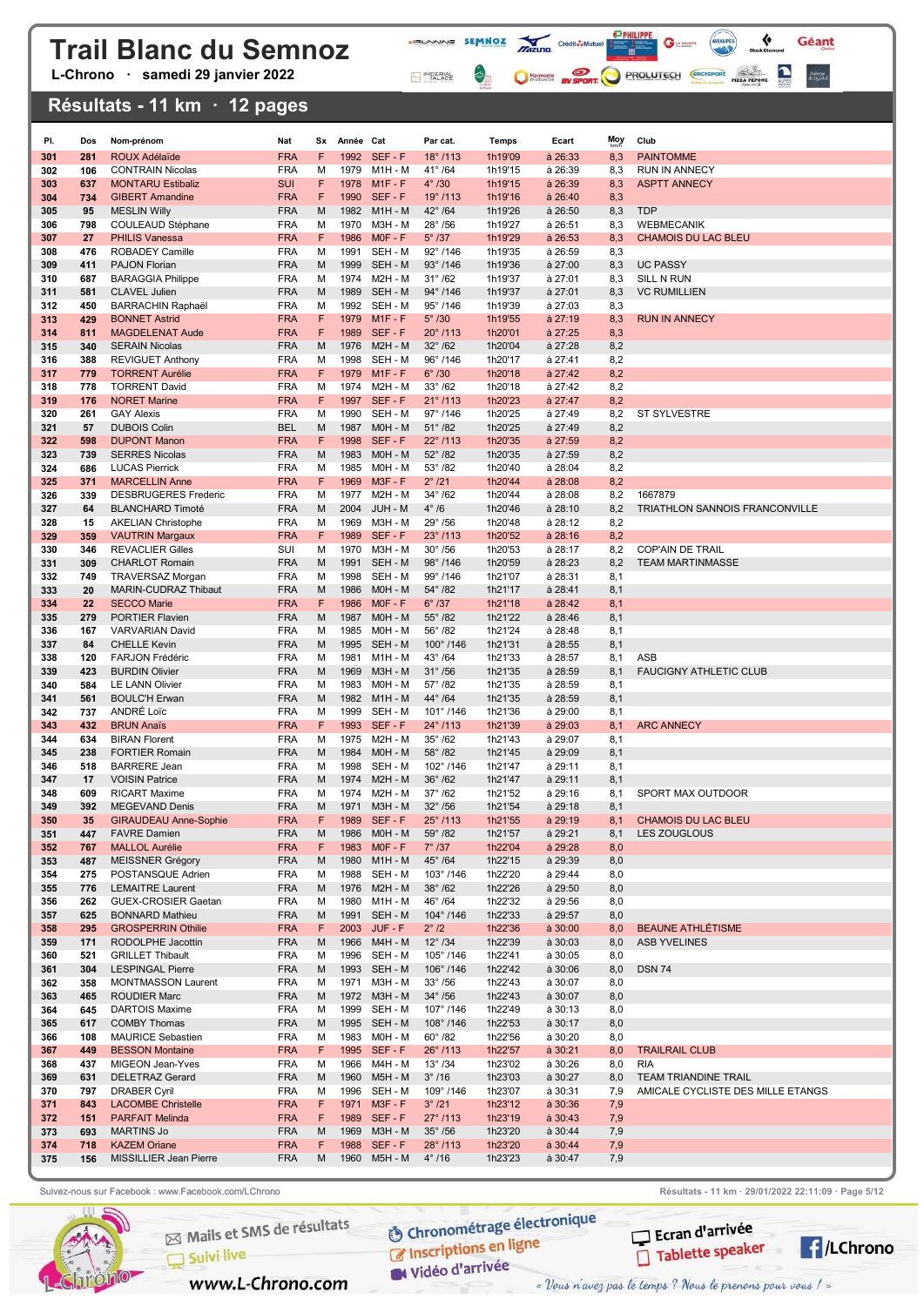L-Chrono · samedi 29 janvier 2022

### Résultats - 11 km · 12 pages

| PI.        | Dos        | Nom-prénom                                         | Nat                      | Sx     | Année Cat    |                              | Par cat.                               | Temps              | Ecart                | <b>Moy</b> | Club                                               |
|------------|------------|----------------------------------------------------|--------------------------|--------|--------------|------------------------------|----------------------------------------|--------------------|----------------------|------------|----------------------------------------------------|
| 301        | 281        | <b>ROUX Adélaïde</b>                               | <b>FRA</b>               | F      |              | 1992 SEF-F                   | $18^{\circ}$ /113                      | 1h19'09            | à 26:33              | 8,3        | <b>PAINTOMME</b>                                   |
| 302        | 106        | <b>CONTRAIN Nicolas</b>                            | <b>FRA</b>               | М      | 1979         | M1H - M                      | $41^{\circ}$ /64                       | 1h19'15            | à 26:39              | 8,3        | <b>RUN IN ANNECY</b>                               |
| 303        | 637        | <b>MONTARU Estibaliz</b>                           | <b>SUI</b>               | F      |              | 1978 M1F-F                   | $4^\circ/30$                           | 1h19'15            | $a$ 26:39            | 8,3        | <b>ASPTT ANNECY</b>                                |
| 304        | 734        | <b>GIBERT Amandine</b>                             | <b>FRA</b>               | F      | 1990         | SEF-F                        | $19^{\circ}$ /113                      | 1h19'16            | à 26:40              | 8,3        |                                                    |
| 305<br>306 | 95<br>798  | <b>MESLIN Willy</b><br>COULEAUD Stéphane           | <b>FRA</b><br><b>FRA</b> | M<br>м | 1970         | 1982 M1H - M<br>M3H - M      | $42^{\circ}$ /64<br>$28^{\circ}$ /56   | 1h19'26<br>1h19'27 | à 26:50<br>à 26:51   | 8,3<br>8,3 | <b>TDP</b><br><b>WEBMECANIK</b>                    |
| 307        | 27         | <b>PHILIS Vanessa</b>                              | <b>FRA</b>               | F      | 1986         | $MOF - F$                    | $5^\circ$ /37                          | 1h19'29            | à 26:53              | 8,3        | <b>CHAMOIS DU LAC BLEU</b>                         |
| 308        | 476        | <b>ROBADEY Camille</b>                             | <b>FRA</b>               | М      | 1991         | SEH - M                      | $92^{\circ}$ /146                      | 1h19'35            | à 26:59              | 8,3        |                                                    |
| 309        | 411        | PAJON Florian                                      | <b>FRA</b>               | M      | 1999         | SEH - M                      | $93^{\circ}$ /146                      | 1h19'36            | à 27:00              | 8,3        | <b>UC PASSY</b>                                    |
| 310        | 687        | <b>BARAGGIA Philippe</b>                           | <b>FRA</b>               | М      | 1974         | M2H - M                      | $31^{\circ}$ /62                       | 1h19'37            | à 27:01              | 8,3        | SILL N RUN                                         |
| 311        | 581        | CLAVEL Julien                                      | <b>FRA</b>               | M      | 1989         | SEH - M                      | 94°/146                                | 1h19'37            | $a$ 27:01            | 8,3        | <b>VC RUMILLIEN</b>                                |
| 312<br>313 | 450<br>429 | <b>BARRACHIN Raphaël</b><br><b>BONNET Astrid</b>   | <b>FRA</b><br><b>FRA</b> | М<br>F | 1979         | 1992 SEH-M<br>$M1F - F$      | $95^{\circ}$ /146<br>$5^\circ$ /30     | 1h19'39<br>1h19'55 | à 27:03<br>à 27:19   | 8,3<br>8,3 | <b>RUN IN ANNECY</b>                               |
| 314        | 811        | <b>MAGDELENAT Aude</b>                             | <b>FRA</b>               | F      | 1989         | SEF-F                        | $20^{\circ}$ /113                      | 1h20'01            | à 27:25              | 8,3        |                                                    |
| 315        | 340        | <b>SERAIN Nicolas</b>                              | <b>FRA</b>               | M      | 1976         | <b>M2H - M</b>               | $32^{\circ}$ /62                       | 1h20'04            | à 27:28              | 8,2        |                                                    |
| 316        | 388        | <b>REVIGUET Anthony</b>                            | <b>FRA</b>               | м      | 1998         | SEH - M                      | $96^{\circ}$ /146                      | 1h20'17            | à 27:41              | 8,2        |                                                    |
| 317        | 779        | <b>TORRENT Aurélie</b>                             | <b>FRA</b>               | F      | 1979         | $M1F - F$                    | $6^\circ$ /30                          | 1h20'18            | $a$ 27:42            | 8,2        |                                                    |
| 318<br>319 | 778<br>176 | <b>TORRENT David</b><br><b>NORET Marine</b>        | <b>FRA</b><br><b>FRA</b> | м<br>F | 1974<br>1997 | M2H - M<br>SEF-F             | $33^\circ$ /62<br>$21^{\circ}$ /113    | 1h20'18<br>1h20'23 | à 27:42<br>$a$ 27:47 | 8,2<br>8,2 |                                                    |
| 320        | 261        | <b>GAY Alexis</b>                                  | <b>FRA</b>               | м      | 1990         | SEH - M                      | 97°/146                                | 1h20'25            | à 27:49              | 8,2        | ST SYLVESTRE                                       |
| 321        | 57         | <b>DUBOIS Colin</b>                                | <b>BEL</b>               | M      | 1987         | MOH - M                      | $51^{\circ}$ /82                       | 1h20'25            | à 27:49              | 8,2        |                                                    |
| 322        | 598        | <b>DUPONT Manon</b>                                | <b>FRA</b>               | F      | 1998         | SEF-F                        | 22°/113                                | 1h20'35            | à 27:59              | 8,2        |                                                    |
| 323        | 739        | <b>SERRES Nicolas</b>                              | <b>FRA</b>               | M      | 1983         | M0H - M                      | $52^{\circ}$ /82                       | 1h20'35            | à 27:59              | 8,2        |                                                    |
| 324        | 686        | <b>LUCAS Pierrick</b><br><b>MARCELLIN Anne</b>     | <b>FRA</b><br><b>FRA</b> | M<br>F | 1969         | 1985 M0H - M<br>$M3F - F$    | $53^{\circ}$ /82<br>2°/21              | 1h20'40<br>1h20'44 | à 28:04              | 8,2        |                                                    |
| 325<br>326 | 371<br>339 | <b>DESBRUGERES Frederic</b>                        | <b>FRA</b>               | м      | 1977         | M2H - M                      | $34^{\circ}$ /62                       | 1h20'44            | $a$ 28:08<br>à 28:08 | 8,2<br>8,2 | 1667879                                            |
| 327        | 64         | <b>BLANCHARD Timoté</b>                            | <b>FRA</b>               | M      | 2004         | JUH - M                      | $4^{\circ}/6$                          | 1h20'46            | à 28:10              | 8,2        | TRIATHLON SANNOIS FRANCONVILLE                     |
| 328        | 15         | <b>AKELIAN Christophe</b>                          | <b>FRA</b>               | м      | 1969         | M3H - M                      | $29^{\circ}$ /56                       | 1h20'48            | à 28:12              | 8,2        |                                                    |
| 329        | 359        | <b>VAUTRIN Margaux</b>                             | <b>FRA</b>               | F      |              | 1989 SEF-F                   | $23^{\circ}$ /113                      | 1h20'52            | à 28:16              | 8,2        |                                                    |
| 330        | 346        | <b>REVACLIER Gilles</b>                            | SUI<br><b>FRA</b>        | М      | 1970<br>1991 | M3H - M<br>SEH - M           | $30^\circ$ /56                         | 1h20'53            | à 28:17              | 8,2<br>8,2 | <b>COP'AIN DE TRAIL</b><br><b>TEAM MARTINMASSE</b> |
| 331<br>332 | 309<br>749 | <b>CHARLOT Romain</b><br>TRAVERSAZ Morgan          | <b>FRA</b>               | M<br>М | 1998         | SEH - M                      | 98°/146<br>99°/146                     | 1h20'59<br>1h21'07 | à 28:23<br>à 28:31   | 8,1        |                                                    |
| 333        | 20         | MARIN-CUDRAZ Thibaut                               | <b>FRA</b>               | M      | 1986         | M0H - M                      | $54^{\circ}$ /82                       | 1h21'17            | à 28:41              | 8,1        |                                                    |
| 334        | 22         | <b>SECCO Marie</b>                                 | <b>FRA</b>               | F      | 1986         | $MOF - F$                    | $6^\circ$ /37                          | 1h21'18            | à 28:42              | 8,1        |                                                    |
| 335        | 279        | <b>PORTIER Flavien</b>                             | <b>FRA</b>               | M      |              | 1987 M0H - M                 | $55^\circ$ /82                         | 1h21'22            | à 28:46              | 8,1        |                                                    |
| 336        | 167        | <b>VARVARIAN David</b>                             | <b>FRA</b><br><b>FRA</b> | м      | 1985         | MOH - M                      | $56^\circ/82$                          | 1h21'24            | à 28:48              | 8,1        |                                                    |
| 337<br>338 | 84<br>120  | <b>CHELLE Kevin</b><br><b>FARJON Frédéric</b>      | <b>FRA</b>               | M<br>м | 1995<br>1981 | SEH - M<br>M1H - M           | $100^{\circ}$ /146<br>$43^{\circ}$ /64 | 1h21'31<br>1h21'33 | à 28:55<br>à 28:57   | 8,1<br>8,1 | ASB                                                |
| 339        | 423        | <b>BURDIN Olivier</b>                              | <b>FRA</b>               | M      | 1969         | <b>M3H - M</b>               | $31^\circ$ /56                         | 1h21'35            | à 28:59              | 8,1        | <b>FAUCIGNY ATHLETIC CLUB</b>                      |
| 340        | 584        | <b>LE LANN Olivier</b>                             | <b>FRA</b>               | м      | 1983         | MOH - M                      | $57^{\circ}$ /82                       | 1h21'35            | à 28:59              | 8,1        |                                                    |
| 341        | 561        | <b>BOULC'H Erwan</b>                               | <b>FRA</b>               | M      | 1982         | $M1H - M$                    | 44° /64                                | 1h21'35            | à 28:59              | 8,1        |                                                    |
| 342<br>343 | 737<br>432 | ANDRÉ Loïc<br><b>BRUN Anaïs</b>                    | <b>FRA</b><br><b>FRA</b> | м<br>F | 1999<br>1993 | SEH - M<br>SEF-F             | $101^{\circ}$ /146                     | 1h21'36<br>1h21'39 | à 29:00<br>à 29:03   | 8,1        | <b>ARC ANNECY</b>                                  |
| 344        | 634        | <b>BIRAN Florent</b>                               | <b>FRA</b>               | м      | 1975         | M2H - M                      | $24^{\circ}$ /113<br>$35^\circ$ /62    | 1h21'43            | à 29:07              | 8,1<br>8,1 |                                                    |
| 345        | 238        | <b>FORTIER Romain</b>                              | <b>FRA</b>               | M      | 1984         | M0H - M                      | $58^\circ/82$                          | 1h21'45            | à 29:09              | 8,1        |                                                    |
| 346        | 518        | <b>BARRERE Jean</b>                                | <b>FRA</b>               | м      | 1998         | SEH - M                      | $102^{\circ}$ /146                     | 1h21'47            | à 29:11              | 8,1        |                                                    |
| 347        | 17         | <b>VOISIN Patrice</b>                              | <b>FRA</b>               | M      | 1974         | <b>M2H - M</b>               | $36^\circ$ /62                         | 1h21'47            | à 29:11              | 8,1        |                                                    |
| 348<br>349 | 609<br>392 | <b>RICART Maxime</b><br><b>MEGEVAND Denis</b>      | <b>FRA</b><br><b>FRA</b> | М<br>M | 1974         | M2H - M<br>1971 M3H - M      | $37^{\circ}$ /62<br>$32^\circ$ /56     | 1h21'52<br>1h21'54 | à 29:16<br>à 29:18   | 8,1<br>8,1 | SPORT MAX OUTDOOR                                  |
| 350        | 35         | <b>GIRAUDEAU Anne-Sophie</b>                       | <b>FRA</b>               |        | 1989         | SEF-F                        | $25^{\circ}$ /113                      | 1h21'55            | à 29:19              | 8,1        | CHAMOIS DU LAC BLEU                                |
| 351        | 447        | <b>FAVRE Damien</b>                                | <b>FRA</b>               | M      |              | 1986 M0H - M                 | $59^{\circ}$ /82                       | 1h21'57            | à 29:21              | 8,1        | LES ZOUGLOUS                                       |
| 352        | 767        | <b>MALLOL Aurélie</b>                              | <b>FRA</b>               | F      | 1983         | $MOF - F$                    | $7^\circ$ /37                          | 1h22'04            | à 29:28              | 8,0        |                                                    |
| 353        | 487        | <b>MEISSNER Grégory</b>                            | <b>FRA</b>               | М      |              | 1980 M1H-M                   | $45^{\circ}$ /64                       | 1h22'15            | à 29:39              | 8,0        |                                                    |
| 354<br>355 | 275<br>776 | POSTANSQUE Adrien<br><b>LEMAITRE Laurent</b>       | <b>FRA</b><br><b>FRA</b> | М<br>M |              | 1988 SEH - M<br>1976 M2H - M | 103°/146<br>$38^\circ/62$              | 1h22'20<br>1h22'26 | à 29:44<br>à 29:50   | 8,0<br>8,0 |                                                    |
| 356        | 262        | <b>GUEX-CROSIER Gaetan</b>                         | <b>FRA</b>               | М      |              | 1980 M1H - M                 | $46^{\circ}$ /64                       | 1h22'32            | à 29:56              | 8,0        |                                                    |
| 357        | 625        | <b>BONNARD Mathieu</b>                             | <b>FRA</b>               | M      |              | 1991 SEH - M                 | $104^{\circ}$ /146                     | 1h22'33            | à 29:57              | 8,0        |                                                    |
| 358        | 295        | <b>GROSPERRIN Othilie</b>                          | <b>FRA</b>               | F.     |              | 2003 JUF - F                 | $2^\circ$ /2                           | 1h22'36            | $\hat{a}$ 30:00      | 8,0        | <b>BEAUNE ATHLÉTISME</b>                           |
| 359        | 171        | RODOLPHE Jacottin<br><b>GRILLET Thibault</b>       | <b>FRA</b>               | M      |              | 1966 M4H - M                 | $12^{\circ}$ /34                       | 1h22'39            | à 30:03              | 8,0        | <b>ASB YVELINES</b>                                |
| 360<br>361 | 521<br>304 | <b>LESPINGAL Pierre</b>                            | <b>FRA</b><br><b>FRA</b> | м<br>M |              | 1996 SEH - M<br>1993 SEH - M | $105^{\circ}$ /146<br>106°/146         | 1h22'41<br>1h22'42 | à 30:05<br>à 30:06   | 8,0<br>8,0 | <b>DSN 74</b>                                      |
| 362        | 358        | <b>MONTMASSON Laurent</b>                          | <b>FRA</b>               | м      |              | 1971 M3H - M                 | $33^\circ$ /56                         | 1h22'43            | à 30:07              | 8,0        |                                                    |
| 363        | 465        | <b>ROUDIER Marc</b>                                | <b>FRA</b>               | M      |              | 1972 M3H - M                 | $34^\circ$ /56                         | 1h22'43            | à 30:07              | 8,0        |                                                    |
| 364        | 645        | <b>DARTOIS Maxime</b>                              | <b>FRA</b>               | м      |              | 1999 SEH - M                 | 107°/146                               | 1h22'49            | à 30:13              | 8,0        |                                                    |
| 365        | 617        | <b>COMBY Thomas</b>                                | <b>FRA</b>               | M      |              | 1995 SEH - M                 | 108°/146                               | 1h22'53            | à 30:17              | 8,0        |                                                    |
| 366<br>367 | 108<br>449 | <b>MAURICE Sebastien</b><br><b>BESSON Montaine</b> | <b>FRA</b><br><b>FRA</b> | м<br>F |              | 1983 M0H - M<br>1995 SEF-F   | $60^{\circ}$ /82<br>$26^{\circ}$ /113  | 1h22'56<br>1h22'57 | à 30:20<br>$a$ 30:21 | 8,0<br>8,0 | <b>TRAILRAIL CLUB</b>                              |
| 368        | 437        | MIGEON Jean-Yves                                   | <b>FRA</b>               | м      |              | 1966 M4H - M                 | $13^{\circ}$ /34                       | 1h23'02            | à 30:26              | 8,0        | <b>RIA</b>                                         |
| 369        | 631        | <b>DELETRAZ Gerard</b>                             | <b>FRA</b>               | M      |              | 1960 M5H - M                 | $3^\circ/16$                           | 1h23'03            | à 30:27              | 8,0        | TEAM TRIANDINE TRAIL                               |
| 370        | 797        | <b>DRABER Cyril</b>                                | <b>FRA</b>               | м      |              | 1996 SEH - M                 | 109°/146                               | 1h23'07            | à 30:31              | 7,9        | AMICALE CYCLISTE DES MILLE ETANGS                  |
| 371        | 843        | <b>LACOMBE Christelle</b>                          | <b>FRA</b>               | F<br>F |              | 1971 M3F-F<br>1989 SEF-F     | 3°/21                                  | 1h23'12            | $a$ 30:36            | 7,9        |                                                    |
| 372<br>373 | 151<br>693 | <b>PARFAIT Melinda</b><br><b>MARTINS Jo</b>        | <b>FRA</b><br><b>FRA</b> | M      |              | 1969 M3H - M                 | $27^{\circ}$ /113<br>$35^\circ$ /56    | 1h23'19<br>1h23'20 | à 30:43<br>à 30:44   | 7,9<br>7,9 |                                                    |
| 374        | 718        | <b>KAZEM Oriane</b>                                | <b>FRA</b>               | F      |              | 1988 SEF-F                   | $28^{\circ}$ /113                      | 1h23'20            | $a$ 30:44            | 7,9        |                                                    |
| 375        | 156        | MISSILLIER Jean Pierre                             | <b>FRA</b>               | M      |              | 1960 M5H - M                 | $4^{\circ}$ /16                        | 1h23'23            | à 30:47              | 7,9        |                                                    |
|            |            |                                                    |                          |        |              |                              |                                        |                    |                      |            |                                                    |

**FRUNNING SEMMOZ MIZURO** Crédit**ô-Multier de la Caracteria de la Caracteria de la Caracteria de la Caracteria de la Caracteria de la Caracteria de la Caracteria de la Caracteria de la Caracteria de la Caracteria de la Cara** 

IMPERIAL

 $\left\langle \cdot \right\rangle _{0}$ 

 $\mathbf{G}$  in case of

C Harmonic By SPORT PROLUTECH CRO'SPORT PIZZ PROM

 $\bullet$ 

Géant

Auberge<br>de Quintal



Mails et SMS de résultats

www.L-Chrono.com

Suivi live

**O Chronométrage électronique** C Inscriptions en ligne

W Vidéo d'arrivée

Suivez-nous sur Facebook : www.Facebook.com/LChrono Résultats - 11 km · 29/01/2022 22:11:09 · Page 5/12



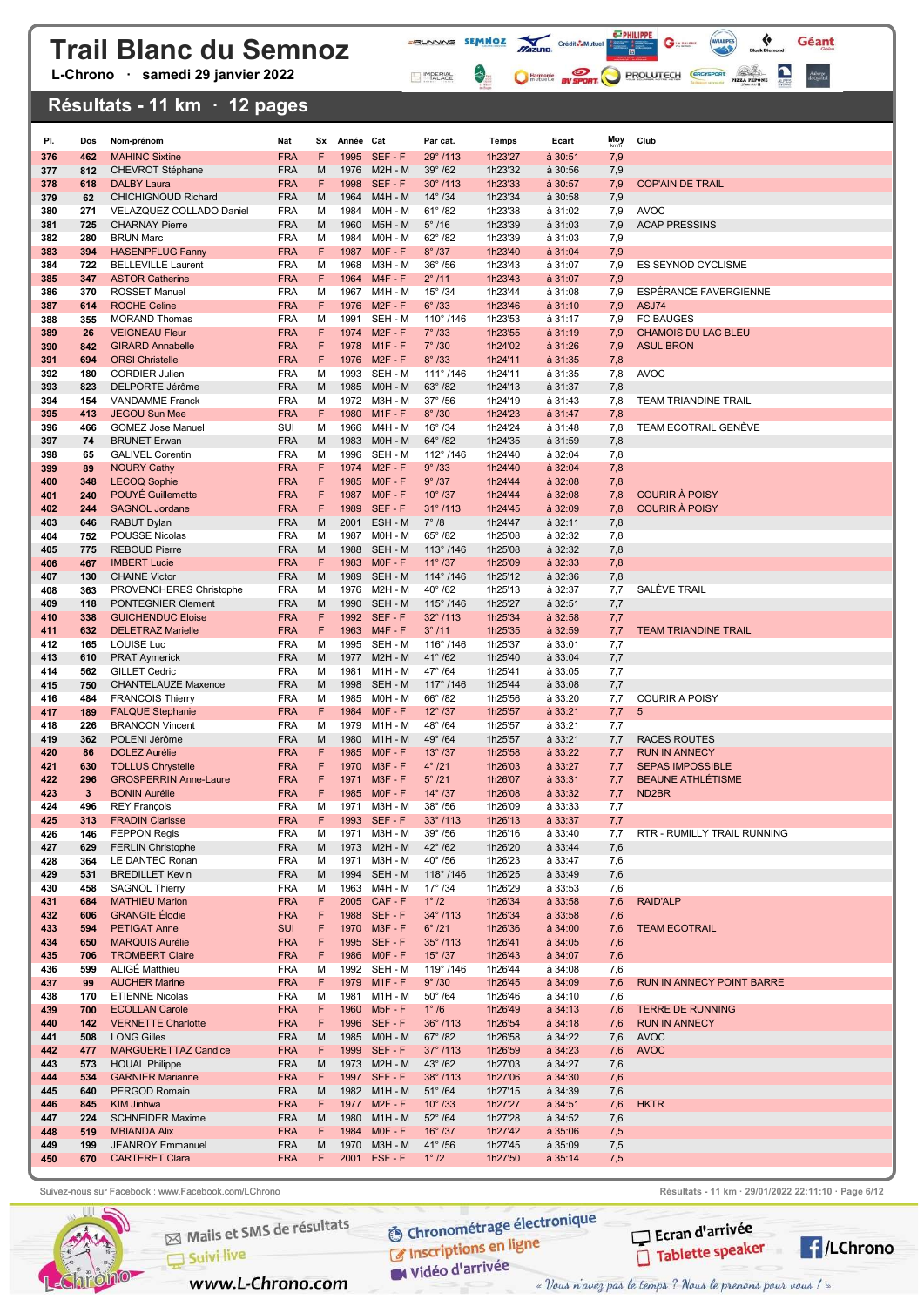L-Chrono · samedi 29 janvier 2022

#### Résultats - 11 km · 12 pages

| PI.        | Dos          | Nom-prénom                                        | Nat                      | Sx      | Année Cat    |                              | Par cat.                              | Temps              | Ecart                      | Moy        | Club                         |
|------------|--------------|---------------------------------------------------|--------------------------|---------|--------------|------------------------------|---------------------------------------|--------------------|----------------------------|------------|------------------------------|
| 376        | 462          | <b>MAHINC Sixtine</b>                             | <b>FRA</b>               | F       | 1995         | SEF-F                        | 29°/113                               | 1h23'27            | à 30:51                    | 7,9        |                              |
| 377        | 812          | <b>CHEVROT Stéphane</b>                           | <b>FRA</b>               | M       | 1976         | $M2H - M$                    | $39^\circ$ /62                        | 1h23'32            | à 30:56                    | 7,9        |                              |
| 378        | 618          | <b>DALBY Laura</b>                                | <b>FRA</b>               | F       | 1998         | SEF-F                        | $30^{\circ}$ /113                     | 1h23'33            | à 30:57                    | 7,9        | <b>COP'AIN DE TRAIL</b>      |
| 379<br>380 | 62<br>271    | CHICHIGNOUD Richard<br>VELAZQUEZ COLLADO Daniel   | <b>FRA</b><br><b>FRA</b> | M<br>м  | 1964<br>1984 | <b>M4H - M</b><br>MOH - M    | $14^{\circ}$ /34<br>$61^{\circ}$ /82  | 1h23'34<br>1h23'38 | à 30:58<br>à 31:02         | 7,9<br>7,9 | <b>AVOC</b>                  |
| 381        | 725          | <b>CHARNAY Pierre</b>                             | <b>FRA</b>               | M       | 1960         | <b>M5H - M</b>               | $5^\circ$ /16                         | 1h23'39            | à 31:03                    | 7,9        | <b>ACAP PRESSINS</b>         |
| 382        | 280          | <b>BRUN Marc</b>                                  | <b>FRA</b>               | М       | 1984         | MOH - M                      | $62^{\circ}$ /82                      | 1h23'39            | à 31:03                    | 7,9        |                              |
| 383        | 394          | <b>HASENPFLUG Fanny</b>                           | <b>FRA</b>               | F       | 1987         | $MOF - F$                    | $8^\circ$ /37                         | 1h23'40            | $\dot{a}$ 31:04            | 7,9        |                              |
| 384        | 722          | <b>BELLEVILLE Laurent</b>                         | <b>FRA</b>               | М       | 1968         | M3H - M                      | $36^\circ$ /56                        | 1h23'43            | à 31:07                    | 7,9        | ES SEYNOD CYCLISME           |
| 385        | 347          | <b>ASTOR Catherine</b>                            | <b>FRA</b>               | F       | 1964         | $M4F - F$                    | $2^{\circ}$ /11                       | 1h23'43            | $\dot{a}$ 31:07            | 7,9        |                              |
| 386        | 370          | <b>ROSSET Manuel</b>                              | <b>FRA</b>               | М       | 1967         | M4H - M                      | $15^{\circ}$ /34                      | 1h23'44            | à 31:08                    | 7,9        | <b>ESPÉRANCE FAVERGIENNE</b> |
| 387<br>388 | 614<br>355   | <b>ROCHE Celine</b><br><b>MORAND Thomas</b>       | <b>FRA</b><br><b>FRA</b> | F<br>М  | 1991         | 1976 M2F-F<br>SEH - M        | $6^{\circ}$ /33<br>$110^{\circ}$ /146 | 1h23'46<br>1h23'53 | $a$ 31:10<br>à 31:17       | 7,9<br>7,9 | ASJ74<br><b>FC BAUGES</b>    |
| 389        | 26           | <b>VEIGNEAU Fleur</b>                             | <b>FRA</b>               | F       | 1974         | $M2F - F$                    | $7^\circ$ /33                         | 1h23'55            | $a$ 31:19                  | 7,9        | <b>CHAMOIS DU LAC BLEU</b>   |
| 390        | 842          | <b>GIRARD Annabelle</b>                           | <b>FRA</b>               | F       |              | 1978 M1F-F                   | $7^\circ$ /30                         | 1h24'02            | $\dot{a}$ 31:26            | 7,9        | <b>ASUL BRON</b>             |
| 391        | 694          | <b>ORSI Christelle</b>                            | <b>FRA</b>               | F       |              | 1976 M2F-F                   | $8^\circ$ /33                         | 1h24'11            | $a$ 31:35                  | 7,8        |                              |
| 392        | 180          | <b>CORDIER Julien</b>                             | <b>FRA</b>               | м       |              | 1993 SEH - M                 | $111^{\circ}$ /146                    | 1h24'11            | à 31:35                    | 7,8        | <b>AVOC</b>                  |
| 393        | 823          | DELPORTE Jérôme                                   | <b>FRA</b>               | M       | 1985         | MOH - M                      | $63^{\circ}$ /82                      | 1h24'13            | à 31:37                    | 7,8        |                              |
| 394        | 154          | <b>VANDAMME Franck</b>                            | <b>FRA</b>               | м<br>F  |              | 1972 M3H - M<br>$M1F - F$    | $37^{\circ}$ /56<br>$8^\circ$ /30     | 1h24'19            | à 31:43                    | 7,8        | <b>TEAM TRIANDINE TRAIL</b>  |
| 395<br>396 | 413<br>466   | <b>JEGOU Sun Mee</b><br><b>GOMEZ Jose Manuel</b>  | <b>FRA</b><br>SUI        | м       | 1980<br>1966 | M4H - M                      | $16^{\circ}$ /34                      | 1h24'23<br>1h24'24 | $a$ 31:47<br>à 31:48       | 7,8<br>7,8 | <b>TEAM ECOTRAIL GENEVE</b>  |
| 397        | 74           | <b>BRUNET Erwan</b>                               | <b>FRA</b>               | M       | 1983         | MOH - M                      | $64^{\circ}$ /82                      | 1h24'35            | à 31:59                    | 7,8        |                              |
| 398        | 65           | <b>GALIVEL Corentin</b>                           | <b>FRA</b>               | М       | 1996         | SEH - M                      | $112^{\circ}$ /146                    | 1h24'40            | à 32:04                    | 7,8        |                              |
| 399        | 89           | <b>NOURY Cathy</b>                                | <b>FRA</b>               | F       | 1974         | $M2F - F$                    | 9°/33                                 | 1h24'40            | $\dot{a}$ 32:04            | 7,8        |                              |
| 400        | 348          | <b>LECOQ Sophie</b>                               | <b>FRA</b>               | F       |              | 1985 MOF-F                   | $9^\circ$ /37                         | 1h24'44            | $a$ 32:08                  | 7,8        |                              |
| 401        | 240          | POUYÉ Guillemette                                 | <b>FRA</b>               | F       | 1987         | $MOF - F$                    | $10^{\circ}$ /37                      | 1h24'44            | à 32:08                    | 7,8        | <b>COURIR À POISY</b>        |
| 402        | 244          | <b>SAGNOL Jordane</b>                             | <b>FRA</b>               | F       |              | 1989 SEF-F                   | $31^{\circ}$ /113                     | 1h24'45            | à 32:09                    | 7,8        | <b>COURIR À POISY</b>        |
| 403<br>404 | 646<br>752   | <b>RABUT Dylan</b><br><b>POUSSE Nicolas</b>       | <b>FRA</b><br><b>FRA</b> | M<br>м  | 2001<br>1987 | ESH - M<br>MOH - M           | $7^\circ/8$<br>$65^\circ/82$          | 1h24'47<br>1h25'08 | $a$ 32:11<br>à 32:32       | 7,8<br>7,8 |                              |
| 405        | 775          | <b>REBOUD Pierre</b>                              | <b>FRA</b>               | м       | 1988         | SEH - M                      | 113°/146                              | 1h25'08            | à 32:32                    | 7,8        |                              |
| 406        | 467          | <b>IMBERT Lucie</b>                               | <b>FRA</b>               | F       | 1983         | $MOF - F$                    | $11^{\circ}$ /37                      | 1h25'09            | à 32:33                    | 7,8        |                              |
| 407        | 130          | <b>CHAINE Victor</b>                              | <b>FRA</b>               | M       | 1989         | SEH - M                      | $114^{\circ}$ /146                    | 1h25'12            | à 32:36                    | 7,8        |                              |
| 408        | 363          | PROVENCHERES Christophe                           | <b>FRA</b>               | М       | 1976         | M2H - M                      | $40^{\circ}$ /62                      | 1h25'13            | à 32:37                    | 7,7        | SALÈVE TRAIL                 |
| 409        | 118          | PONTEGNIER Clement                                | <b>FRA</b>               | M       | 1990         | SEH - M                      | $115^{\circ}$ /146                    | 1h25'27            | à 32:51                    | 7,7        |                              |
| 410        | 338          | <b>GUICHENDUC Eloise</b>                          | <b>FRA</b>               | F       |              | 1992 SEF-F                   | $32^{\circ}$ /113                     | 1h25'34            | à 32:58                    | 7,7        |                              |
| 411<br>412 | 632<br>165   | <b>DELETRAZ Marielle</b><br>LOUISE Luc            | <b>FRA</b><br><b>FRA</b> | F<br>м  | 1995         | 1963 M4F-F<br>SEH - M        | $3^{\circ}$ /11<br>116°/146           | 1h25'35<br>1h25'37 | à 32:59<br>à 33:01         | 7,7<br>7,7 | <b>TEAM TRIANDINE TRAIL</b>  |
| 413        | 610          | <b>PRAT Aymerick</b>                              | <b>FRA</b>               | M       | 1977         | <b>M2H - M</b>               | $41^{\circ}$ /62                      | 1h25'40            | à 33:04                    | 7,7        |                              |
| 414        | 562          | <b>GILLET Cedric</b>                              | <b>FRA</b>               | м       | 1981         | M1H - M                      | 47° /64                               | 1h25'41            | à 33:05                    | 7,7        |                              |
| 415        | 750          | <b>CHANTELAUZE Maxence</b>                        | <b>FRA</b>               | M       | 1998         | SEH - M                      | $117^{\circ}$ /146                    | 1h25'44            | $a$ 33:08                  | 7,7        |                              |
| 416        | 484          | <b>FRANCOIS Thierry</b>                           | <b>FRA</b>               | м       |              | 1985 M0H - M                 | 66°/82                                | 1h25'56            | à 33:20                    | 7,7        | <b>COURIR A POISY</b>        |
| 417        | 189          | <b>FALQUE Stephanie</b>                           | <b>FRA</b>               | F       | 1984         | $MOF - F$                    | $12^{\circ}$ /37                      | 1h25'57            | $a$ 33:21                  | 7,7        | 5                            |
| 418<br>419 | 226<br>362   | <b>BRANCON Vincent</b><br>POLENI Jérôme           | <b>FRA</b><br><b>FRA</b> | м<br>M  | 1979<br>1980 | M1H - M<br>$M1H - M$         | 48°/64<br>49°/64                      | 1h25'57<br>1h25'57 | à 33:21<br>$a$ 33:21       | 7,7<br>7,7 | <b>RACES ROUTES</b>          |
| 420        | 86           | <b>DOLEZ Aurélie</b>                              | <b>FRA</b>               | F       |              | 1985 MOF-F                   | $13^{\circ}$ /37                      | 1h25'58            | $a$ 33:22                  | 7,7        | <b>RUN IN ANNECY</b>         |
| 421        | 630          | <b>TOLLUS Chrystelle</b>                          | <b>FRA</b>               | F       | 1970         | $M3F - F$                    | $4^{\circ}$ /21                       | 1h26'03            | $a$ 33:27                  | 7,7        | <b>SEPAS IMPOSSIBLE</b>      |
| 422        | 296          | <b>GROSPERRIN Anne-Laure</b>                      | <b>FRA</b>               | F       | 1971         | $M3F - F$                    | $5^\circ$ /21                         | 1h26'07            | $a$ 33:31                  | 7,7        | <b>BEAUNE ATHLETISME</b>     |
| 423        | $\mathbf{3}$ | <b>BONIN Aurélie</b>                              | <b>FRA</b>               | F       |              | 1985 MOF-F                   | $14^{\circ}$ /37                      | 1h26'08            | $a$ 33:32                  | 7,7        | ND <sub>2</sub> BR           |
| 424        | 496          | <b>REY François</b>                               | <b>FRA</b>               | м       | 1971         | <b>M3H - M</b>               | $38^\circ$ /56                        | 1h26'09            | à 33:33                    | 7,7        |                              |
| 425        | 313          | <b>FRADIN Clarisse</b><br><b>FEPPON Regis</b>     | <b>FRA</b>               | F       |              | 1993 SEF-F<br><b>M3H - M</b> | $33^{\circ}$ /113<br>$39^\circ$ /56   | 1h26'13            | $a$ 33:37                  | 7,7        |                              |
| 426<br>427 | 146<br>629   | <b>FERLIN Christophe</b>                          | <b>FRA</b><br><b>FRA</b> | м<br>M  | 1971<br>1973 | $M2H - M$                    | 42°/62                                | 1h26'16<br>1h26'20 | à 33:40<br>à 33:44         | 7,7<br>7,6 | RTR - RUMILLY TRAIL RUNNING  |
| 428        | 364          | LE DANTEC Ronan                                   | <b>FRA</b>               | М       | 1971         | <b>M3H - M</b>               | $40^\circ$ /56                        | 1h26'23            | à 33:47                    | 7,6        |                              |
| 429        | 531          | <b>BREDILLET Kevin</b>                            | <b>FRA</b>               | M       |              | 1994 SEH - M                 | 118°/146                              | 1h26'25            | à 33:49                    | 7,6        |                              |
| 430        | 458          | <b>SAGNOL Thierry</b>                             | <b>FRA</b>               | м       |              | 1963 M4H - M                 | $17^{\circ}$ /34                      | 1h26'29            | à 33:53                    | 7,6        |                              |
| 431        | 684          | <b>MATHIEU Marion</b>                             | <b>FRA</b>               | F       |              | 2005 CAF-F                   | $1^{\circ}$ /2                        | 1h26'34            | à 33:58                    | 7,6        | <b>RAID'ALP</b>              |
| 432        | 606          | <b>GRANGIE Elodie</b>                             | <b>FRA</b>               | F       |              | 1988 SEF-F                   | 34°/113                               | 1h26'34            | $a$ 33:58                  | 7,6        |                              |
| 433<br>434 | 594<br>650   | <b>PETIGAT Anne</b><br><b>MARQUIS Aurélie</b>     | <b>SUI</b><br><b>FRA</b> | F<br>F  |              | 1970 M3F-F<br>1995 SEF-F     | $6^\circ$ /21<br>$35^{\circ}$ /113    | 1h26'36<br>1h26'41 | à 34:00<br>$\dot{a}$ 34:05 | 7,6<br>7,6 | <b>TEAM ECOTRAIL</b>         |
| 435        | 706          | <b>TROMBERT Claire</b>                            | <b>FRA</b>               | F       |              | 1986 MOF-F                   | $15^\circ$ /37                        | 1h26'43            | $a$ 34:07                  | 7,6        |                              |
| 436        | 599          | ALIGÉ Matthieu                                    | <b>FRA</b>               | М       |              | 1992 SEH - M                 | 119°/146                              | 1h26'44            | à 34:08                    | 7,6        |                              |
| 437        | 99           | <b>AUCHER Marine</b>                              | <b>FRA</b>               | F       |              | 1979 M1F-F                   | 9°/30                                 | 1h26'45            | $\dot{a}$ 34:09            | 7,6        | RUN IN ANNECY POINT BARRE    |
| 438        | 170          | <b>ETIENNE Nicolas</b>                            | <b>FRA</b>               | м       |              | 1981 M1H - M                 | $50^\circ$ /64                        | 1h26'46            | à 34:10                    | 7,6        |                              |
| 439        | 700          | <b>ECOLLAN Carole</b>                             | <b>FRA</b>               | F       |              | 1960 M5F-F                   | $1^\circ/6$                           | 1h26'49            | $a$ 34:13                  | 7,6        | <b>TERRE DE RUNNING</b>      |
| 440        | 142          | <b>VERNETTE Charlotte</b>                         | <b>FRA</b>               | F       |              | 1996 SEF-F                   | $36^{\circ}$ /113                     | 1h26'54            | $a$ 34:18                  | 7,6        | <b>RUN IN ANNECY</b>         |
| 441<br>442 | 508<br>477   | <b>LONG Gilles</b><br><b>MARGUERETTAZ Candice</b> | <b>FRA</b><br><b>FRA</b> | M<br>F  |              | 1985 M0H - M<br>1999 SEF-F   | $67^\circ$ /82<br>$37^{\circ}$ /113   | 1h26'58<br>1h26'59 | à 34:22<br>à 34:23         | 7,6<br>7,6 | <b>AVOC</b><br><b>AVOC</b>   |
| 443        | 573          | <b>HOUAL Philippe</b>                             | <b>FRA</b>               | M       |              | 1973 M2H - M                 | $43^\circ$ /62                        | 1h27'03            | à 34:27                    | 7,6        |                              |
| 444        | 534          | <b>GARNIER Marianne</b>                           | <b>FRA</b>               | F       |              | 1997 SEF-F                   | $38^{\circ}$ /113                     | 1h27'06            | $\dot{a}$ 34:30            | 7,6        |                              |
| 445        | 640          | PERGOD Romain                                     | <b>FRA</b>               | M       |              | 1982 M1H - M                 | $51^{\circ}$ /64                      | 1h27'15            | à 34:39                    | 7,6        |                              |
| 446        | 845          | <b>KIM Jinhwa</b>                                 | <b>FRA</b>               | F       |              | 1977 M2F-F                   | $10^{\circ}$ /33                      | 1h27'27            | $a$ 34:51                  | 7,6        | <b>HKTR</b>                  |
| 447        | 224          | <b>SCHNEIDER Maxime</b>                           | <b>FRA</b>               | М       |              | 1980 M1H - M                 | $52^\circ$ /64                        | 1h27'28            | à 34:52                    | 7,6        |                              |
| 448        | 519          | <b>MBIANDA Alix</b>                               | <b>FRA</b>               | F       |              | 1984 MOF-F                   | $16^{\circ}$ /37                      | 1h27'42            | $a$ 35:06                  | 7,5        |                              |
| 449<br>450 | 199<br>670   | <b>JEANROY Emmanuel</b><br><b>CARTERET Clara</b>  | <b>FRA</b><br><b>FRA</b> | М<br>F. |              | 1970 M3H - M<br>2001 ESF-F   | $41^{\circ}$ /56<br>$1^\circ$ /2      | 1h27'45<br>1h27'50 | à 35:09<br>$a$ 35:14       | 7,5<br>7,5 |                              |
|            |              |                                                   |                          |         |              |                              |                                       |                    |                            |            |                              |

**FRUNNING SEMMOZ MIZURO** Crédit**ô-Multier de la Caracteria de la Caracteria de la Caracteria de la Caracteria de la Caracteria de la Caracteria de la Caracteria de la Caracteria de la Caracteria de la Caracteria de la Cara** 

MPERIAL

 $\left\langle \cdot \right\rangle _{0}$ 

 $G$ 

C Harmonic By SPORT PROLUTECH CRO'SPORT PIZZ PROM

 $\bullet$ 

Géant

Auberge<br>de Quintal



Mails et SMS de résultats

www.L-Chrono.com

 $\Box$  Suivi live

**O Chronométrage électronique** C Inscriptions en ligne

W Vidéo d'arrivée

Suivez-nous sur Facebook : www.Facebook.com/LChrono Résultats - 11 km · 29/01/2022 22:11:10 · Page 6/12



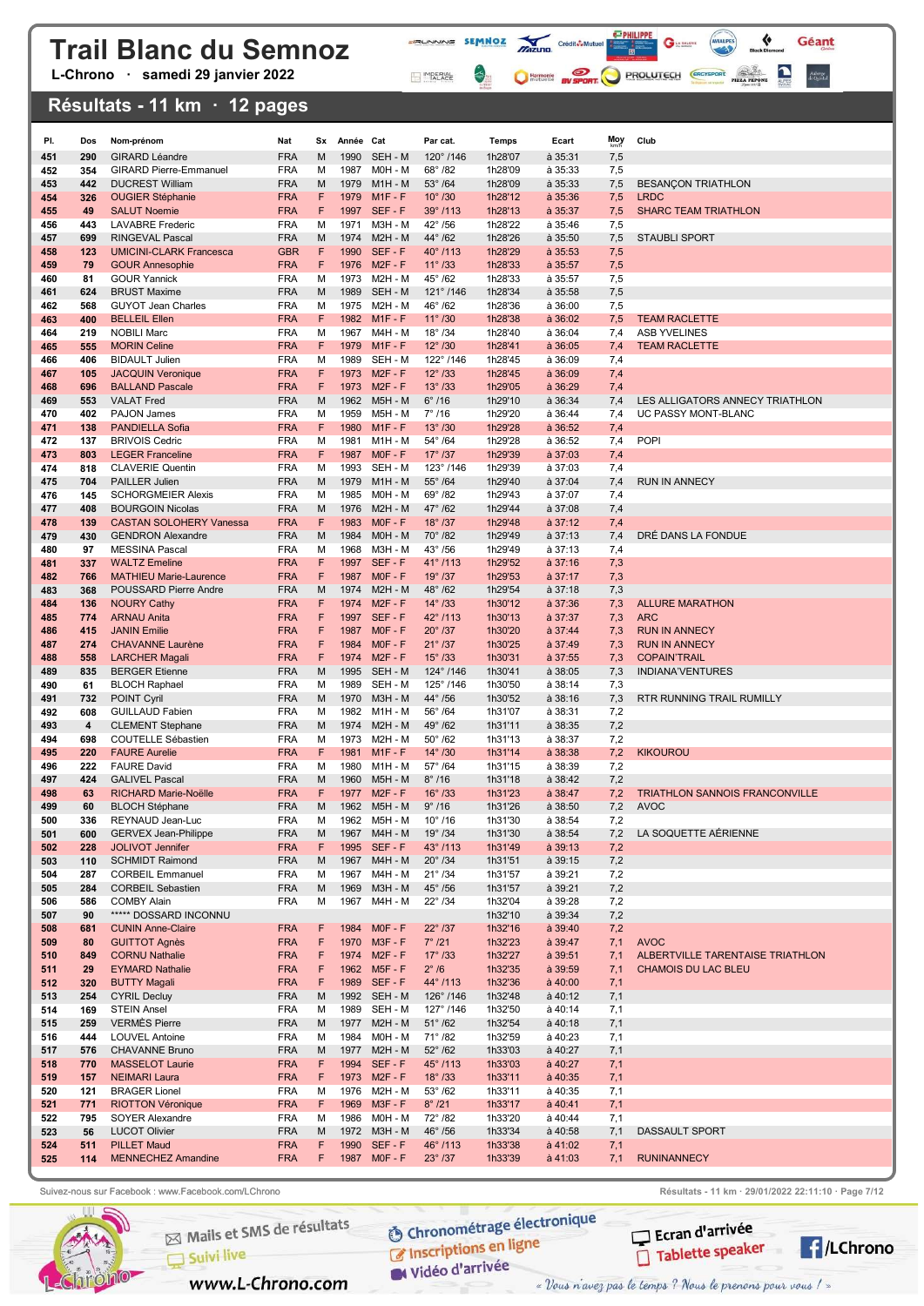L-Chrono · samedi 29 janvier 2022

### Résultats - 11 km · 12 pages

| PI.        | Dos        | Nom-prénom                                            | Nat                      | Sx     | Année Cat    |                             | Par cat.                             | Temps              | Ecart                      | Moy        | Club                                    |
|------------|------------|-------------------------------------------------------|--------------------------|--------|--------------|-----------------------------|--------------------------------------|--------------------|----------------------------|------------|-----------------------------------------|
| 451        | 290        | <b>GIRARD Léandre</b>                                 | <b>FRA</b>               | М      | 1990         | SEH - M                     | 120°/146                             | 1h28'07            | à 35:31                    | 7,5        |                                         |
| 452        | 354        | <b>GIRARD Pierre-Emmanuel</b>                         | <b>FRA</b>               | М      | 1987         | MOH - M                     | 68°/82                               | 1h28'09            | à 35:33                    | 7,5        |                                         |
| 453        | 442        | <b>DUCREST William</b>                                | <b>FRA</b>               | M      | 1979         | $M1H - M$                   | $53^\circ$ /64                       | 1h28'09            | $a$ 35:33                  | 7,5        | <b>BESANÇON TRIATHLON</b>               |
| 454        | 326        | <b>OUGIER Stéphanie</b>                               | <b>FRA</b>               | F      | 1979         | $M1F - F$                   | $10^{\circ}$ /30                     | 1h28'12            | $a$ 35:36                  | 7,5        | <b>LRDC</b>                             |
| 455<br>456 | 49<br>443  | <b>SALUT Noemie</b><br><b>LAVABRE</b> Frederic        | <b>FRA</b><br><b>FRA</b> | F<br>M | 1997<br>1971 | SEF-F<br>M3H - M            | $39^{\circ}$ /113<br>42°/56          | 1h28'13<br>1h28'22 | $a$ 35:37<br>à 35:46       | 7,5<br>7,5 | <b>SHARC TEAM TRIATHLON</b>             |
| 457        | 699        | <b>RINGEVAL Pascal</b>                                | <b>FRA</b>               | M      | 1974         | <b>M2H - M</b>              | 44°/62                               | 1h28'26            | à 35:50                    | 7,5        | <b>STAUBLI SPORT</b>                    |
| 458        | 123        | <b>UMICINI-CLARK Francesca</b>                        | <b>GBR</b>               | F      | 1990         | SEF-F                       | 40°/113                              | 1h28'29            | à 35:53                    | 7,5        |                                         |
| 459        | 79         | <b>GOUR Annesophie</b>                                | <b>FRA</b>               | F      | 1976         | $M2F - F$                   | $11^{\circ}$ /33                     | 1h28'33            | à 35:57                    | 7,5        |                                         |
| 460        | 81         | <b>GOUR Yannick</b>                                   | <b>FRA</b>               | M      | 1973         | <b>M2H - M</b>              | $45^{\circ}$ /62                     | 1h28'33            | à 35:57                    | 7,5        |                                         |
| 461<br>462 | 624<br>568 | <b>BRUST Maxime</b><br><b>GUYOT Jean Charles</b>      | <b>FRA</b><br><b>FRA</b> | М<br>M | 1989<br>1975 | SEH - M<br>M2H - M          | 121°/146<br>46°/62                   | 1h28'34<br>1h28'36 | à 35:58<br>à 36:00         | 7,5<br>7,5 |                                         |
| 463        | 400        | <b>BELLEIL Ellen</b>                                  | <b>FRA</b>               | F      | 1982         | $M1F - F$                   | $11^{\circ}$ /30                     | 1h28'38            | a 36:02                    | 7,5        | <b>TEAM RACLETTE</b>                    |
| 464        | 219        | <b>NOBILI Marc</b>                                    | <b>FRA</b>               | M      | 1967         | M4H - M                     | $18^{\circ}$ /34                     | 1h28'40            | à 36:04                    | 7,4        | <b>ASB YVELINES</b>                     |
| 465        | 555        | <b>MORIN Celine</b>                                   | <b>FRA</b>               | F      | 1979         | $M1F - F$                   | $12^{\circ}$ /30                     | 1h28'41            | $a$ 36:05                  | 7,4        | <b>TEAM RACLETTE</b>                    |
| 466        | 406        | <b>BIDAULT Julien</b>                                 | <b>FRA</b>               | M      | 1989         | SEH - M                     | 122°/146                             | 1h28'45            | à 36:09                    | 7,4        |                                         |
| 467        | 105        | <b>JACQUIN Veronique</b>                              | <b>FRA</b>               | F      | 1973         | $M2F - F$                   | $12^{\circ}$ /33                     | 1h28'45            | à 36:09                    | 7,4        |                                         |
| 468<br>469 | 696<br>553 | <b>BALLAND Pascale</b><br><b>VALAT Fred</b>           | <b>FRA</b><br><b>FRA</b> | F<br>M | 1973<br>1962 | $M2F - F$<br>M5H - M        | $13^{\circ}$ /33<br>$6^\circ$ /16    | 1h29'05<br>1h29'10 | à 36:29<br>à 36:34         | 7,4<br>7,4 | LES ALLIGATORS ANNECY TRIATHLON         |
| 470        | 402        | PAJON James                                           | <b>FRA</b>               | м      | 1959         | M5H - M                     | $7^{\circ}$ /16                      | 1h29'20            | à 36:44                    | 7,4        | UC PASSY MONT-BLANC                     |
| 471        | 138        | <b>PANDIELLA Sofia</b>                                | <b>FRA</b>               | F      | 1980         | $M1F - F$                   | $13^\circ/30$                        | 1h29'28            | $a$ 36:52                  | 7,4        |                                         |
| 472        | 137        | <b>BRIVOIS Cedric</b>                                 | <b>FRA</b>               | М      | 1981         | $M1H - M$                   | $54^{\circ}$ /64                     | 1h29'28            | à 36:52                    | 7,4        | <b>POPI</b>                             |
| 473        | 803        | <b>LEGER Franceline</b>                               | <b>FRA</b>               | F      | 1987         | $MOF - F$                   | $17^{\circ}$ /37                     | 1h29'39            | $a$ 37:03                  | 7,4        |                                         |
| 474        | 818        | <b>CLAVERIE Quentin</b>                               | <b>FRA</b>               | М      | 1993         | SEH - M                     | 123°/146<br>$55^{\circ}$ /64         | 1h29'39            | à 37:03                    | 7,4        |                                         |
| 475<br>476 | 704<br>145 | PAILLER Julien<br><b>SCHORGMEIER Alexis</b>           | <b>FRA</b><br><b>FRA</b> | M<br>м | 1979<br>1985 | $M1H - M$<br>$MOH - M$      | $69^{\circ}$ /82                     | 1h29'40<br>1h29'43 | à 37:04<br>à 37:07         | 7,4<br>7,4 | <b>RUN IN ANNECY</b>                    |
| 477        | 408        | <b>BOURGOIN Nicolas</b>                               | <b>FRA</b>               | M      | 1976         | $M2H - M$                   | 47° /62                              | 1h29'44            | à 37:08                    | 7,4        |                                         |
| 478        | 139        | <b>CASTAN SOLOHERY Vanessa</b>                        | <b>FRA</b>               | F      | 1983         | $MOF - F$                   | $18^{\circ}$ /37                     | 1h29'48            | à 37:12                    | 7,4        |                                         |
| 479        | 430        | <b>GENDRON Alexandre</b>                              | <b>FRA</b>               | M      | 1984         | MOH - M                     | 70°/82                               | 1h29'49            | à 37:13                    | 7,4        | DRÉ DANS LA FONDUE                      |
| 480        | 97         | <b>MESSINA Pascal</b>                                 | <b>FRA</b>               | М      | 1968         | M3H - M                     | $43^{\circ}$ /56                     | 1h29'49            | à 37:13                    | 7,4        |                                         |
| 481<br>482 | 337<br>766 | <b>WALTZ Emeline</b><br><b>MATHIEU Marie-Laurence</b> | <b>FRA</b><br><b>FRA</b> | F<br>F | 1997<br>1987 | SEF-F<br>$MOF - F$          | $41^{\circ}$ /113<br>19°/37          | 1h29'52<br>1h29'53 | $a$ 37:16<br>à 37:17       | 7,3<br>7,3 |                                         |
| 483        | 368        | POUSSARD Pierre Andre                                 | <b>FRA</b>               | М      | 1974         | <b>M2H - M</b>              | 48°/62                               | 1h29'54            | à 37:18                    | 7,3        |                                         |
| 484        | 136        | <b>NOURY Cathy</b>                                    | <b>FRA</b>               | F      | 1974         | $M2F - F$                   | $14^{\circ}$ /33                     | 1h30'12            | à 37:36                    | 7,3        | <b>ALLURE MARATHON</b>                  |
| 485        | 774        | <b>ARNAU Anita</b>                                    | <b>FRA</b>               | F      | 1997         | SEF-F                       | 42°/113                              | 1h30'13            | à 37:37                    | 7,3        | <b>ARC</b>                              |
| 486        | 415        | <b>JANIN Emilie</b>                                   | <b>FRA</b>               | F      | 1987         | $MOF - F$                   | $20^\circ/37$                        | 1h30'20            | à 37:44                    | 7,3        | <b>RUN IN ANNECY</b>                    |
| 487        | 274        | <b>CHAVANNE Laurène</b>                               | <b>FRA</b><br><b>FRA</b> | F<br>F | 1984<br>1974 | $MOF - F$<br>$M2F - F$      | $21^{\circ}$ /37<br>$15^{\circ}$ /33 | 1h30'25<br>1h30'31 | $a$ 37:49                  | 7,3        | <b>RUN IN ANNECY</b>                    |
| 488<br>489 | 558<br>835 | <b>LARCHER Magali</b><br><b>BERGER Etienne</b>        | <b>FRA</b>               | M      | 1995         | SEH - M                     | $124^{\circ}$ /146                   | 1h30'41            | $a$ 37:55<br>à 38:05       | 7,3<br>7,3 | <b>COPAIN'TRAIL</b><br>INDIANA'VENTURES |
| 490        | 61         | <b>BLOCH Raphael</b>                                  | <b>FRA</b>               | М      | 1989         | SEH - M                     | 125°/146                             | 1h30'50            | à 38:14                    | 7,3        |                                         |
| 491        | 732        | <b>POINT Cyril</b>                                    | <b>FRA</b>               | M      | 1970         | <b>M3H - M</b>              | 44° /56                              | 1h30'52            | $a$ 38:16                  | 7,3        | RTR RUNNING TRAIL RUMILLY               |
| 492        | 608        | <b>GUILLAUD Fabien</b>                                | <b>FRA</b>               | м      | 1982         | M1H - M                     | $56^\circ$ /64                       | 1h31'07            | à 38:31                    | 7,2        |                                         |
| 493<br>494 | 4<br>698   | <b>CLEMENT Stephane</b><br><b>COUTELLE Sébastien</b>  | <b>FRA</b><br><b>FRA</b> | M<br>м | 1974<br>1973 | $M2H - M$<br><b>M2H - M</b> | 49°/62<br>$50^\circ$ /62             | 1h31'11<br>1h31'13 | à 38:35<br>à 38:37         | 7,2<br>7,2 |                                         |
| 495        | 220        | <b>FAURE Aurelie</b>                                  | <b>FRA</b>               | F      | 1981         | $M1F - F$                   | $14^{\circ}$ /30                     | 1h31'14            | $a$ 38:38                  | 7,2        | <b>KIKOUROU</b>                         |
| 496        | 222        | <b>FAURE David</b>                                    | <b>FRA</b>               | М      | 1980         | M1H - M                     | $57^{\circ}$ /64                     | 1h31'15            | à 38:39                    | 7,2        |                                         |
| 497        | 424        | <b>GALIVEL Pascal</b>                                 | <b>FRA</b>               | М      | 1960         | <b>M5H - M</b>              | $8^\circ$ /16                        | 1h31'18            | à 38:42                    | 7,2        |                                         |
| 498        | 63         | RICHARD Marie-Noëlle                                  | <b>FRA</b>               | F      | 1977         | $M2F - F$                   | $16^{\circ}$ /33                     | 1h31'23            | à 38:47                    | 7,2        | <b>TRIATHLON SANNOIS FRANCONVILLE</b>   |
| 499        | 60         | <b>BLOCH Stéphane</b>                                 | <b>FRA</b>               | М      | 1962         | M5H - M                     | $9^\circ$ /16                        | 1h31'26            | à 38:50                    | 7,2        | <b>AVOC</b>                             |
| 500<br>501 | 336<br>600 | REYNAUD Jean-Luc<br><b>GERVEX Jean-Philippe</b>       | FRA<br><b>FRA</b>        | М<br>M | 1962<br>1967 | M5H - M<br>M4H - M          | $10^{\circ}$ /16<br>19° /34          | 1h31'30<br>1h31'30 | à 38:54<br>à 38:54         | 7,2<br>7,2 | LA SOQUETTE AÉRIENNE                    |
| 502        | 228        | JOLIVOT Jennifer                                      | <b>FRA</b>               | F      |              | 1995 SEF-F                  | 43°/113                              | 1h31'49            | $a$ 39:13                  | 7,2        |                                         |
| 503        | 110        | <b>SCHMIDT Raimond</b>                                | <b>FRA</b>               | M      | 1967         | M4H - M                     | $20^\circ$ /34                       | 1h31'51            | à 39:15                    | 7,2        |                                         |
| 504        | 287        | <b>CORBEIL Emmanuel</b>                               | <b>FRA</b>               | М      | 1967         | M4H - M                     | $21^{\circ}$ /34                     | 1h31'57            | à 39:21                    | 7,2        |                                         |
| 505<br>506 | 284<br>586 | <b>CORBEIL Sebastien</b><br><b>COMBY Alain</b>        | <b>FRA</b><br><b>FRA</b> | M<br>М | 1969<br>1967 | M3H - M<br>M4H - M          | $45^{\circ}$ /56<br>$22^{\circ}$ /34 | 1h31'57<br>1h32'04 | à 39:21<br>à 39:28         | 7,2<br>7,2 |                                         |
| 507        | 90         | ***** DOSSARD INCONNU                                 |                          |        |              |                             |                                      | 1h32'10            | à 39:34                    | 7,2        |                                         |
| 508        | 681        | <b>CUNIN Anne-Claire</b>                              | <b>FRA</b>               | F      | 1984         | $MOF - F$                   | $22^{\circ}$ /37                     | 1h32'16            | à 39:40                    | 7,2        |                                         |
| 509        | 80         | <b>GUITTOT Agnès</b>                                  | <b>FRA</b>               | F      |              | 1970 M3F-F                  | $7^\circ$ /21                        | 1h32'23            | $a$ 39:47                  | 7,1        | <b>AVOC</b>                             |
| 510        | 849        | <b>CORNU Nathalie</b>                                 | <b>FRA</b>               | F      |              | 1974 M2F-F                  | $17^{\circ}$ /33                     | 1h32'27            | à 39:51                    | 7,1        | ALBERTVILLE TARENTAISE TRIATHLON        |
| 511<br>512 | 29<br>320  | <b>EYMARD Nathalie</b><br><b>BUTTY Magali</b>         | <b>FRA</b><br><b>FRA</b> | F<br>F |              | 1962 M5F-F<br>1989 SEF-F    | $2^{\circ}/6$<br>44°/113             | 1h32'35<br>1h32'36 | à 39:59<br>$\dot{a}$ 40:00 | 7,1<br>7,1 | CHAMOIS DU LAC BLEU                     |
| 513        | 254        | <b>CYRIL Decluy</b>                                   | <b>FRA</b>               | M      |              | 1992 SEH - M                | 126°/146                             | 1h32'48            | à 40:12                    | 7,1        |                                         |
| 514        | 169        | <b>STEIN Ansel</b>                                    | <b>FRA</b>               | м      |              | 1989 SEH - M                | 127°/146                             | 1h32'50            | à 40:14                    | 7,1        |                                         |
| 515        | 259        | <b>VERMÈS Pierre</b>                                  | <b>FRA</b>               | M      | 1977         | $M2H - M$                   | $51^\circ$ /62                       | 1h32'54            | à 40:18                    | 7,1        |                                         |
| 516        | 444        | <b>LOUVEL Antoine</b>                                 | <b>FRA</b>               | М      |              | 1984 M0H - M                | $71^{\circ}$ /82                     | 1h32'59            | à 40:23                    | 7,1        |                                         |
| 517<br>518 | 576<br>770 | CHAVANNE Bruno<br><b>MASSELOT Laurie</b>              | <b>FRA</b><br><b>FRA</b> | M<br>F | 1977         | $M2H - M$<br>1994 SEF-F     | $52^{\circ}$ /62<br>45°/113          | 1h33'03<br>1h33'03 | à 40:27<br>$a$ 40:27       | 7,1<br>7,1 |                                         |
| 519        | 157        | <b>NEIMARI Laura</b>                                  | <b>FRA</b>               | F      |              | 1973 M2F-F                  | $18^{\circ}$ /33                     | 1h33'11            | à 40:35                    | 7,1        |                                         |
| 520        | 121        | <b>BRAGER Lionel</b>                                  | <b>FRA</b>               | М      |              | 1976 M2H - M                | $53^\circ$ /62                       | 1h33'11            | à 40:35                    | 7,1        |                                         |
| 521        | 771        | <b>RIOTTON Véronique</b>                              | <b>FRA</b>               | F      | 1969         | $M3F - F$                   | $8^\circ$ /21                        | 1h33'17            | $a$ 40:41                  | 7,1        |                                         |
| 522        | 795        | SOYER Alexandre                                       | <b>FRA</b>               | м      | 1986         | M0H - M                     | $72^{\circ}$ /82                     | 1h33'20            | à 40:44                    | 7,1        |                                         |
| 523<br>524 | 56<br>511  | <b>LUCOT Olivier</b><br><b>PILLET Maud</b>            | <b>FRA</b><br><b>FRA</b> | M<br>F |              | 1972 M3H - M<br>1990 SEF-F  | $46^\circ$ /56<br>46°/113            | 1h33'34<br>1h33'38 | à 40:58<br>$\dot{a}$ 41:02 | 7,1        | DASSAULT SPORT                          |
| 525        | 114        | <b>MENNECHEZ Amandine</b>                             | <b>FRA</b>               | F      |              | 1987 MOF-F                  | $23^{\circ}$ /37                     | 1h33'39            | $\dot{a}$ 41:03            | 7,1<br>7,1 | <b>RUNINANNECY</b>                      |
|            |            |                                                       |                          |        |              |                             |                                      |                    |                            |            |                                         |

**FRUNNING SEMMOZ MIZURO** Crédit**ô-Multier de la Caracteria de la Caracteria de la Caracteria de la Caracteria de la Caracteria de la Caracteria de la Caracteria de la Caracteria de la Caracteria de la Caracteria de la Cara** 

MPERIAL

 $\leftrightarrow$ 

 $\mathbf{G}$  in case of

C Harmonic By SPORT PROLUTECH CRO'SPORT PIZZ PROM

 $\leftrightarrow$ 

Géant

Auberge<br>de Quintal



Mails et SMS de résultats

www.L-Chrono.com

 $\Box$  Suivi live

**O Chronométrage électronique** C Inscriptions en ligne

W Vidéo d'arrivée

Suivez-nous sur Facebook : www.Facebook.com/LChrono Resultats - 11 km · 29/01/2022 22:11:10 · Page 7/12



**A**/LChrono

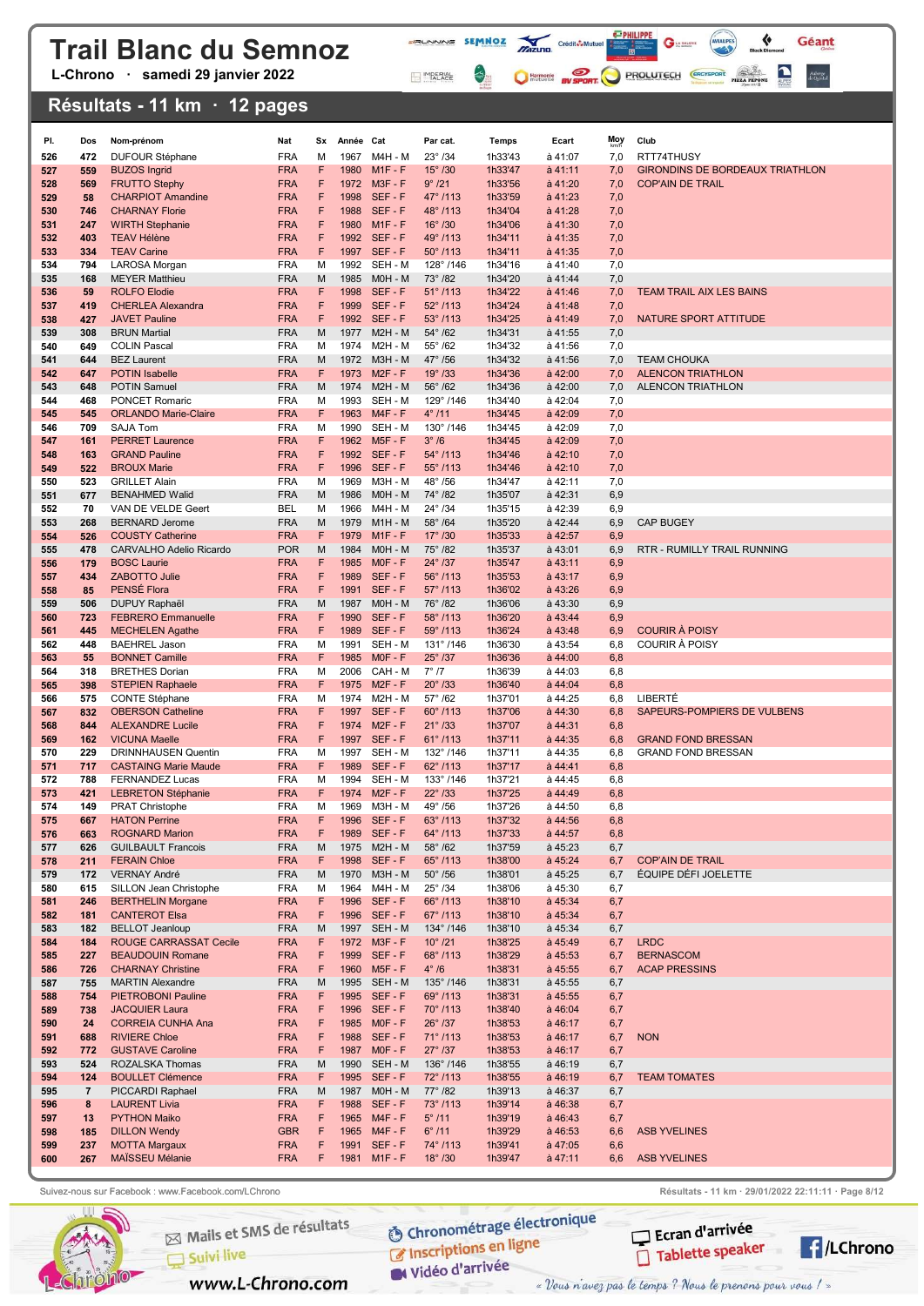L-Chrono · samedi 29 janvier 2022

#### Résultats - 11 km · 12 pages

| PI.        | Dos                   | Nom-prénom                                            | Nat                      | Sx     | Année Cat    |                              | Par cat.                             | <b>Temps</b>       | Ecart                              | <b>Moy</b> | Club                                            |
|------------|-----------------------|-------------------------------------------------------|--------------------------|--------|--------------|------------------------------|--------------------------------------|--------------------|------------------------------------|------------|-------------------------------------------------|
| 526        | 472                   | <b>DUFOUR Stéphane</b>                                | <b>FRA</b>               | М      | 1967         | M4H - M                      | $23^{\circ}$ /34                     | 1h33'43            | à 41:07                            | 7,0        | RTT74THUSY                                      |
| 527        | 559                   | <b>BUZOS Ingrid</b>                                   | <b>FRA</b>               | F      | 1980         | $M1F - F$                    | $15^\circ$ /30                       | 1h33'47            | $a$ 41:11                          | 7,0        | GIRONDINS DE BORDEAUX TRIATHLON                 |
| 528        | 569                   | <b>FRUTTO Stephy</b>                                  | <b>FRA</b>               | F      |              | 1972 M3F-F                   | 9°/21                                | 1h33'56            | à 41:20                            | 7,0        | <b>COP'AIN DE TRAIL</b>                         |
| 529        | 58                    | <b>CHARPIOT Amandine</b>                              | <b>FRA</b>               | F      | 1998         | SEF-F                        | 47°/113                              | 1h33'59            | à 41:23                            | 7,0        |                                                 |
| 530        | 746                   | <b>CHARNAY Florie</b>                                 | <b>FRA</b><br><b>FRA</b> | F<br>F | 1988<br>1980 | SEF-F<br>$M1F - F$           | 48°/113<br>$16^{\circ}$ /30          | 1h34'04<br>1h34'06 | à 41:28                            | 7,0<br>7,0 |                                                 |
| 531<br>532 | 247<br>403            | <b>WIRTH Stephanie</b><br><b>TEAV Hélène</b>          | <b>FRA</b>               | F      |              | 1992 SEF-F                   | 49°/113                              | 1h34'11            | $\dot{a}$ 41:30<br>$\dot{a}$ 41:35 | 7,0        |                                                 |
| 533        | 334                   | <b>TEAV Carine</b>                                    | <b>FRA</b>               | F      |              | 1997 SEF-F                   | $50^{\circ}$ /113                    | 1h34'11            | $\dot{a}$ 41:35                    | 7,0        |                                                 |
| 534        | 794                   | LAROSA Morgan                                         | <b>FRA</b>               | М      |              | 1992 SEH - M                 | 128°/146                             | 1h34'16            | à 41:40                            | 7,0        |                                                 |
| 535        | 168                   | <b>MEYER Matthieu</b>                                 | <b>FRA</b>               | M      | 1985         | M0H - M                      | $73^{\circ}$ /82                     | 1h34'20            | $a$ 41:44                          | 7,0        |                                                 |
| 536        | 59                    | <b>ROLFO Elodie</b>                                   | <b>FRA</b>               | F      | 1998         | SEF-F                        | $51^{\circ}$ /113                    | 1h34'22            | $a$ 41:46                          | 7,0        | <b>TEAM TRAIL AIX LES BAINS</b>                 |
| 537        | 419                   | <b>CHERLEA Alexandra</b>                              | <b>FRA</b>               | F      |              | 1999 SEF-F                   | $52^{\circ}$ /113                    | 1h34'24            | $a$ 41:48                          | 7,0        |                                                 |
| 538        | 427                   | <b>JAVET Pauline</b>                                  | <b>FRA</b>               | F      |              | 1992 SEF-F                   | $53^{\circ}$ /113                    | 1h34'25            | $\dot{a}$ 41:49                    | 7,0        | NATURE SPORT ATTITUDE                           |
| 539<br>540 | 308<br>649            | <b>BRUN Martial</b><br><b>COLIN Pascal</b>            | <b>FRA</b><br><b>FRA</b> | M<br>М | 1974         | 1977 M2H - M<br>M2H - M      | $54^{\circ}$ /62<br>$55^{\circ}$ /62 | 1h34'31<br>1h34'32 | à 41:55<br>à 41:56                 | 7,0<br>7,0 |                                                 |
| 541        | 644                   | <b>BEZ Laurent</b>                                    | <b>FRA</b>               | M      |              | 1972 M3H - M                 | 47° /56                              | 1h34'32            | $\dot{a}$ 41:56                    | 7,0        | <b>TEAM CHOUKA</b>                              |
| 542        | 647                   | <b>POTIN Isabelle</b>                                 | <b>FRA</b>               | F      |              | 1973 M2F-F                   | $19^{\circ}$ /33                     | 1h34'36            | à 42:00                            | 7,0        | <b>ALENCON TRIATHLON</b>                        |
| 543        | 648                   | <b>POTIN Samuel</b>                                   | <b>FRA</b>               | M      | 1974         | $M2H - M$                    | $56^\circ$ /62                       | 1h34'36            | à 42:00                            | 7,0        | ALENCON TRIATHLON                               |
| 544        | 468                   | <b>PONCET Romaric</b>                                 | <b>FRA</b>               | м      |              | 1993 SEH - M                 | 129°/146                             | 1h34'40            | à 42:04                            | 7,0        |                                                 |
| 545        | 545                   | <b>ORLANDO Marie-Claire</b>                           | <b>FRA</b>               | F      | 1963         | $M4F - F$                    | $4^{\circ}$ /11                      | 1h34'45            | à 42:09                            | 7,0        |                                                 |
| 546        | 709                   | <b>SAJA Tom</b>                                       | <b>FRA</b>               | М<br>F | 1990         | SEH - M                      | 130°/146                             | 1h34'45            | à 42:09                            | 7,0        |                                                 |
| 547<br>548 | 161<br>163            | <b>PERRET Laurence</b><br><b>GRAND Pauline</b>        | <b>FRA</b><br><b>FRA</b> | F      | 1962         | $M5F - F$<br>1992 SEF-F      | $3^\circ/6$<br>$54^{\circ}$ /113     | 1h34'45<br>1h34'46 | à 42:09<br>$à$ 42:10               | 7,0<br>7,0 |                                                 |
| 549        | 522                   | <b>BROUX Marie</b>                                    | <b>FRA</b>               | F      | 1996         | SEF-F                        | $55^{\circ}$ /113                    | 1h34'46            | $à$ 42:10                          | 7,0        |                                                 |
| 550        | 523                   | <b>GRILLET Alain</b>                                  | <b>FRA</b>               | М      | 1969         | M3H - M                      | 48°/56                               | 1h34'47            | à 42:11                            | 7,0        |                                                 |
| 551        | 677                   | <b>BENAHMED Walid</b>                                 | <b>FRA</b>               | M      | 1986         | M0H - M                      | 74°/82                               | 1h35'07            | à 42:31                            | 6,9        |                                                 |
| 552        | 70                    | VAN DE VELDE Geert                                    | <b>BEL</b>               | M      | 1966         | M4H - M                      | 24° /34                              | 1h35'15            | à 42:39                            | 6,9        |                                                 |
| 553        | 268                   | <b>BERNARD Jerome</b>                                 | <b>FRA</b>               | M      | 1979         | $M1H - M$                    | $58^\circ$ /64                       | 1h35'20            | à 42:44                            | 6,9        | <b>CAP BUGEY</b>                                |
| 554        | 526                   | <b>COUSTY Catherine</b>                               | <b>FRA</b>               | F      | 1979         | $M1F - F$                    | $17^{\circ}$ /30                     | 1h35'33            | à 42:57                            | 6,9        |                                                 |
| 555<br>556 | 478<br>179            | CARVALHO Adelio Ricardo<br><b>BOSC Laurie</b>         | <b>POR</b><br><b>FRA</b> | M<br>F | 1984<br>1985 | M0H - M<br>$MOF - F$         | 75° /82<br>$24^{\circ}$ /37          | 1h35'37<br>1h35'47 | $à$ 43:01<br>$a$ 43:11             | 6,9<br>6,9 | RTR - RUMILLY TRAIL RUNNING                     |
| 557        | 434                   | ZABOTTO Julie                                         | <b>FRA</b>               | F      |              | 1989 SEF-F                   | 56°/113                              | 1h35'53            | $\dot{a}$ 43:17                    | 6,9        |                                                 |
| 558        | 85                    | PENSÉ Flora                                           | <b>FRA</b>               | F      | 1991         | SEF-F                        | $57^{\circ}$ /113                    | 1h36'02            | $\dot{a}$ 43:26                    | 6,9        |                                                 |
| 559        | 506                   | <b>DUPUY Raphaël</b>                                  | <b>FRA</b>               | M      | 1987         | M0H - M                      | 76° /82                              | 1h36'06            | $\dot{a}$ 43:30                    | 6,9        |                                                 |
| 560        | 723                   | <b>FEBRERO Emmanuelle</b>                             | <b>FRA</b>               | F      | 1990         | SEF-F                        | 58°/113                              | 1h36'20            | $a$ 43:44                          | 6,9        |                                                 |
| 561        | 445                   | <b>MECHELEN Agathe</b>                                | <b>FRA</b>               | F      | 1989         | SEF-F                        | 59°/113                              | 1h36'24            | $a$ 43:48                          | 6,9        | <b>COURIR À POISY</b>                           |
| 562        | 448                   | <b>BAEHREL Jason</b>                                  | <b>FRA</b>               | М      | 1991         | SEH - M                      | $131^{\circ}$ /146                   | 1h36'30            | à 43:54                            | 6,8        | <b>COURIR À POISY</b>                           |
| 563        | 55                    | <b>BONNET Camille</b>                                 | <b>FRA</b><br><b>FRA</b> | F<br>м | 2006         | 1985 MOF-F<br>CAH - M        | $25^{\circ}$ /37<br>$7^\circ/7$      | 1h36'36            | $\dot{a}$ 44:00<br>à 44:03         | 6,8        |                                                 |
| 564<br>565 | 318<br>398            | <b>BRETHES Dorian</b><br><b>STEPIEN Raphaele</b>      | <b>FRA</b>               | F      |              | 1975 M2F-F                   | $20^{\circ}$ /33                     | 1h36'39<br>1h36'40 | $\dot{a}$ 44:04                    | 6,8<br>6,8 |                                                 |
| 566        | 575                   | <b>CONTE Stéphane</b>                                 | <b>FRA</b>               | М      | 1974         | M2H - M                      | $57^{\circ}$ /62                     | 1h37'01            | à 44:25                            | 6,8        | LIBERTÉ                                         |
| 567        | 832                   | <b>OBERSON Catheline</b>                              | <b>FRA</b>               | F      |              | 1997 SEF-F                   | 60°/113                              | 1h37'06            | à 44:30                            | 6,8        | SAPEURS-POMPIERS DE VULBENS                     |
| 568        | 844                   | <b>ALEXANDRE Lucile</b>                               | <b>FRA</b>               | F      |              | 1974 M2F-F                   | $21^{\circ}$ /33                     | 1h37'07            | $a$ 44:31                          | 6,8        |                                                 |
| 569        | 162                   | <b>VICUNA Maelle</b>                                  | <b>FRA</b>               | F      | 1997         | SEF-F                        | $61^{\circ}$ /113                    | 1h37'11            | $\dot{a}$ 44:35                    | 6,8        | <b>GRAND FOND BRESSAN</b>                       |
| 570        | 229                   | <b>DRINNHAUSEN Quentin</b>                            | <b>FRA</b>               | м      |              | 1997 SEH - M                 | 132°/146                             | 1h37'11            | à 44:35                            | 6,8        | <b>GRAND FOND BRESSAN</b>                       |
| 571<br>572 | 717<br>788            | <b>CASTAING Marie Maude</b><br><b>FERNANDEZ Lucas</b> | <b>FRA</b><br><b>FRA</b> | F<br>М | 1989<br>1994 | SEF-F<br>SEH - M             | 62°/113<br>$133^{\circ}$ /146        | 1h37'17<br>1h37'21 | $a$ 44:41<br>à 44:45               | 6,8<br>6,8 |                                                 |
| 573        | 421                   | <b>LEBRETON Stéphanie</b>                             | <b>FRA</b>               | F      |              | 1974 M2F-F                   | $22^{\circ}$ /33                     | 1h37'25            | à 44:49                            | 6,8        |                                                 |
| 574        | 149                   | <b>PRAT Christophe</b>                                | <b>FRA</b>               | М      |              | 1969 M3H - M                 | 49°/56                               | 1h37'26            | à 44:50                            | 6,8        |                                                 |
| 575        | 667                   | <b>HATON Perrine</b>                                  | <b>FRA</b>               | F.     |              | 1996 SFF-F                   | $63^{\circ}$ /113                    | 1h37'32            | $à$ 44:56                          | 6,8        |                                                 |
| 576        | 663                   | <b>ROGNARD Marion</b>                                 | <b>FRA</b>               | F      |              | 1989 SEF-F                   | 64°/113                              | 1h37'33            | $à$ 44:57                          | 6,8        |                                                 |
| 577        | 626                   | <b>GUILBAULT Francois</b>                             | <b>FRA</b>               | M      |              | 1975 M2H - M                 | $58^\circ$ /62                       | 1h37'59            | à 45:23                            | 6,7        |                                                 |
| 578        | 211                   | <b>FERAIN Chloe</b>                                   | <b>FRA</b>               | F      |              | 1998 SEF-F                   | 65°/113                              | 1h38'00            | à 45:24                            | 6,7        | <b>COP'AIN DE TRAIL</b><br>ÉQUIPE DÉFI JOELETTE |
| 579<br>580 | 172<br>615            | <b>VERNAY André</b><br>SILLON Jean Christophe         | <b>FRA</b><br><b>FRA</b> | М<br>М |              | 1970 M3H - M<br>1964 M4H - M | $50^\circ$ /56<br>$25^{\circ}$ /34   | 1h38'01<br>1h38'06 | à 45:25<br>à 45:30                 | 6,7<br>6,7 |                                                 |
| 581        | 246                   | <b>BERTHELIN Morgane</b>                              | <b>FRA</b>               | F      |              | 1996 SEF-F                   | 66°/113                              | 1h38'10            | $a$ 45:34                          | 6,7        |                                                 |
| 582        | 181                   | <b>CANTEROT Elsa</b>                                  | <b>FRA</b>               | F      |              | 1996 SEF-F                   | 67°/113                              | 1h38'10            | à 45:34                            | 6,7        |                                                 |
| 583        | 182                   | <b>BELLOT Jeanloup</b>                                | <b>FRA</b>               | M      |              | 1997 SEH - M                 | 134°/146                             | 1h38'10            | à 45:34                            | 6,7        |                                                 |
| 584        | 184                   | ROUGE CARRASSAT Cecile                                | <b>FRA</b>               | F      |              | 1972 M3F-F                   | $10^{\circ}$ /21                     | 1h38'25            | à 45:49                            | 6,7        | <b>LRDC</b>                                     |
| 585        | 227                   | <b>BEAUDOUIN Romane</b>                               | <b>FRA</b>               | F      |              | 1999 SEF-F                   | 68°/113                              | 1h38'29            | $\dot{a}$ 45:53                    | 6,7        | <b>BERNASCOM</b>                                |
| 586        | 726                   | <b>CHARNAY Christine</b>                              | <b>FRA</b>               | F      |              | 1960 M5F-F                   | $4^\circ/6$                          | 1h38'31            | à 45:55                            | 6,7        | <b>ACAP PRESSINS</b>                            |
| 587<br>588 | 755<br>754            | <b>MARTIN Alexandre</b><br><b>PIETROBONI Pauline</b>  | <b>FRA</b><br><b>FRA</b> | M<br>F |              | 1995 SEH - M<br>1995 SEF-F   | 135°/146<br>69°/113                  | 1h38'31<br>1h38'31 | à 45:55<br>à 45:55                 | 6,7<br>6,7 |                                                 |
| 589        | 738                   | <b>JACQUIER Laura</b>                                 | <b>FRA</b>               | F      |              | 1996 SEF-F                   | $70^{\circ}$ /113                    | 1h38'40            | à 46:04                            | 6,7        |                                                 |
| 590        | 24                    | <b>CORREIA CUNHA Ana</b>                              | <b>FRA</b>               | F      |              | 1985 MOF-F                   | $26^{\circ}$ /37                     | 1h38'53            | à 46:17                            | 6,7        |                                                 |
| 591        | 688                   | <b>RIVIERE Chloe</b>                                  | <b>FRA</b>               | F      |              | 1988 SEF-F                   | 71°/113                              | 1h38'53            | à 46:17                            | 6,7        | <b>NON</b>                                      |
| 592        | 772                   | <b>GUSTAVE Caroline</b>                               | <b>FRA</b>               | F      |              | 1987 MOF-F                   | $27^\circ$ /37                       | 1h38'53            | à 46:17                            | 6,7        |                                                 |
| 593        | 524                   | ROZALSKA Thomas                                       | <b>FRA</b>               | M      |              | 1990 SEH - M                 | 136°/146                             | 1h38'55            | à 46:19                            | 6,7        |                                                 |
| 594        | 124<br>$\overline{7}$ | <b>BOULLET Clémence</b><br>PICCARDI Raphael           | <b>FRA</b><br><b>FRA</b> | F<br>M |              | 1995 SEF-F<br>1987 M0H - M   | 72°/113<br>$77^{\circ}$ /82          | 1h38'55<br>1h39'13 | $a$ 46:19<br>à 46:37               | 6,7<br>6,7 | <b>TEAM TOMATES</b>                             |
| 595<br>596 | 8                     | <b>LAURENT Livia</b>                                  | <b>FRA</b>               | F      |              | 1988 SEF-F                   | $73^{\circ}$ /113                    | 1h39'14            | $a$ 46:38                          | 6,7        |                                                 |
| 597        | 13                    | <b>PYTHON Maiko</b>                                   | <b>FRA</b>               | F      |              | 1965 M4F-F                   | $5^\circ$ /11                        | 1h39'19            | $a$ 46:43                          | 6,7        |                                                 |
| 598        | 185                   | <b>DILLON Wendy</b>                                   | <b>GBR</b>               | F      |              | 1965 M4F-F                   | $6^{\circ}$ /11                      | 1h39'29            | à 46:53                            | 6,6        | <b>ASB YVELINES</b>                             |
| 599        | 237                   | <b>MOTTA Margaux</b>                                  | <b>FRA</b>               | F      |              | 1991 SEF-F                   | $74^{\circ}$ /113                    | 1h39'41            | $\hat{a}$ 47:05                    | 6,6        |                                                 |
| 600        | 267                   | MAÏSSEU Mélanie                                       | <b>FRA</b>               | F      |              | 1981 M1F-F                   | $18^{\circ}$ /30                     | 1h39'47            | $a$ 47:11                          | 6,6        | <b>ASB YVELINES</b>                             |

**FRUNNING SEMMOZ MIZURO** Crédit**ô-Multier de la Caracteria de la Caracteria de la Caracteria de la Caracteria de la Caracteria de la Caracteria de la Caracteria de la Caracteria de la Caracteria de la Caracteria de la Cara** 

MPERIAL

 $\left\langle \cdot \right\rangle _{0}$ 

 $G$ 

C Harmonic By SPORT PROLUTECH CRO'SPORT PIZZ PROM

 $\triangledown$ 

Géant

Auberge<br>de Quintal

Suivez-nous sur Facebook : www.Facebook.com/LChrono Resultation Resultats - 11 km · 29/01/2022 22:11:11 · Page 8/12



Mails et SMS de résultats

www.L-Chrono.com

 $\Box$  Suivi live

**O Chronométrage électronique** C Inscriptions en ligne

W Vidéo d'arrivée



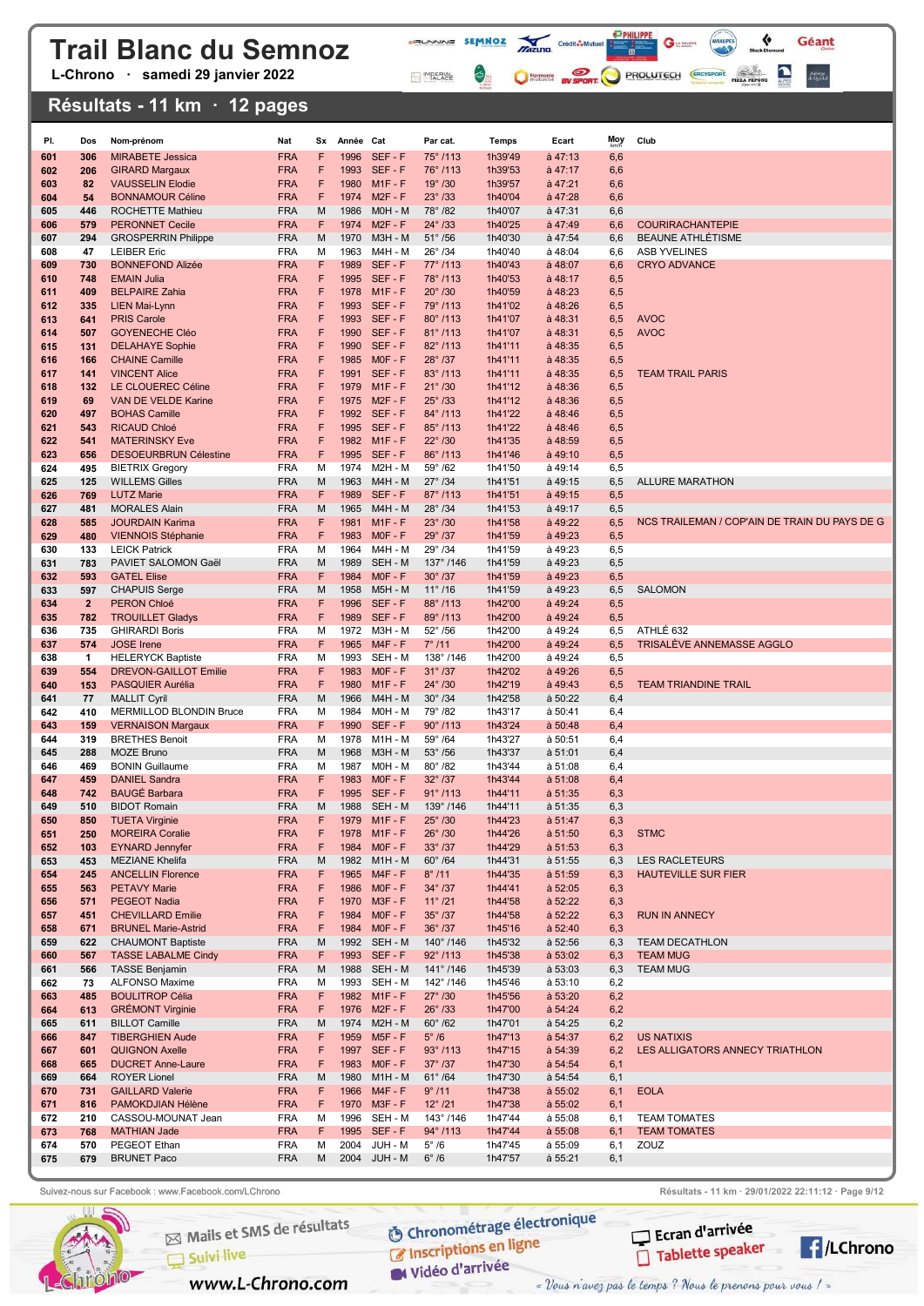L-Chrono · samedi 29 janvier 2022

#### Résultats - 11 km · 12 pages

| PI.        | Dos                 | Nom-prénom                                         | Nat                      | Sx     | Année Cat    |                              | Par cat.                             | Temps              | Ecart                              | Moy        | Club                                          |
|------------|---------------------|----------------------------------------------------|--------------------------|--------|--------------|------------------------------|--------------------------------------|--------------------|------------------------------------|------------|-----------------------------------------------|
| 601        | 306                 | <b>MIRABETE Jessica</b>                            | <b>FRA</b>               | F      | 1996         | SEF-F                        | 75°/113                              | 1h39'49            | $a$ 47:13                          | 6,6        |                                               |
| 602        | 206                 | <b>GIRARD Margaux</b>                              | <b>FRA</b>               | F      | 1993         | SEF-F                        | 76°/113                              | 1h39'53            | $\hat{a}$ 47:17                    | 6,6        |                                               |
| 603        | 82                  | <b>VAUSSELIN Elodie</b>                            | <b>FRA</b>               | F      | 1980         | $M1F - F$                    | $19^{\circ}$ /30                     | 1h39'57            | $a$ 47:21                          | 6,6        |                                               |
| 604<br>605 | 54<br>446           | <b>BONNAMOUR Céline</b><br><b>ROCHETTE Mathieu</b> | <b>FRA</b><br><b>FRA</b> | F<br>M | 1974<br>1986 | $M2F - F$<br>M0H - M         | $23^{\circ}$ /33<br>78°/82           | 1h40'04<br>1h40'07 | $a$ 47:28<br>à 47:31               | 6,6<br>6,6 |                                               |
| 606        | 579                 | <b>PERONNET Cecile</b>                             | <b>FRA</b>               | F      | 1974         | $M2F - F$                    | $24^{\circ}$ /33                     | 1h40'25            | $a$ 47:49                          | 6,6        | <b>COURIRACHANTEPIE</b>                       |
| 607        | 294                 | <b>GROSPERRIN Philippe</b>                         | <b>FRA</b>               | M      | 1970         | M3H - M                      | $51^{\circ}$ /56                     | 1h40'30            | $a$ 47:54                          | 6,6        | BEAUNE ATHLÉTISME                             |
| 608        | 47                  | <b>LEIBER Eric</b>                                 | <b>FRA</b>               | м      | 1963         | M4H - M                      | $26^{\circ}$ /34                     | 1h40'40            | à 48:04                            | 6,6        | <b>ASB YVELINES</b>                           |
| 609<br>610 | 730<br>748          | <b>BONNEFOND Alizée</b><br><b>EMAIN Julia</b>      | <b>FRA</b><br><b>FRA</b> | F<br>F | 1989         | SEF-F<br>1995 SEF-F          | $77^{\circ}$ /113<br>78°/113         | 1h40'43<br>1h40'53 | $a$ 48:07<br>$a$ 48:17             | 6,6<br>6,5 | <b>CRYO ADVANCE</b>                           |
| 611        | 409                 | <b>BELPAIRE Zahia</b>                              | <b>FRA</b>               | F      | 1978         | $M1F - F$                    | $20^\circ$ /30                       | 1h40'59            | $a$ 48:23                          | 6,5        |                                               |
| 612        | 335                 | <b>LIEN Mai-Lynn</b>                               | <b>FRA</b>               | F      | 1993         | SEF-F                        | 79°/113                              | 1h41'02            | $a$ 48:26                          | 6,5        |                                               |
| 613        | 641                 | <b>PRIS Carole</b>                                 | FRA                      | F      | 1993         | SEF-F                        | 80°/113                              | 1h41'07            | $\hat{a}$ 48:31                    | 6,5        | <b>AVOC</b>                                   |
| 614        | 507                 | <b>GOYENECHE Cléo</b>                              | <b>FRA</b>               | F      | 1990         | SEF-F                        | $81^{\circ}$ /113                    | 1h41'07            | $a$ 48:31                          | 6,5        | <b>AVOC</b>                                   |
| 615<br>616 | 131<br>166          | <b>DELAHAYE Sophie</b><br><b>CHAINE Camille</b>    | <b>FRA</b><br>FRA        | F<br>F | 1990         | SEF-F<br>1985 MOF-F          | 82°/113<br>$28^{\circ}$ /37          | 1h41'11<br>1h41'11 | $\dot{a}$ 48:35<br>$\dot{a}$ 48:35 | 6,5<br>6,5 |                                               |
| 617        | 141                 | <b>VINCENT Alice</b>                               | <b>FRA</b>               | F      | 1991         | SEF-F                        | $83^{\circ}$ /113                    | 1h41'11            | $\dot{a}$ 48:35                    | 6,5        | <b>TEAM TRAIL PARIS</b>                       |
| 618        | 132                 | LE CLOUEREC Céline                                 | <b>FRA</b>               | F      | 1979         | $M1F - F$                    | $21^{\circ}$ /30                     | 1h41'12            | $a$ 48:36                          | 6,5        |                                               |
| 619        | 69                  | VAN DE VELDE Karine                                | FRA                      | F      | 1975         | $M2F - F$                    | $25^{\circ}$ /33                     | 1h41'12            | $a$ 48:36                          | 6,5        |                                               |
| 620        | 497                 | <b>BOHAS Camille</b>                               | <b>FRA</b>               | F      |              | 1992 SEF-F                   | 84°/113                              | 1h41'22            | $a$ 48:46                          | 6,5        |                                               |
| 621<br>622 | 543<br>541          | <b>RICAUD Chloé</b><br><b>MATERINSKY Eve</b>       | <b>FRA</b><br><b>FRA</b> | F<br>F |              | 1995 SEF-F<br>1982 M1F-F     | 85°/113<br>$22^{\circ}$ /30          | 1h41'22<br>1h41'35 | $a$ 48:46<br>$\dot{a}$ 48:59       | 6,5<br>6,5 |                                               |
| 623        | 656                 | <b>DESOEURBRUN Célestine</b>                       | <b>FRA</b>               | F      |              | 1995 SEF-F                   | 86°/113                              | 1h41'46            | $\dot{a}$ 49:10                    | 6,5        |                                               |
| 624        | 495                 | <b>BIETRIX Gregory</b>                             | <b>FRA</b>               | M      | 1974         | <b>M2H - M</b>               | $59^\circ$ /62                       | 1h41'50            | à 49:14                            | 6,5        |                                               |
| 625        | 125                 | <b>WILLEMS Gilles</b>                              | <b>FRA</b>               | M      | 1963         | <b>M4H - M</b>               | $27^{\circ}$ /34                     | 1h41'51            | $\dot{a}$ 49:15                    | 6,5        | <b>ALLURE MARATHON</b>                        |
| 626        | 769                 | <b>LUTZ Marie</b>                                  | <b>FRA</b>               | F      | 1989         | SEF-F                        | 87°/113                              | 1h41'51            | $a$ 49:15                          | 6,5        |                                               |
| 627<br>628 | 481<br>585          | <b>MORALES Alain</b><br><b>JOURDAIN Karima</b>     | <b>FRA</b><br><b>FRA</b> | M<br>F | 1981         | 1965 M4H - M<br>$M1F - F$    | $28^{\circ}$ /34<br>$23^\circ$ /30   | 1h41'53<br>1h41'58 | $a$ 49:17<br>à 49:22               | 6,5<br>6,5 | NCS TRAILEMAN / COP'AIN DE TRAIN DU PAYS DE G |
| 629        | 480                 | <b>VIENNOIS Stéphanie</b>                          | <b>FRA</b>               | F      | 1983         | $MOF - F$                    | 29°/37                               | 1h41'59            | à 49:23                            | 6,5        |                                               |
| 630        | 133                 | <b>LEICK Patrick</b>                               | <b>FRA</b>               | M      | 1964         | M4H - M                      | 29°/34                               | 1h41'59            | à 49:23                            | 6,5        |                                               |
| 631        | 783                 | PAVIET SALOMON Gaël                                | <b>FRA</b>               | M      | 1989         | SEH - M                      | 137°/146                             | 1h41'59            | à 49:23                            | 6,5        |                                               |
| 632        | 593                 | <b>GATEL Elise</b>                                 | <b>FRA</b>               | F      | 1984         | $MOF - F$                    | $30^\circ$ /37                       | 1h41'59            | à 49:23                            | 6,5        |                                               |
| 633<br>634 | 597<br>$\mathbf{2}$ | <b>CHAPUIS Serge</b><br><b>PERON Chloé</b>         | <b>FRA</b><br><b>FRA</b> | M<br>F | 1958         | <b>M5H - M</b><br>1996 SEF-F | $11^{\circ}$ /16<br>88°/113          | 1h41'59<br>1h42'00 | à 49:23<br>à 49:24                 | 6,5<br>6,5 | <b>SALOMON</b>                                |
| 635        | 782                 | <b>TROUILLET Gladys</b>                            | <b>FRA</b>               | F      | 1989         | SEF-F                        | 89°/113                              | 1h42'00            | à 49:24                            | 6,5        |                                               |
| 636        | 735                 | <b>GHIRARDI Boris</b>                              | <b>FRA</b>               | М      | 1972         | M3H - M                      | $52^\circ$ /56                       | 1h42'00            | à 49:24                            | 6,5        | ATHLÉ 632                                     |
| 637        | 574                 | <b>JOSE</b> Irene                                  | <b>FRA</b>               | F      | 1965         | $M4F - F$                    | 7°/11                                | 1h42'00            | $a$ 49:24                          | 6,5        | TRISALÉVE ANNEMASSE AGGLO                     |
| 638        | $\mathbf{1}$<br>554 | <b>HELERYCK Baptiste</b>                           | <b>FRA</b>               | м<br>F | 1993<br>1983 | SEH - M<br>$MOF - F$         | 138°/146                             | 1h42'00            | à 49:24                            | 6,5        |                                               |
| 639<br>640 | 153                 | <b>DREVON-GAILLOT Emilie</b><br>PASQUIER Aurélia   | <b>FRA</b><br><b>FRA</b> | F      | 1980         | $M1F - F$                    | $31^{\circ}$ /37<br>$24^{\circ}$ /30 | 1h42'02<br>1h42'19 | à 49:26<br>$a$ 49:43               | 6,5<br>6,5 | <b>TEAM TRIANDINE TRAIL</b>                   |
| 641        | 77                  | <b>MALLIT Cyril</b>                                | <b>FRA</b>               | M      |              | 1966 M4H - M                 | $30^\circ$ /34                       | 1h42'58            | a 50:22                            | 6,4        |                                               |
| 642        | 410                 | MERMILLOD BLONDIN Bruce                            | <b>FRA</b>               | м      | 1984         | M0H - M                      | 79°/82                               | 1h43'17            | à 50:41                            | 6,4        |                                               |
| 643        | 159                 | <b>VERNAISON Margaux</b>                           | <b>FRA</b>               | F      |              | 1990 SEF-F                   | $90^{\circ}$ /113                    | 1h43'24            | a 50:48                            | 6,4        |                                               |
| 644<br>645 | 319<br>288          | <b>BRETHES Benoit</b><br><b>MOZE Bruno</b>         | <b>FRA</b><br><b>FRA</b> | м<br>M | 1968         | 1978 M1H - M<br>M3H - M      | $59^\circ$ /64<br>$53^\circ$ /56     | 1h43'27<br>1h43'37 | à 50:51<br>$\dot{a} 51:01$         | 6,4<br>6,4 |                                               |
| 646        | 469                 | <b>BONIN Guillaume</b>                             | <b>FRA</b>               | м      | 1987         | M0H - M                      | $80^\circ/82$                        | 1h43'44            | à 51:08                            | 6,4        |                                               |
| 647        | 459                 | <b>DANIEL Sandra</b>                               | <b>FRA</b>               | F      | 1983         | $MOF - F$                    | $32^{\circ}$ /37                     | 1h43'44            | a 51:08                            | 6,4        |                                               |
| 648        | 742                 | <b>BAUGÉ Barbara</b>                               | <b>FRA</b>               | F      |              | 1995 SEF-F                   | $91^{\circ}$ /113                    | 1h44'11            | a 51:35                            | 6,3        |                                               |
| 649<br>650 | 510<br>850          | <b>BIDOT Romain</b><br><b>TUETA Virginie</b>       | <b>FRA</b><br><b>FRA</b> | M<br>F |              | 1988 SEH - M<br>1979 M1F-F   | 139°/146<br>25°/30                   | 1h44'11<br>1h44'23 | à 51:35<br>a 51:47                 | 6,3<br>6,3 |                                               |
| 651        | 250                 | <b>MOREIRA Coralie</b>                             | <b>FRA</b>               | F      |              | 1978 M1F-F                   | $26^{\circ}$ /30                     | 1h44'26            | a 51:50                            | 6,3        | <b>STMC</b>                                   |
| 652        | 103                 | <b>EYNARD Jennyfer</b>                             | <b>FRA</b>               | F      | 1984         | $MOF - F$                    | $33^\circ/37$                        | 1h44'29            | a 51:53                            | 6,3        |                                               |
| 653        | 453                 | <b>MEZIANE Khelifa</b>                             | <b>FRA</b>               | M      |              | 1982 M1H-M                   | $60^\circ$ /64                       | 1h44'31            | à 51:55                            | 6,3        | <b>LES RACLETEURS</b>                         |
| 654        | 245                 | <b>ANCELLIN Florence</b>                           | <b>FRA</b>               | F      |              | 1965 M4F-F                   | $8^{\circ}$ /11                      | 1h44'35            | a 51:59                            | 6,3        | <b>HAUTEVILLE SUR FIER</b>                    |
| 655<br>656 | 563<br>571          | <b>PETAVY Marie</b><br>PEGEOT Nadia                | <b>FRA</b><br><b>FRA</b> | F<br>F |              | 1986 MOF-F<br>1970 M3F-F     | $34^{\circ}$ /37<br>$11^{\circ}$ /21 | 1h44'41<br>1h44'58 | a 52:05<br>a 52:22                 | 6,3<br>6,3 |                                               |
| 657        | 451                 | <b>CHEVILLARD Emilie</b>                           | <b>FRA</b>               | F      |              | 1984 MOF-F                   | $35^\circ$ /37                       | 1h44'58            | a 52:22                            | 6,3        | <b>RUN IN ANNECY</b>                          |
| 658        | 671                 | <b>BRUNEL Marie-Astrid</b>                         | <b>FRA</b>               | F      |              | 1984 MOF-F                   | $36^\circ$ /37                       | 1h45'16            | à 52:40                            | 6,3        |                                               |
| 659        | 622                 | <b>CHAUMONT Baptiste</b>                           | <b>FRA</b>               | M      |              | 1992 SEH - M                 | 140°/146                             | 1h45'32            | à 52:56                            | 6,3        | <b>TEAM DECATHLON</b>                         |
| 660        | 567                 | <b>TASSE LABALME Cindy</b>                         | <b>FRA</b>               | F      |              | 1993 SEF-F                   | $92^{\circ}$ /113                    | 1h45'38            | a 53:02                            | 6,3        | <b>TEAM MUG</b>                               |
| 661<br>662 | 566<br>73           | <b>TASSE Benjamin</b><br>ALFONSO Maxime            | <b>FRA</b><br><b>FRA</b> | M<br>М |              | 1988 SEH - M<br>1993 SEH - M | 141°/146<br>142°/146                 | 1h45'39<br>1h45'46 | à 53:03<br>à 53:10                 | 6,3<br>6,2 | <b>TEAM MUG</b>                               |
| 663        | 485                 | <b>BOULITROP Célia</b>                             | <b>FRA</b>               | F.     |              | 1982 M1F-F                   | $27^{\circ}$ /30                     | 1h45'56            | a 53:20                            | 6,2        |                                               |
| 664        | 613                 | <b>GRÉMONT Virginie</b>                            | <b>FRA</b>               | F      |              | 1976 M2F-F                   | $26^{\circ}$ /33                     | 1h47'00            | a 54:24                            | 6,2        |                                               |
| 665        | 611                 | <b>BILLOT Camille</b>                              | <b>FRA</b>               | M      |              | 1974 M2H - M                 | $60^{\circ}$ /62                     | 1h47'01            | à 54:25                            | 6,2        |                                               |
| 666        | 847                 | <b>TIBERGHIEN Aude</b>                             | <b>FRA</b>               | F      |              | 1959 M5F-F                   | $5^\circ/6$                          | 1h47'13            | a 54:37                            | 6,2        | <b>US NATIXIS</b>                             |
| 667<br>668 | 601<br>665          | <b>QUIGNON Axelle</b><br><b>DUCRET Anne-Laure</b>  | <b>FRA</b><br><b>FRA</b> | F<br>F |              | 1997 SEF-F<br>1983 MOF-F     | $93^{\circ}$ /113<br>$37^\circ$ /37  | 1h47'15<br>1h47'30 | a 54:39<br>a 54:54                 | 6,2<br>6,1 | LES ALLIGATORS ANNECY TRIATHLON               |
| 669        | 664                 | <b>ROYER Lionel</b>                                | <b>FRA</b>               | M      |              | 1980 M1H - M                 | $61^{\circ}$ /64                     | 1h47'30            | à 54:54                            | 6,1        |                                               |
| 670        | 731                 | <b>GAILLARD Valerie</b>                            | <b>FRA</b>               | F      |              | 1966 M4F-F                   | $9^{\circ}$ /11                      | 1h47'38            | a 55:02                            | 6,1        | <b>EOLA</b>                                   |
| 671        | 816                 | PAMOKDJIAN Hélène                                  | <b>FRA</b>               | F      |              | 1970 M3F-F                   | $12^{\circ}$ /21                     | 1h47'38            | a 55:02                            | 6,1        |                                               |
| 672        | 210                 | CASSOU-MOUNAT Jean                                 | <b>FRA</b>               | М<br>F |              | 1996 SEH - M                 | 143°/146                             | 1h47'44            | à 55:08                            | 6,1        | <b>TEAM TOMATES</b>                           |
| 673<br>674 | 768<br>570          | <b>MATHIAN Jade</b><br>PEGEOT Ethan                | <b>FRA</b><br><b>FRA</b> | М      |              | 1995 SEF-F<br>2004 JUH - M   | $94^{\circ}$ /113<br>$5^{\circ}$ /6  | 1h47'44<br>1h47'45 | a 55:08<br>à 55:09                 | 6,1<br>6,1 | <b>TEAM TOMATES</b><br>ZOUZ                   |
| 675        | 679                 | <b>BRUNET Paco</b>                                 | FRA                      | М      |              | 2004 JUH - M                 | $6^{\circ}$ /6                       | 1h47'57            | à 55:21                            | 6,1        |                                               |
|            |                     |                                                    |                          |        |              |                              |                                      |                    |                                    |            |                                               |

**FRUNNING SEMMOZ MIZURO** Crédit**ô-Multier de la Caracteria de la Caracteria de la Caracteria de la Caracteria de la Caracteria de la Caracteria de la Caracteria de la Caracteria de la Caracteria de la Caracteria de la Cara** 

MPERIAL

 $\left\langle \cdot \right\rangle _{0}$ 

 $G$ 

C Harmonic By SPORT PROLUTECH CRO'SPORT PIZZ PROM

 $\triangledown$ 

Géant

Auberge<br>de Quintal



Mails et SMS de résultats

www.L-Chrono.com

 $\Box$  Suivi live

**O Chronométrage électronique** C Inscriptions en ligne

W Vidéo d'arrivée

Suivez-nous sur Facebook : www.Facebook.com/LChrono Resultation Résultats - 11 km · 29/01/2022 22:11:12 · Page 9/12

Ecran d'arrivée Tablette speaker

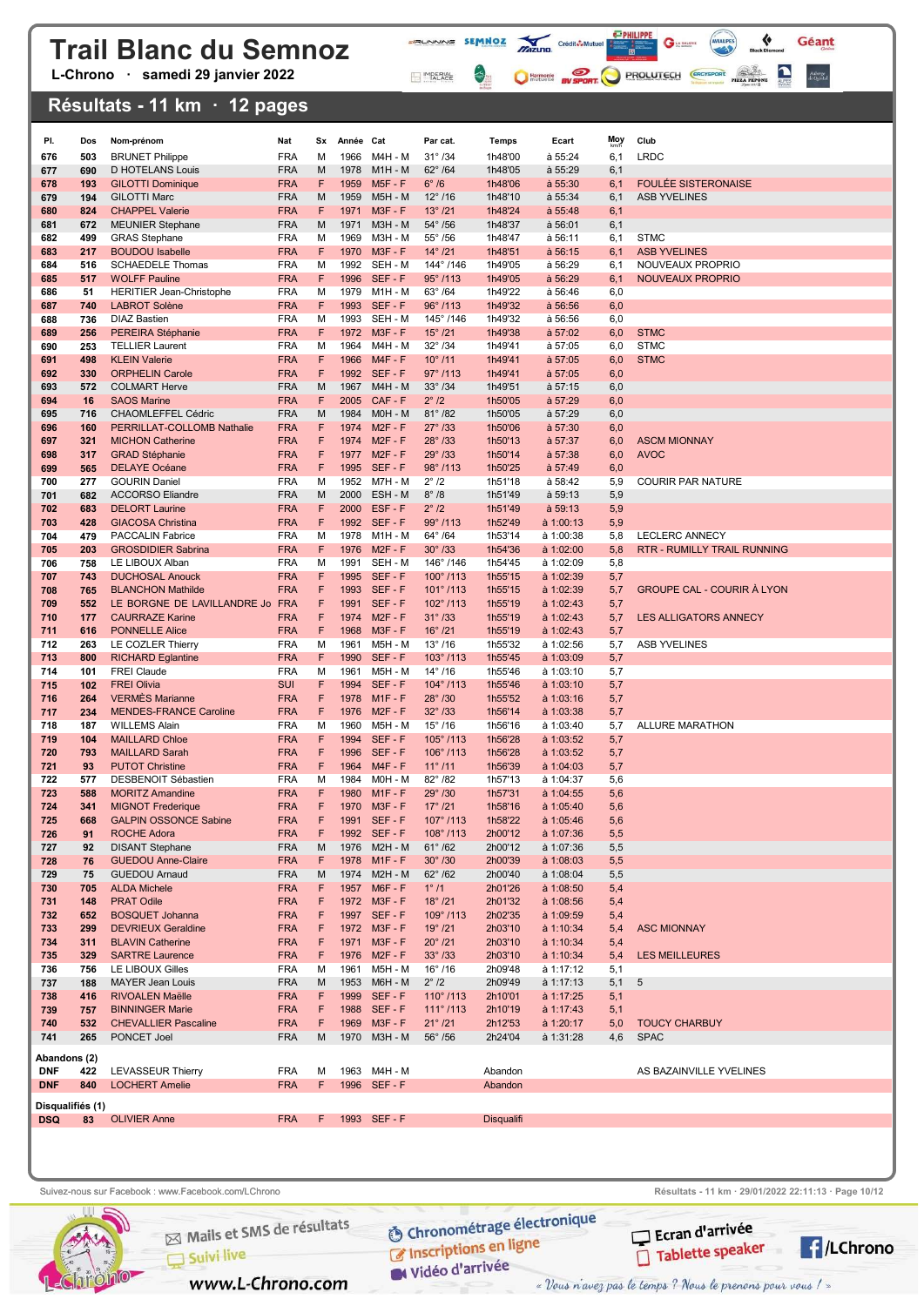L-Chrono · samedi 29 janvier 2022

### Résultats - 11 km · 12 pages

| PI.<br>676       | Dos<br>503 | Nom-prénom<br><b>BRUNET Philippe</b>                        | Nat<br><b>FRA</b>        | Sx<br>M | Année Cat<br>1966 | M4H - M                    | Par cat.<br>$31^{\circ}$ /34         | Temps<br>1h48'00   | Ecart<br>à 55:24                       | Moy<br>6,1 | Club<br><b>LRDC</b>                |
|------------------|------------|-------------------------------------------------------------|--------------------------|---------|-------------------|----------------------------|--------------------------------------|--------------------|----------------------------------------|------------|------------------------------------|
| 677              | 690        | D HOTELANS Louis                                            | <b>FRA</b>               | M       | 1978              | $M1H - M$                  | $62^{\circ}$ /64                     | 1h48'05            | à 55:29                                | 6,1        |                                    |
| 678              | 193        | <b>GILOTTI Dominique</b>                                    | <b>FRA</b>               | F       | 1959              | <b>M5F - F</b>             | $6^\circ/6$                          | 1h48'06            | a 55:30                                | 6,1        | <b>FOULÉE SISTERONAISE</b>         |
| 679              | 194        | <b>GILOTTI Marc</b>                                         | <b>FRA</b>               | м       | 1959              | <b>M5H - M</b>             | $12^{\circ}$ /16                     | 1h48'10            | a 55:34                                | 6,1        | <b>ASB YVELINES</b>                |
| 680              | 824        | <b>CHAPPEL Valerie</b>                                      | <b>FRA</b>               | F       | 1971              | $M3F - F$                  | $13^{\circ}$ /21                     | 1h48'24            | a 55:48                                | 6,1        |                                    |
| 681              | 672        | <b>MEUNIER Stephane</b>                                     | <b>FRA</b>               | M       | 1971              | M3H - M                    | $54^{\circ}$ /56                     | 1h48'37            | a 56:01                                | 6,1        |                                    |
| 682<br>683       | 499<br>217 | <b>GRAS Stephane</b><br><b>BOUDOU Isabelle</b>              | <b>FRA</b><br><b>FRA</b> | М<br>F  | 1969<br>1970      | M3H - M<br>$M3F - F$       | $55^{\circ}$ /56<br>$14^{\circ}$ /21 | 1h48'47<br>1h48'51 | a 56:11<br>a 56:15                     | 6,1<br>6,1 | <b>STMC</b><br><b>ASB YVELINES</b> |
| 684              | 516        | <b>SCHAEDELE Thomas</b>                                     | <b>FRA</b>               | М       | 1992              | SEH - M                    | 144°/146                             | 1h49'05            | à 56:29                                | 6,1        | NOUVEAUX PROPRIO                   |
| 685              | 517        | <b>WOLFF Pauline</b>                                        | <b>FRA</b>               | F       | 1996              | SEF-F                      | $95^{\circ}$ /113                    | 1h49'05            | a 56:29                                | 6,1        | <b>NOUVEAUX PROPRIO</b>            |
| 686              | 51         | <b>HERITIER Jean-Christophe</b>                             | <b>FRA</b>               | М       | 1979              | M1H - M                    | $63^\circ$ /64                       | 1h49'22            | à 56:46                                | 6,0        |                                    |
| 687              | 740        | <b>LABROT Solène</b>                                        | <b>FRA</b>               | F       | 1993              | SEF-F                      | $96^{\circ}$ /113                    | 1h49'32            | a 56:56                                | 6,0        |                                    |
| 688<br>689       | 736<br>256 | <b>DIAZ Bastien</b><br>PEREIRA Stéphanie                    | <b>FRA</b><br><b>FRA</b> | М<br>F  | 1993<br>1972      | SEH - M<br>$M3F - F$       | 145°/146<br>$15^{\circ}$ /21         | 1h49'32<br>1h49'38 | à 56:56<br>a 57:02                     | 6,0<br>6,0 | <b>STMC</b>                        |
| 690              | 253        | <b>TELLIER Laurent</b>                                      | <b>FRA</b>               | м       | 1964              | M4H - M                    | $32^{\circ}$ /34                     | 1h49'41            | à 57:05                                | 6,0        | <b>STMC</b>                        |
| 691              | 498        | <b>KLEIN Valerie</b>                                        | <b>FRA</b>               | F       | 1966              | $M4F - F$                  | $10^{\circ}$ /11                     | 1h49'41            | a 57:05                                | 6,0        | <b>STMC</b>                        |
| 692              | 330        | <b>ORPHELIN Carole</b>                                      | <b>FRA</b>               | F       | 1992              | SEF-F                      | $97^{\circ}$ /113                    | 1h49'41            | a 57:05                                | 6,0        |                                    |
| 693              | 572        | <b>COLMART Herve</b>                                        | <b>FRA</b>               | M       | 1967              | <b>M4H - M</b>             | $33^\circ$ /34                       | 1h49'51            | a 57:15                                | 6,0        |                                    |
| 694              | 16         | <b>SAOS Marine</b>                                          | <b>FRA</b>               | F       | 2005              | CAF-F                      | $2^\circ$ /2                         | 1h50'05            | a 57:29                                | 6,0        |                                    |
| 695<br>696       | 716<br>160 | <b>CHAOMLEFFEL Cédric</b><br>PERRILLAT-COLLOMB Nathalie     | <b>FRA</b><br><b>FRA</b> | M<br>F  | 1984<br>1974      | M0H - M<br>$M2F - F$       | $81^{\circ}$ /82<br>$27^{\circ}$ /33 | 1h50'05<br>1h50'06 | a 57:29<br>a 57:30                     | 6,0<br>6,0 |                                    |
| 697              | 321        | <b>MICHON Catherine</b>                                     | <b>FRA</b>               | F       | 1974              | $M2F - F$                  | $28^{\circ}$ /33                     | 1h50'13            | a 57:37                                | 6,0        | <b>ASCM MIONNAY</b>                |
| 698              | 317        | <b>GRAD Stéphanie</b>                                       | <b>FRA</b>               | F       | 1977              | $M2F - F$                  | 29°/33                               | 1h50'14            | a 57:38                                | 6,0        | <b>AVOC</b>                        |
| 699              | 565        | <b>DELAYE Océane</b>                                        | <b>FRA</b>               | F       |                   | 1995 SEF-F                 | 98°/113                              | 1h50'25            | a 57:49                                | 6,0        |                                    |
| 700              | 277        | <b>GOURIN Daniel</b>                                        | <b>FRA</b>               | M       | 1952              | M7H - M                    | $2^\circ$ /2                         | 1h51'18            | à 58:42                                | 5,9        | <b>COURIR PAR NATURE</b>           |
| 701              | 682        | <b>ACCORSO Eliandre</b>                                     | <b>FRA</b><br><b>FRA</b> | м<br>F  | 2000<br>2000      | ESH - M<br>ESF-F           | $8^\circ$ /8<br>$2^\circ$ /2         | 1h51'49<br>1h51'49 | a 59:13                                | 5,9<br>5,9 |                                    |
| 702<br>703       | 683<br>428 | <b>DELORT Laurine</b><br><b>GIACOSA Christina</b>           | <b>FRA</b>               | F       |                   | 1992 SEF-F                 | 99°/113                              | 1h52'49            | a 59:13<br>à 1:00:13                   | 5,9        |                                    |
| 704              | 479        | <b>PACCALIN Fabrice</b>                                     | <b>FRA</b>               | М       | 1978              | M1H - M                    | 64°/64                               | 1h53'14            | à 1:00:38                              | 5,8        | <b>LECLERC ANNECY</b>              |
| 705              | 203        | <b>GROSDIDIER Sabrina</b>                                   | <b>FRA</b>               | F       | 1976              | $M2F - F$                  | $30^{\circ}$ /33                     | 1h54'36            | à 1:02:00                              | 5,8        | RTR - RUMILLY TRAIL RUNNING        |
| 706              | 758        | LE LIBOUX Alban                                             | <b>FRA</b>               | М       | 1991              | SEH - M                    | 146°/146                             | 1h54'45            | à 1:02:09                              | 5,8        |                                    |
| 707              | 743        | <b>DUCHOSAL Anouck</b>                                      | <b>FRA</b>               | F<br>F  | 1995<br>1993      | SEF-F<br>SEF-F             | $100^{\circ}$ /113                   | 1h55'15            | à 1:02:39                              | 5,7        | <b>GROUPE CAL - COURIR À LYON</b>  |
| 708<br>709       | 765<br>552 | <b>BLANCHON Mathilde</b><br>LE BORGNE DE LAVILLANDRE Jo FRA | <b>FRA</b>               | F       | 1991              | SEF-F                      | $101^{\circ}$ /113<br>102°/113       | 1h55'15<br>1h55'19 | à 1:02:39<br>à 1:02:43                 | 5,7<br>5,7 |                                    |
| 710              | 177        | <b>CAURRAZE Karine</b>                                      | <b>FRA</b>               | F       | 1974              | $M2F - F$                  | $31^{\circ}$ /33                     | 1h55'19            | à 1:02:43                              | 5,7        | LES ALLIGATORS ANNECY              |
| 711              | 616        | <b>PONNELLE Alice</b>                                       | <b>FRA</b>               | F       | 1968              | $M3F - F$                  | $16^{\circ}$ /21                     | 1h55'19            | à 1:02:43                              | 5,7        |                                    |
| 712              | 263        | LE COZLER Thierry                                           | <b>FRA</b>               | М       | 1961              | M5H - M                    | $13^{\circ}$ /16                     | 1h55'32            | à 1:02:56                              | 5,7        | <b>ASB YVELINES</b>                |
| 713<br>714       | 800<br>101 | <b>RICHARD Eglantine</b><br><b>FREI Claude</b>              | <b>FRA</b><br><b>FRA</b> | F<br>М  | 1990<br>1961      | SEF-F<br>M5H - M           | $103^\circ$ /113<br>$14^{\circ}$ /16 | 1h55'45<br>1h55'46 | $\dot{a}$ 1:03:09                      | 5,7<br>5,7 |                                    |
| 715              | 102        | <b>FREI Olivia</b>                                          | <b>SUI</b>               | F       | 1994              | SEF-F                      | $104^{\circ}$ /113                   | 1h55'46            | à 1:03:10<br>$\dot{a}$ 1:03:10         | 5,7        |                                    |
| 716              | 264        | <b>VERMES Marianne</b>                                      | <b>FRA</b>               | F       | 1978              | $M1F - F$                  | $28^{\circ}$ /30                     | 1h55'52            | $\dot{a}$ 1:03:16                      | 5,7        |                                    |
| 717              | 234        | <b>MENDES-FRANCE Caroline</b>                               | <b>FRA</b>               | F       | 1976              | $M2F - F$                  | $32^{\circ}$ /33                     | 1h56'14            | à 1:03:38                              | 5,7        |                                    |
| 718              | 187        | <b>WILLEMS Alain</b>                                        | <b>FRA</b>               | М       | 1960              | M5H - M                    | $15^{\circ}$ /16                     | 1h56'16            | à 1:03:40                              | 5,7        | ALLURE MARATHON                    |
| 719              | 104<br>793 | <b>MAILLARD Chloe</b><br><b>MAILLARD Sarah</b>              | <b>FRA</b><br><b>FRA</b> | F<br>F  | 1994<br>1996      | SEF-F<br>SEF-F             | 105°/113<br>106°/113                 | 1h56'28<br>1h56'28 | $\dot{a}$ 1:03:52<br>$\dot{a}$ 1:03:52 | 5,7<br>5,7 |                                    |
| 720<br>721       | 93         | <b>PUTOT Christine</b>                                      | <b>FRA</b>               | F       | 1964              | <b>M4F - F</b>             | $11^{\circ}$ /11                     | 1h56'39            | à 1:04:03                              | 5,7        |                                    |
| 722              | 577        | DESBENOIT Sébastien                                         | <b>FRA</b>               | м       | 1984              | M0H - M                    | $82^{\circ}$ /82                     | 1h57'13            | à 1:04:37                              | 5,6        |                                    |
| 723              | 588        | <b>MORITZ Amandine</b>                                      | <b>FRA</b>               | F       | 1980              | $M1F - F$                  | 29°/30                               | 1h57'31            | à 1:04:55                              | 5,6        |                                    |
| 724              | 341        | <b>MIGNOT Frederique</b>                                    | <b>FRA</b>               | F       | 1970              | $M3F - F$                  | $17^{\circ}$ /21                     | 1h58'16            | à 1:05:40                              | 5,6        |                                    |
| 725              | 668        | <b>GALPIN OSSONCE Sabine</b>                                | <b>FRA</b>               |         | 1991              | SEF-F<br>1992 SEF-F        | 107°/113                             | 1h58'22            | à 1:05:46                              | 5,6        |                                    |
| 726<br>727       | 91<br>92   | <b>ROCHE Adora</b><br><b>DISANT Stephane</b>                | <b>FRA</b><br><b>FRA</b> | F<br>M  |                   | 1976 M2H - M               | 108°/113<br>$61^{\circ}$ /62         | 2h00'12<br>2h00'12 | à 1:07:36<br>à 1:07:36                 | 5,5<br>5,5 |                                    |
| 728              | 76         | <b>GUEDOU Anne-Claire</b>                                   | <b>FRA</b>               | F       |                   | 1978 M1F-F                 | 30°/30                               | 2h00'39            | à 1:08:03                              | 5,5        |                                    |
| 729              | 75         | <b>GUEDOU Arnaud</b>                                        | <b>FRA</b>               | M       |                   | 1974 M2H - M               | $62^{\circ}$ /62                     | 2h00'40            | à 1:08:04                              | 5,5        |                                    |
| 730              | 705        | <b>ALDA Michele</b>                                         | <b>FRA</b>               | F       |                   | 1957 M6F-F                 | $1^\circ/1$                          | 2h01'26            | à 1:08:50                              | 5,4        |                                    |
| 731<br>732       | 148<br>652 | <b>PRAT Odile</b><br><b>BOSQUET Johanna</b>                 | <b>FRA</b><br><b>FRA</b> | F<br>F  |                   | 1972 M3F-F<br>1997 SEF-F   | $18^{\circ}$ /21<br>109°/113         | 2h01'32<br>2h02'35 | à 1:08:56<br>à 1:09:59                 | 5,4        |                                    |
| 733              | 299        | <b>DEVRIEUX Geraldine</b>                                   | <b>FRA</b>               | F       |                   | 1972 M3F-F                 | $19^{\circ}$ /21                     | 2h03'10            | à 1:10:34                              | 5,4<br>5,4 | <b>ASC MIONNAY</b>                 |
| 734              | 311        | <b>BLAVIN Catherine</b>                                     | <b>FRA</b>               | F       |                   | 1971 M3F-F                 | $20^{\circ}$ /21                     | 2h03'10            | à 1:10:34                              | 5,4        |                                    |
| 735              | 329        | <b>SARTRE Laurence</b>                                      | <b>FRA</b>               | F       |                   | 1976 M2F-F                 | $33^{\circ}$ /33                     | 2h03'10            | à 1:10:34                              | 5,4        | <b>LES MEILLEURES</b>              |
| 736              | 756        | LE LIBOUX Gilles                                            | <b>FRA</b>               | м       | 1961              | M5H - M                    | $16^{\circ}$ /16                     | 2h09'48            | à 1:17:12                              | 5,1        |                                    |
| 737              | 188        | <b>MAYER Jean Louis</b>                                     | <b>FRA</b>               | M<br>F  |                   | 1953 M6H - M<br>1999 SEF-F | $2^{\circ}$ /2<br>110° /113          | 2h09'49            | à 1:17:13<br>à 1:17:25                 | 5,1        | 5                                  |
| 738<br>739       | 416<br>757 | RIVOALEN Maëlle<br><b>BINNINGER Marie</b>                   | <b>FRA</b><br><b>FRA</b> | F       |                   | 1988 SEF-F                 | 111°/113                             | 2h10'01<br>2h10'19 | à 1:17:43                              | 5,1<br>5,1 |                                    |
| 740              | 532        | <b>CHEVALLIER Pascaline</b>                                 | <b>FRA</b>               | F       |                   | 1969 M3F-F                 | $21^{\circ}$ /21                     | 2h12'53            | à 1:20:17                              | 5,0        | <b>TOUCY CHARBUY</b>               |
| 741              | 265        | PONCET Joel                                                 | <b>FRA</b>               | М       |                   | 1970 M3H - M               | $56^{\circ}$ /56                     | 2h24'04            | à 1:31:28                              | 4,6        | <b>SPAC</b>                        |
| Abandons (2)     |            |                                                             |                          |         |                   |                            |                                      |                    |                                        |            |                                    |
| <b>DNF</b>       | 422        | <b>LEVASSEUR Thierry</b>                                    | <b>FRA</b>               | м       |                   | 1963 M4H - M               |                                      | Abandon            |                                        |            | AS BAZAINVILLE YVELINES            |
| <b>DNF</b>       | 840        | <b>LOCHERT Amelie</b>                                       | <b>FRA</b>               | F       |                   | 1996 SEF-F                 |                                      | Abandon            |                                        |            |                                    |
| Disqualifiés (1) |            |                                                             |                          |         |                   |                            |                                      |                    |                                        |            |                                    |
| <b>DSQ</b>       | 83         | <b>OLIVIER Anne</b>                                         | <b>FRA</b>               | F.      |                   | 1993 SEF-F                 |                                      | <b>Disqualifi</b>  |                                        |            |                                    |
|                  |            |                                                             |                          |         |                   |                            |                                      |                    |                                        |            |                                    |
|                  |            |                                                             |                          |         |                   |                            |                                      |                    |                                        |            |                                    |

**FRUNNING SEMNOZ ANZUND Crédit Control DE DE LA CONFERENCE DE LA CONFERENCE DE LA CONFERENCE DE LA CONFERENCE DE LA CONFERENCE DE LA CONFE** 

IMPERIAL

 $\left\langle \cdot \right\rangle$ 

 $G$ 

C Harmonie BV SPORT. PROLUTECH CROSSPORT

 $\left\langle \cdot \right\rangle$ 

 $\sum_{\text{ALPES}}$ 

Géant

Auberge<br>de Quintal

Chi

**O Chronométrage électronique** 

Suivez-nous sur Facebook : www.Facebook.com/LChrono Resultats - 11 km · 29/01/2022 22:11:13 · Page 10/12



C Inscriptions en ligne

W Vidéo d'arrivée

« Vous n'avez pas le temps ? Nous le prenons pour vous ! »

Ecran d'arrivée

Tablette speaker

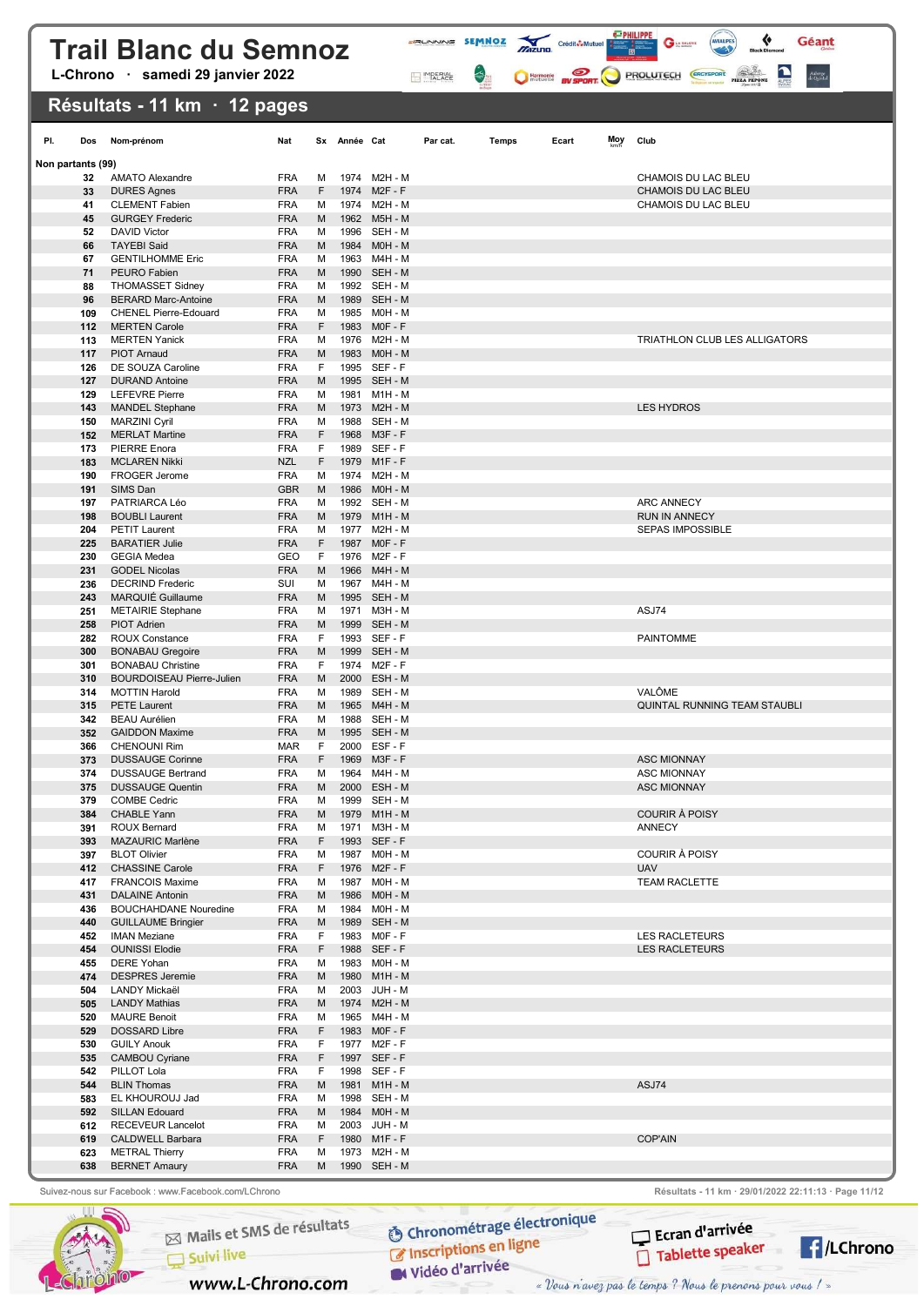L-Chrono · samedi 29 janvier 2022

### Résultats - 11 km · 12 pages

| PI.               | Dos        | Nom-prénom                                                | Nat                      |         | Sx Année Cat |                              | Par cat. | Temps | Moy<br>Ecart | Club                                          |
|-------------------|------------|-----------------------------------------------------------|--------------------------|---------|--------------|------------------------------|----------|-------|--------------|-----------------------------------------------|
| Non partants (99) |            |                                                           |                          |         |              |                              |          |       |              |                                               |
|                   | 32         | <b>AMATO Alexandre</b>                                    | <b>FRA</b>               | м       |              | 1974 M2H - M                 |          |       |              | CHAMOIS DU LAC BLEU                           |
|                   | 33<br>41   | <b>DURES Agnes</b><br><b>CLEMENT Fabien</b>               | <b>FRA</b><br><b>FRA</b> | F<br>м  | 1974         | $M2F - F$<br>1974 M2H - M    |          |       |              | CHAMOIS DU LAC BLEU<br>CHAMOIS DU LAC BLEU    |
|                   | 45         | <b>GURGEY Frederic</b>                                    | <b>FRA</b>               | M       | 1962         | <b>M5H - M</b>               |          |       |              |                                               |
|                   | 52         | <b>DAVID Victor</b>                                       | <b>FRA</b>               | м       |              | 1996 SEH - M                 |          |       |              |                                               |
|                   | 66         | <b>TAYEBI Said</b>                                        | <b>FRA</b>               | M       |              | 1984 M0H - M                 |          |       |              |                                               |
|                   | 67         | <b>GENTILHOMME Eric</b>                                   | <b>FRA</b>               | м       |              | 1963 M4H - M                 |          |       |              |                                               |
|                   | 71         | PEURO Fabien                                              | <b>FRA</b>               | M       |              | 1990 SEH - M                 |          |       |              |                                               |
|                   | 88         | <b>THOMASSET Sidney</b>                                   | <b>FRA</b>               | м       |              | 1992 SEH - M                 |          |       |              |                                               |
|                   | 96         | <b>BERARD Marc-Antoine</b>                                | <b>FRA</b>               | M       |              | 1989 SEH - M                 |          |       |              |                                               |
|                   | 109        | <b>CHENEL Pierre-Edouard</b>                              | <b>FRA</b>               | м       |              | 1985 M0H - M                 |          |       |              |                                               |
|                   | 112<br>113 | <b>MERTEN Carole</b><br><b>MERTEN Yanick</b>              | <b>FRA</b><br><b>FRA</b> | F<br>м  | 1983         | $MOF - F$<br>1976 M2H - M    |          |       |              | TRIATHLON CLUB LES ALLIGATORS                 |
|                   | 117        | <b>PIOT Arnaud</b>                                        | <b>FRA</b>               | M       | 1983         | M0H - M                      |          |       |              |                                               |
|                   | 126        | DE SOUZA Caroline                                         | <b>FRA</b>               | F       |              | 1995 SEF-F                   |          |       |              |                                               |
|                   | 127        | <b>DURAND Antoine</b>                                     | <b>FRA</b>               | M       |              | 1995 SEH - M                 |          |       |              |                                               |
|                   | 129        | <b>LEFEVRE Pierre</b>                                     | <b>FRA</b>               | м       | 1981         | M1H - M                      |          |       |              |                                               |
|                   | 143        | <b>MANDEL Stephane</b>                                    | <b>FRA</b>               | M       |              | 1973 M2H - M                 |          |       |              | <b>LES HYDROS</b>                             |
|                   | 150        | <b>MARZINI Cyril</b>                                      | <b>FRA</b>               | м       |              | 1988 SEH - M                 |          |       |              |                                               |
|                   | 152        | <b>MERLAT Martine</b>                                     | <b>FRA</b>               | F       |              | 1968 M3F-F                   |          |       |              |                                               |
|                   | 173        | <b>PIERRE</b> Enora                                       | <b>FRA</b>               | F<br>F  |              | 1989 SEF-F<br>1979 M1F-F     |          |       |              |                                               |
|                   | 183<br>190 | <b>MCLAREN Nikki</b><br><b>FROGER Jerome</b>              | <b>NZL</b><br><b>FRA</b> | м       |              | 1974 M2H - M                 |          |       |              |                                               |
|                   | 191        | SIMS Dan                                                  | <b>GBR</b>               | M       |              | 1986 M0H - M                 |          |       |              |                                               |
|                   | 197        | PATRIARCA Léo                                             | <b>FRA</b>               | м       |              | 1992 SEH - M                 |          |       |              | <b>ARC ANNECY</b>                             |
|                   | 198        | <b>BOUBLI Laurent</b>                                     | <b>FRA</b>               | M       |              | 1979 M1H - M                 |          |       |              | <b>RUN IN ANNECY</b>                          |
|                   | 204        | <b>PETIT Laurent</b>                                      | <b>FRA</b>               | м       |              | 1977 M2H - M                 |          |       |              | <b>SEPAS IMPOSSIBLE</b>                       |
|                   | 225        | <b>BARATIER Julie</b>                                     | <b>FRA</b>               | F       |              | 1987 MOF-F                   |          |       |              |                                               |
|                   | 230        | <b>GEGIA Medea</b>                                        | GEO                      | F       |              | 1976 M2F-F                   |          |       |              |                                               |
|                   | 231        | <b>GODEL Nicolas</b>                                      | <b>FRA</b>               | M       |              | 1966 M4H - M                 |          |       |              |                                               |
|                   | 236<br>243 | <b>DECRIND Frederic</b><br><b>MARQUIÉ Guillaume</b>       | SUI<br><b>FRA</b>        | м<br>M  |              | 1967 M4H - M<br>1995 SEH - M |          |       |              |                                               |
|                   | 251        | <b>METAIRIE Stephane</b>                                  | <b>FRA</b>               | м       | 1971         | M3H - M                      |          |       |              | ASJ74                                         |
|                   | 258        | <b>PIOT Adrien</b>                                        | <b>FRA</b>               | M       |              | 1999 SEH - M                 |          |       |              |                                               |
|                   | 282        | <b>ROUX Constance</b>                                     | <b>FRA</b>               | F       |              | 1993 SEF-F                   |          |       |              | <b>PAINTOMME</b>                              |
|                   | 300        | <b>BONABAU Gregoire</b>                                   | <b>FRA</b>               | M       |              | 1999 SEH - M                 |          |       |              |                                               |
|                   | 301        | <b>BONABAU Christine</b>                                  | <b>FRA</b>               | F       |              | 1974 M2F-F                   |          |       |              |                                               |
|                   | 310        | <b>BOURDOISEAU Pierre-Julien</b>                          | <b>FRA</b>               | M       | 2000         | ESH - M                      |          |       |              |                                               |
|                   | 314<br>315 | <b>MOTTIN Harold</b><br><b>PETE Laurent</b>               | <b>FRA</b>               | м       |              | 1989 SEH - M<br>1965 M4H - M |          |       |              | <b>VALÔME</b><br>QUINTAL RUNNING TEAM STAUBLI |
|                   | 342        | <b>BEAU Aurélien</b>                                      | <b>FRA</b><br><b>FRA</b> | M<br>м  |              | 1988 SEH - M                 |          |       |              |                                               |
|                   | 352        | <b>GAIDDON Maxime</b>                                     | <b>FRA</b>               | M       |              | 1995 SEH - M                 |          |       |              |                                               |
|                   | 366        | <b>CHENOUNI Rim</b>                                       | <b>MAR</b>               | F       |              | 2000 ESF-F                   |          |       |              |                                               |
|                   | 373        | <b>DUSSAUGE Corinne</b>                                   | <b>FRA</b>               | F       |              | 1969 M3F-F                   |          |       |              | <b>ASC MIONNAY</b>                            |
|                   | 374        | <b>DUSSAUGE Bertrand</b>                                  | <b>FRA</b>               | м       |              | 1964 M4H - M                 |          |       |              | <b>ASC MIONNAY</b>                            |
|                   | 375        | <b>DUSSAUGE Quentin</b>                                   | <b>FRA</b>               | M       | 2000         | ESH - M                      |          |       |              | <b>ASC MIONNAY</b>                            |
|                   | 379<br>384 | <b>COMBE Cedric</b><br><b>CHABLE Yann</b>                 | <b>FRA</b><br><b>FRA</b> | М<br>М  |              | 1999 SEH - M<br>1979 M1H - M |          |       |              | <b>COURIR À POISY</b>                         |
|                   | 391        | ROUX Bernard                                              | <b>FRA</b>               | M       |              | 1971 M3H - M                 |          |       |              | ANNECY                                        |
|                   | 393        | MAZAURIC Marlène                                          | <b>FRA</b>               | F       |              | 1993 SEF-F                   |          |       |              |                                               |
|                   | 397        | <b>BLOT Olivier</b>                                       | <b>FRA</b>               | м       |              | 1987 M0H - M                 |          |       |              | COURIR À POISY                                |
|                   | 412        | <b>CHASSINE Carole</b>                                    | <b>FRA</b>               | F       |              | 1976 M2F-F                   |          |       |              | <b>UAV</b>                                    |
|                   | 417        | <b>FRANCOIS Maxime</b>                                    | <b>FRA</b>               | м       |              | 1987 M0H - M                 |          |       |              | <b>TEAM RACLETTE</b>                          |
|                   | 431        | <b>DALAINE Antonin</b>                                    | <b>FRA</b>               | M       |              | 1986 M0H - M                 |          |       |              |                                               |
|                   | 436<br>440 | <b>BOUCHAHDANE Nouredine</b><br><b>GUILLAUME Bringier</b> | <b>FRA</b><br><b>FRA</b> | м<br>M  |              | 1984 M0H - M<br>1989 SEH - M |          |       |              |                                               |
|                   | 452        | <b>IMAN Meziane</b>                                       | <b>FRA</b>               | F       |              | 1983 MOF-F                   |          |       |              | <b>LES RACLETEURS</b>                         |
|                   | 454        | <b>OUNISSI Elodie</b>                                     | <b>FRA</b>               | F       |              | 1988 SEF-F                   |          |       |              | <b>LES RACLETEURS</b>                         |
|                   | 455        | <b>DERE Yohan</b>                                         | <b>FRA</b>               | м       |              | 1983 M0H - M                 |          |       |              |                                               |
|                   | 474        | <b>DESPRES</b> Jeremie                                    | <b>FRA</b>               | M       |              | 1980 M1H - M                 |          |       |              |                                               |
|                   | 504        | LANDY Mickaël                                             | <b>FRA</b>               | м       |              | 2003 JUH - M                 |          |       |              |                                               |
|                   | 505        | <b>LANDY Mathias</b>                                      | <b>FRA</b>               | M       |              | 1974 M2H - M                 |          |       |              |                                               |
|                   | 520        | <b>MAURE Benoit</b>                                       | <b>FRA</b>               | м       |              | 1965 M4H - M                 |          |       |              |                                               |
|                   | 529<br>530 | DOSSARD Libre<br><b>GUILY Anouk</b>                       | <b>FRA</b><br><b>FRA</b> | F<br>F. |              | 1983 MOF-F<br>1977 M2F-F     |          |       |              |                                               |
|                   | 535        | <b>CAMBOU Cyriane</b>                                     | <b>FRA</b>               | F       |              | 1997 SEF-F                   |          |       |              |                                               |
|                   | 542        | PILLOT Lola                                               | <b>FRA</b>               | F       |              | 1998 SEF-F                   |          |       |              |                                               |
|                   | 544        | <b>BLIN Thomas</b>                                        | <b>FRA</b>               | M       |              | 1981 M1H - M                 |          |       |              | ASJ74                                         |
|                   | 583        | EL KHOUROUJ Jad                                           | <b>FRA</b>               | M       |              | 1998 SEH - M                 |          |       |              |                                               |
|                   | 592        | <b>SILLAN Edouard</b>                                     | <b>FRA</b>               | M       |              | 1984 M0H - M                 |          |       |              |                                               |
|                   |            | 612 RECEVEUR Lancelot                                     | <b>FRA</b>               | M       |              | 2003 JUH - M                 |          |       |              |                                               |
|                   | 619        | <b>CALDWELL Barbara</b>                                   | <b>FRA</b><br><b>FRA</b> | F       |              | 1980 M1F-F                   |          |       |              | COP'AIN                                       |
|                   | 623<br>638 | <b>METRAL Thierry</b><br><b>BERNET Amaury</b>             | <b>FRA</b>               | м<br>M  |              | 1973 M2H - M<br>1990 SEH - M |          |       |              |                                               |
|                   |            |                                                           |                          |         |              |                              |          |       |              |                                               |

**FRUNNING SEMMOZ MIZURO** Crédit**ô-Multier de la Caracteria de la Caracteria de la Caracteria de la Caracteria de la Caracteria de la Caracteria de la Caracteria de la Caracteria de la Caracteria de la Caracteria de la Cara** 

**MPERIAL** 

 $\left\langle \right\rangle$ 

 $G$ 

C Harmonic By SPORT PROLUTECH CRO'SPORT

 $\blacklozenge$ 

Géant

Auberge<br>de Quintal

Suivez-nous sur Facebook : www.Facebook.com/LChrono Resultation Résultats - 11 km · 29/01/2022 22:11:13 · Page 11/12



Mails et SMS de résultats  $\Box$  Suivi live

www.L-Chrono.com

**O Chronométrage électronique** C Inscriptions en ligne

W Vidéo d'arrivée

Ecran d'arrivée Tablette speaker